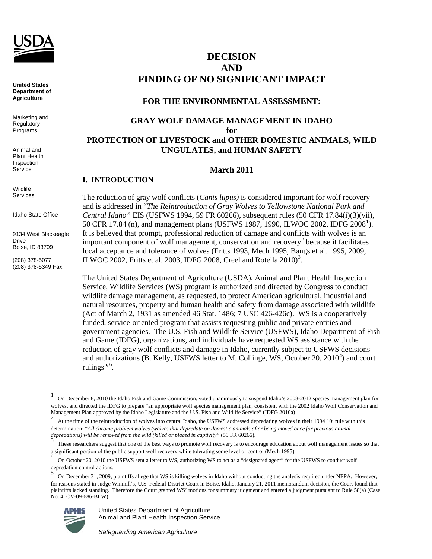

**United States Department of Agriculture**

Marketing and **Regulatory** Programs

Animal and Plant Health Inspection Service

Wildlife Services

Idaho State Office

9134 West Blackeagle Drive Boise, ID 83709

**I. INTRODUCTION** 

(208) 378-5077 (208) 378-5349 Fax

t

# **DECISION AND FINDING OF NO SIGNIFICANT IMPACT**

# **FOR THE ENVIRONMENTAL ASSESSMENT:**

# **GRAY WOLF DAMAGE MANAGEMENT IN IDAHO for PROTECTION OF LIVESTOCK and OTHER DOMESTIC ANIMALS, WILD UNGULATES, and HUMAN SAFETY**

# **March 2011**

# The reduction of gray wolf conflicts (*Canis lupus)* is considered important for wolf recovery and is addressed in "*The Reintroduction of Gray Wolves to Yellowstone National Park and Central Idaho"* EIS (USFWS 1994, 59 FR 60266), subsequent rules (50 CFR 17.84(i)(3)(vii), 50 CFR [1](#page-0-0)7.84 (n), and management plans (USFWS 1987, 1990, ILWOC 2002, IDFG 2008<sup>1</sup>). It is believed that prompt, professional reduction of damage and conflicts with wolves is an important component of wolf management, conservation and recovery<sup>[2](#page-0-1)</sup> because it facilitates local acceptance and tolerance of wolves (Fritts 1993, Mech 1995, Bangs et al. 1995, 2009, ILWOC 2002, Fritts et al. 200[3](#page-0-2), IDFG 2008, Creel and Rotella 2010)<sup>3</sup>.

The United States Department of Agriculture (USDA), Animal and Plant Health Inspection Service, Wildlife Services (WS) program is authorized and directed by Congress to conduct wildlife damage management, as requested, to protect American agricultural, industrial and natural resources, property and human health and safety from damage associated with wildlife (Act of March 2, 1931 as amended 46 Stat. 1486; 7 USC 426-426c). WS is a cooperatively funded, service-oriented program that assists requesting public and private entities and government agencies. The U.S. Fish and Wildlife Service (USFWS), Idaho Department of Fish and Game (IDFG), organizations, and individuals have requested WS assistance with the reduction of gray wolf conflicts and damage in Idaho, currently subject to USFWS decisions and authorizations (B. Kelly, USFWS letter to M. Collinge, WS, October 20,  $2010<sup>4</sup>$  $2010<sup>4</sup>$  $2010<sup>4</sup>$ ) and court rulings<sup>[5,](#page-0-4) 6</sup>.

<span id="page-0-4"></span>On December 31, 2009, plaintiffs allege that WS is killing wolves in Idaho without conducting the analysis required under NEPA. However, for reasons stated in Judge Winmill's, U.S. Federal District Court in Boise, Idaho, January 21, 2011 memorandum decision, the Court found that plaintiffs lacked standing. Therefore the Court granted WS' motions for summary judgment and entered a judgment pursuant to Rule 58(a) (Case No. 4: CV-09-686-BLW).



United States Department of Agriculture Animal and Plant Health Inspection Service

*Safeguarding American Agriculture*

<span id="page-0-0"></span><sup>1</sup> On December 8, 2010 the Idaho Fish and Game Commission, voted unanimously to suspend Idaho's 2008-2012 species management plan for wolves, and directed the IDFG to prepare "an appropriate wolf species management plan, consistent with the 2002 Idaho Wolf Conservation and Management Plan approved by the Idaho Legislature and the U.S. Fish and Wildlife Service" (IDFG 2010a)

<span id="page-0-1"></span>At the time of the reintroduction of wolves into central Idaho, the USFWS addressed depredating wolves in their 1994 10j rule with this determination: "*All chronic problem wolves (wolves that depredate on domestic animals after being moved once for previous animal*  depredations) will be removed from the wild (killed or placed in captivity" (59 FR 60266).

<span id="page-0-2"></span>These researchers suggest that one of the best ways to promote wolf recovery is to encourage education about wolf management issues so that a significant portion of the public support wolf recovery while tolerating some level of control (Mech 1995).

<span id="page-0-3"></span><sup>4</sup> On October 20, <sup>2010</sup> the USFWS sent a letter to WS, authorizing WS to act as a "designated agent" for the USFWS to conduct wolf depredation control actions. 5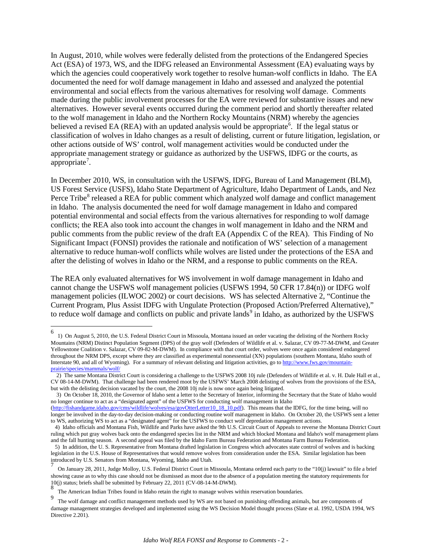In August, 2010, while wolves were federally delisted from the protections of the Endangered Species Act (ESA) of 1973, WS, and the IDFG released an Environmental Assessment (EA) evaluating ways by which the agencies could cooperatively work together to resolve human-wolf conflicts in Idaho. The EA documented the need for wolf damage management in Idaho and assessed and analyzed the potential environmental and social effects from the various alternatives for resolving wolf damage. Comments made during the public involvement processes for the EA were reviewed for substantive issues and new alternatives. However several events occurred during the comment period and shortly thereafter related to the wolf management in Idaho and the Northern Rocky Mountains (NRM) whereby the agencies believed a revised EA (REA) with an updated analysis would be appropriate<sup>[6](#page-1-0)</sup>. If the legal status or classification of wolves in Idaho changes as a result of delisting, current or future litigation, legislation, or other actions outside of WS' control, wolf management activities would be conducted under the appropriate management strategy or guidance as authorized by the USFWS, IDFG or the courts, as appropriate<sup>[7](#page-1-1)</sup>.

In December 2010, WS, in consultation with the USFWS, IDFG, Bureau of Land Management (BLM), US Forest Service (USFS), Idaho State Department of Agriculture, Idaho Department of Lands, and Nez Perce Tribe<sup>[8](#page-1-2)</sup> released a REA for public comment which analyzed wolf damage and conflict management in Idaho. The analysis documented the need for wolf damage management in Idaho and compared potential environmental and social effects from the various alternatives for responding to wolf damage conflicts; the REA also took into account the changes in wolf management in Idaho and the NRM and public comments from the public review of the draft EA (Appendix C of the REA). This Finding of No Significant Impact (FONSI) provides the rationale and notification of WS' selection of a management alternative to reduce human-wolf conflicts while wolves are listed under the protections of the ESA and after the delisting of wolves in Idaho or the NRM, and a response to public comments on the REA.

The REA only evaluated alternatives for WS involvement in wolf damage management in Idaho and cannot change the USFWS wolf management policies (USFWS 1994, 50 CFR 17.84(n)) or IDFG wolf management policies (ILWOC 2002) or court decisions. WS has selected Alternative 2, "Continue the Current Program, Plus Assist IDFG with Ungulate Protection (Proposed Action/Preferred Alternative)," to reduce wolf damage and conflicts on public and private lands<sup>[9](#page-1-3)</sup> in Idaho, as authorized by the USFWS

<span id="page-1-0"></span> 6 1) On August 5, 2010, the U.S. Federal District Court in Missoula, Montana issued an order vacating the delisting of the Northern Rocky Mountains (NRM) Distinct Population Segment (DPS) of the gray wolf (Defenders of Wildlife et al. v. Salazar, CV 09-77-M-DWM, and Greater Yellowstone Coalition v. Salazar, CV 09-82-M-DWM). In compliance with that court order, wolves were once again considered endangered throughout the NRM DPS, except where they are classified as experimental nonessential (XN) populations (southern Montana, Idaho south of Interstate 90, and all of Wyoming). For a summary of relevant delisting and litigation activities, go to [http://www.fws.gov/mountain](http://www.fws.gov/mountain-prairie/species/mammals/wolf/)[prairie/species/mammals/wolf/](http://www.fws.gov/mountain-prairie/species/mammals/wolf/) 

 <sup>2)</sup> The same Montana District Court is considering a challenge to the USFWS 2008 10j rule (Defenders of Wildlife et al. v. H. Dale Hall et al., CV 08-14-M-DWM). That challenge had been rendered moot by the USFWS' March 2008 delisting of wolves from the provisions of the ESA, but with the delisting decision vacated by the court, the 2008 10j rule is now once again being litigated.

 <sup>3)</sup> On October 18, 2010, the Governor of Idaho sent a letter to the Secretary of Interior, informing the Secretary that the State of Idaho would no longer continue to act as a "designated agent" of the USFWS for conducting wolf management in Idaho

[<sup>\(</sup>http://fishandgame.idaho.gov/cms/wildlife/wolves/esa/govOtterLetter10\\_18\\_10.pdf\)](http://fishandgame.idaho.gov/cms/wildlife/wolves/esa/govOtterLetter10_18_10.pdf). This means that the IDFG, for the time being, will no longer be involved in the day-to-day decision-making or conducting routine wolf management in Idaho. On October 20, the USFWS sent a letter to WS, authorizing WS to act as a "designated agent" for the USFWS to conduct wolf depredation management actions.

 <sup>4)</sup> Idaho officials and Montana Fish, Wildlife and Parks have asked the 9th U.S. Circuit Court of Appeals to reverse the Montana District Court ruling which put gray wolves back onto the endangered species list in the NRM and which blocked Montana and Idaho's wolf management plans and the fall hunting season. A second appeal was filed by the Idaho Farm Bureau Federation and Montana Farm Bureau Federation.

 <sup>5)</sup> In addition, the U. S. Representative from Montana drafted legislation in Congress which advocates state control of wolves and is backing legislation in the U.S. House of Representatives that would remove wolves from consideration under the ESA. Similar legislation has been introduced by U.S. Senators from Montana, Wyoming, Idaho and Utah.

<span id="page-1-1"></span><sup>7</sup> On January 28, 2011, Judge Molloy, U.S. Federal District Court in Missoula, Montana ordered each party to the "10(j) lawsuit" to file a brief showing cause as to why this case should not be dismissed as moot due to the absence of a population meeting the statutory requirements for 10(j) status; briefs shall be submitted by February 22, 2011 (CV-08-14-M-DWM).

The American Indian Tribes found in Idaho retain the right to manage wolves within reservation boundaries.

<span id="page-1-3"></span><span id="page-1-2"></span><sup>9</sup> The wolf damage and conflict management methods used by WS are not based on punishing offending animals, but are components of damage management strategies developed and implemented using the WS Decision Model thought process (Slate et al. 1992, USDA 1994, WS Directive 2.201).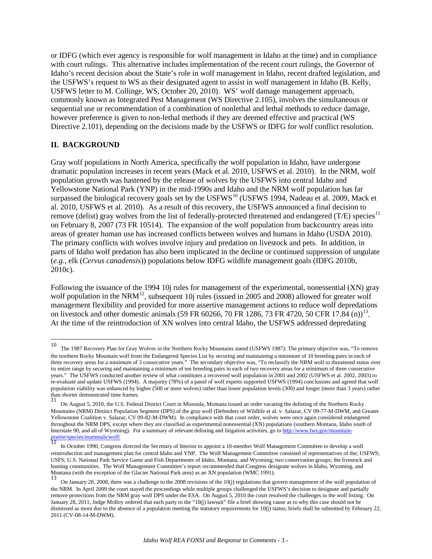or IDFG (which ever agency is responsible for wolf management in Idaho at the time) and in compliance with court rulings. This alternative includes implementation of the recent court rulings, the Governor of Idaho's recent decision about the State's role in wolf management in Idaho, recent drafted legislation, and the USFWS's request to WS as their designated agent to assist in wolf management in Idaho (B. Kelly, USFWS letter to M. Collinge, WS, October 20, 2010). WS' wolf damage management approach, commonly known as Integrated Pest Management (WS Directive 2.105), involves the simultaneous or sequential use or recommendation of a combination of nonlethal and lethal methods to reduce damage, however preference is given to non-lethal methods if they are deemed effective and practical (WS Directive 2.101), depending on the decisions made by the USFWS or IDFG for wolf conflict resolution.

#### **II. BACKGROUND**

Gray wolf populations in North America, specifically the wolf population in Idaho, have undergone dramatic population increases in recent years (Mack et al. 2010, USFWS et al. 2010). In the NRM, wolf population growth was hastened by the release of wolves by the USFWS into central Idaho and Yellowstone National Park (YNP) in the mid-1990s and Idaho and the NRM wolf population has far surpassed the biological recovery goals set by the USFWS<sup>[10](#page-2-0)</sup> (USFWS 1994, Nadeau et al. 2009, Mack et al. 2010, USFWS et al. 2010). As a result of this recovery, the USFWS announced a final decision to remove (delist) gray wolves from the list of federally-protected threatened and endangered (T/E) species<sup>[11](#page-2-1)</sup> on February 8, 2007 (73 FR 10514). The expansion of the wolf population from backcountry areas into areas of greater human use has increased conflicts between wolves and humans in Idaho (USDA 2010). The primary conflicts with wolves involve injury and predation on livestock and pets. In addition, in parts of Idaho wolf predation has also been implicated in the decline or continued suppression of ungulate (*e.g.*, elk (*Cervus canadensis*)) populations below IDFG wildlife management goals (IDFG 2010b, 2010c).

Following the issuance of the 1994 10j rules for management of the experimental, nonessential (XN) gray wolf population in the NRM<sup>12</sup>, subsequent 10j rules (issued in 2005 and 2008) allowed for greater wolf management flexibility and provided for more assertive management actions to reduce wolf depredations on livestock and other domestic animals (59 FR 60266, 70 FR 1286, 73 FR 4720, 50 CFR 17.84 (n))<sup>[13](#page-2-3)</sup>. At the time of the reintroduction of XN wolves into central Idaho, the USFWS addressed depredating

<span id="page-2-0"></span> $10\,$ The 1987 Recovery Plan for Gray Wolves in the Northern Rocky Mountains stated (USFWS 1987): The primary objective was, "To remove the northern Rocky Mountain wolf from the Endangered Species List by securing and maintaining a minimum of 10 breeding pairs in each of three recovery areas for a minimum of 3 consecutive years." The secondary objective was, "To reclassify the NRM wolf to threatened status over its entire range by securing and maintaining a minimum of ten breeding pairs in each of two recovery areas for a minimum of three consecutive years." The USFWS conducted another review of what constitutes a recovered wolf population in 2001 and 2002 (USFWS et al. 2002, 2003) to re-evaluate and update USFWS (1994). A majority (78%) of a panel of wolf experts supported USFWS (1994) conclusions and agreed that wolf population viability was enhanced by higher (500 or more wolves) rather than lower population levels (300) and longer (more than 3 years) rather than shorter demonstrated time frames.

<span id="page-2-1"></span><sup>11</sup> On August 5, 2010, the U.S. Federal District Court in Missoula, Montana issued an order vacating the delisting of the Northern Rocky Mountains (NRM) Distinct Population Segment (DPS) of the gray wolf (Defenders of Wildlife et al. v. Salazar, CV 09-77-M-DWM, and Greater Yellowstone Coalition v. Salazar, CV 09-82-M-DWM). In compliance with that court order, wolves were once again considered endangered throughout the NRM DPS, except where they are classified as experimental nonessential (XN) populations (southern Montana, Idaho south of Interstate 90, and all of Wyoming). For a summary of relevant delisting and litigatio Interstate 90, and all of Wyoming). For a summary of relevant delisting and litigation activities, go t[o http://www.fws.gov/mountain-](http://www.fws.gov/mountain-prairie/species/mammals/wolf/)

<span id="page-2-2"></span>In October 1990, Congress directed the Secretary of Interior to appoint a 10-member Wolf Management Committee to develop a wolf reintroduction and management plan for central Idaho and YNP. The Wolf Management Committee consisted of representatives of the; USFWS; USFS; U.S. National Park Service Game and Fish Departments of Idaho, Montana, and Wyoming; two conservation groups; the livestock and hunting communities. The Wolf Management Committee's report recommended that Congress designate wolves in Idaho, Wyoming, and Montana (with the exception of the Glacier National Park area) as an XN population (WMC 1991).

<span id="page-2-3"></span><sup>13</sup> On January 28, 2008, there was a challenge to the 2008 revisions of the 10(j) regulations that govern management of the wolf population of the NRM. In April 2009 the court stayed the proceedings while multiple groups challenged the USFWS's decision to designate and partially remove protections from the NRM gray wolf DPS under the ESA. On August 5, 2010 the court resolved the challenges to the wolf listing. On January 28, 2011, Judge Molloy ordered that each party to the "10(j) lawsuit" file a brief showing cause as to why this case should not be dismissed as moot due to the absence of a population meeting the statutory requirements for 10(j) status; briefs shall be submitted by February 22, 2011 (CV-08-14-M-DWM).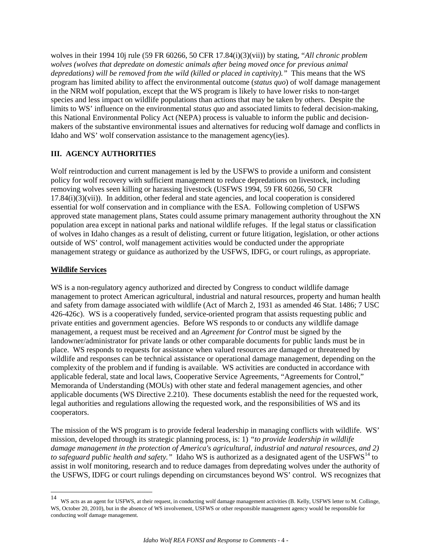wolves in their 1994 10j rule (59 FR 60266, 50 CFR 17.84(i)(3)(vii)) by stating, "*All chronic problem wolves (wolves that depredate on domestic animals after being moved once for previous animal depredations) will be removed from the wild (killed or placed in captivity)."* This means that the WS program has limited ability to affect the environmental outcome (*status quo*) of wolf damage management in the NRM wolf population, except that the WS program is likely to have lower risks to non-target species and less impact on wildlife populations than actions that may be taken by others. Despite the limits to WS' influence on the environmental *status quo* and associated limits to federal decision-making, this National Environmental Policy Act (NEPA) process is valuable to inform the public and decisionmakers of the substantive environmental issues and alternatives for reducing wolf damage and conflicts in Idaho and WS' wolf conservation assistance to the management agency(ies).

# **III. AGENCY AUTHORITIES**

Wolf reintroduction and current management is led by the USFWS to provide a uniform and consistent policy for wolf recovery with sufficient management to reduce depredations on livestock, including removing wolves seen killing or harassing livestock (USFWS 1994, 59 FR 60266, 50 CFR 17.84(i)(3)(vii)). In addition, other federal and state agencies, and local cooperation is considered essential for wolf conservation and in compliance with the ESA. Following completion of USFWS approved state management plans, States could assume primary management authority throughout the XN population area except in national parks and national wildlife refuges. If the legal status or classification of wolves in Idaho changes as a result of delisting, current or future litigation, legislation, or other actions outside of WS' control, wolf management activities would be conducted under the appropriate management strategy or guidance as authorized by the USFWS, IDFG, or court rulings, as appropriate.

# **Wildlife Services**

WS is a non-regulatory agency authorized and directed by Congress to conduct wildlife damage management to protect American agricultural, industrial and natural resources, property and human health and safety from damage associated with wildlife (Act of March 2, 1931 as amended 46 Stat. 1486; 7 USC 426-426c). WS is a cooperatively funded, service-oriented program that assists requesting public and private entities and government agencies. Before WS responds to or conducts any wildlife damage management, a request must be received and an *Agreement for Control* must be signed by the landowner/administrator for private lands or other comparable documents for public lands must be in place. WS responds to requests for assistance when valued resources are damaged or threatened by wildlife and responses can be technical assistance or operational damage management, depending on the complexity of the problem and if funding is available. WS activities are conducted in accordance with applicable federal, state and local laws, Cooperative Service Agreements, "Agreements for Control," Memoranda of Understanding (MOUs) with other state and federal management agencies, and other applicable documents (WS Directive 2.210). These documents establish the need for the requested work, legal authorities and regulations allowing the requested work, and the responsibilities of WS and its cooperators.

The mission of the WS program is to provide federal leadership in managing conflicts with wildlife. WS' mission, developed through its strategic planning process, is: 1) *"to provide leadership in wildlife damage management in the protection of America's agricultural, industrial and natural resources, and 2)*  to safeguard public health and safety." Idaho WS is authorized as a designated agent of the USFWS<sup>[14](#page-3-0)</sup> to assist in wolf monitoring, research and to reduce damages from depredating wolves under the authority of the USFWS, IDFG or court rulings depending on circumstances beyond WS' control. WS recognizes that

<span id="page-3-0"></span> $14$ 14 WS acts as an agent for USFWS, at their request, in conducting wolf damage management activities (B. Kelly, USFWS letter to M. Collinge, WS, October 20, 2010), but in the absence of WS involvement, USFWS or other responsible management agency would be responsible for conducting wolf damage management.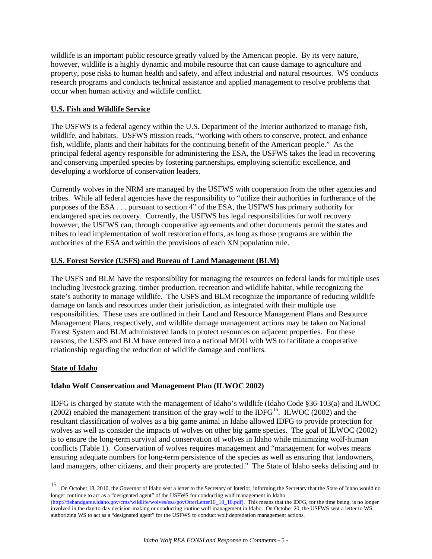wildlife is an important public resource greatly valued by the American people. By its very nature, however, wildlife is a highly dynamic and mobile resource that can cause damage to agriculture and property, pose risks to human health and safety, and affect industrial and natural resources. WS conducts research programs and conducts technical assistance and applied management to resolve problems that occur when human activity and wildlife conflict.

### **U.S. Fish and Wildlife Service**

The USFWS is a federal agency within the U.S. Department of the Interior authorized to manage fish, wildlife, and habitats. USFWS mission reads, "working with others to conserve, protect, and enhance fish, wildlife, plants and their habitats for the continuing benefit of the American people." As the principal federal agency responsible for administering the ESA, the USFWS takes the lead in recovering and conserving imperiled species by fostering partnerships, employing scientific excellence, and developing a workforce of conservation leaders.

Currently wolves in the NRM are managed by the USFWS with cooperation from the other agencies and tribes. While all federal agencies have the responsibility to "utilize their authorities in furtherance of the purposes of the ESA . . . pursuant to section 4" of the ESA, the USFWS has primary authority for endangered species recovery. Currently, the USFWS has legal responsibilities for wolf recovery however, the USFWS can, through cooperative agreements and other documents permit the states and tribes to lead implementation of wolf restoration efforts, as long as those programs are within the authorities of the ESA and within the provisions of each XN population rule.

### **U.S. Forest Service (USFS) and Bureau of Land Management (BLM)**

The USFS and BLM have the responsibility for managing the resources on federal lands for multiple uses including livestock grazing, timber production, recreation and wildlife habitat, while recognizing the state's authority to manage wildlife. The USFS and BLM recognize the importance of reducing wildlife damage on lands and resources under their jurisdiction, as integrated with their multiple use responsibilities. These uses are outlined in their Land and Resource Management Plans and Resource Management Plans, respectively, and wildlife damage management actions may be taken on National Forest System and BLM administered lands to protect resources on adjacent properties. For these reasons, the USFS and BLM have entered into a national MOU with WS to facilitate a cooperative relationship regarding the reduction of wildlife damage and conflicts.

# **State of Idaho**

# **Idaho Wolf Conservation and Management Plan (ILWOC 2002)**

IDFG is charged by statute with the management of Idaho's wildlife (Idaho Code §36-103(a) and ILWOC (2002) enabled the management transition of the gray wolf to the IDFG<sup>[15](#page-4-0)</sup>. ILWOC (2002) and the resultant classification of wolves as a big game animal in Idaho allowed IDFG to provide protection for wolves as well as consider the impacts of wolves on other big game species. The goal of ILWOC (2002) is to ensure the long-term survival and conservation of wolves in Idaho while minimizing wolf-human conflicts (Table 1). Conservation of wolves requires management and "management for wolves means ensuring adequate numbers for long-term persistence of the species as well as ensuring that landowners, land managers, other citizens, and their property are protected." The State of Idaho seeks delisting and to

<span id="page-4-0"></span> 15 On October 18, 2010, the Governor of Idaho sent a letter to the Secretary of Interior, informing the Secretary that the State of Idaho would no longer continue to act as a "designated agent" of the USFWS for conducting wolf management in Idaho

<sup>(</sup> [http://fishandgame.idaho.gov/cms/wildlife/wolves/esa/govOtterLetter10\\_18\\_10.pdf\)](http://fishandgame.idaho.gov/cms/wildlife/wolves/esa/govOtterLetter10_18_10.pdf). This means that the IDFG, for the time being, is no longer involved in the day-to-day decision-making or conducting routine wolf management in Idaho. On October 20, the USFWS sent a letter to WS, authorizing WS to act as a "designated agent" for the USFWS to conduct wolf depredation management actions.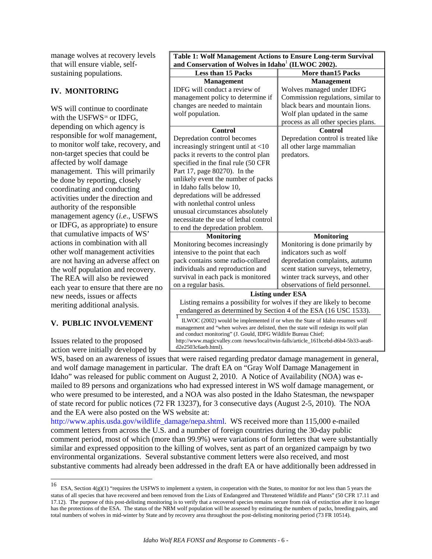manage wolves at recovery levels that will ensure viable, selfsustaining populations.

# **IV. MONITORING**

W<sub>S</sub> will continue to coordinate with the USFWS $16$  or IDFG. depending on which agency is responsible for wolf management, to monitor wolf take, recovery, and non-target species that could be affected by wolf damage management. This will primarily be done by reporting, closely coordinating and conducting activities under the direction and authority of the responsible management agency (*i.e*., USFWS or IDFG, as appropriate) to ensure that cumulative impacts of WS' actions in combination with all other wolf management activities are not having an adverse affect on the wolf population and recovery. The REA will also be reviewed each year to ensure that there are no new needs, issues or affects meriting additional analysis.

# **V. PUBLIC INVOLVEMENT**

Issues related to the proposed action were initially developed by

| Table 1: Wolf Management Actions to Ensure Long-term Survival                                            |                                     |
|----------------------------------------------------------------------------------------------------------|-------------------------------------|
| and Conservation of Wolves in Idaho <sup>1</sup> (ILWOC 2002).                                           |                                     |
| <b>Less than 15 Packs</b>                                                                                | <b>More than 15 Packs</b>           |
| <b>Management</b>                                                                                        | <b>Management</b>                   |
| IDFG will conduct a review of                                                                            | Wolves managed under IDFG           |
| management policy to determine if                                                                        | Commission regulations, similar to  |
| changes are needed to maintain                                                                           | black bears and mountain lions.     |
| wolf population.                                                                                         | Wolf plan updated in the same       |
|                                                                                                          | process as all other species plans. |
| <b>Control</b>                                                                                           | Control                             |
| Depredation control becomes                                                                              | Depredation control is treated like |
| increasingly stringent until at $<$ 10                                                                   | all other large mammalian           |
| packs it reverts to the control plan                                                                     | predators.                          |
| specified in the final rule (50 CFR                                                                      |                                     |
| Part 17, page 80270). In the                                                                             |                                     |
| unlikely event the number of packs                                                                       |                                     |
| in Idaho falls below 10,                                                                                 |                                     |
| depredations will be addressed                                                                           |                                     |
| with nonlethal control unless                                                                            |                                     |
| unusual circumstances absolutely                                                                         |                                     |
| necessitate the use of lethal control                                                                    |                                     |
| to end the depredation problem.                                                                          |                                     |
| <b>Monitoring</b>                                                                                        | <b>Monitoring</b>                   |
| Monitoring becomes increasingly                                                                          | Monitoring is done primarily by     |
| intensive to the point that each                                                                         | indicators such as wolf             |
| pack contains some radio-collared                                                                        | depredation complaints, autumn      |
| individuals and reproduction and                                                                         | scent station surveys, telemetry,   |
| survival in each pack is monitored                                                                       | winter track surveys, and other     |
| on a regular basis.                                                                                      | observations of field personnel.    |
| <b>Listing under ESA</b>                                                                                 |                                     |
| Listing remains a possibility for wolves if they are likely to become                                    |                                     |
| endangered as determined by Section 4 of the ESA (16 USC 1533).                                          |                                     |
| ILWOC (2002) would be implemented if or when the State of Idaho resumes wolf                             |                                     |
| management and "when wolves are delisted, then the state will redesign its wolf plan                     |                                     |
| and conduct monitoring" (J. Gould, IDFG Wildlife Bureau Chief;                                           |                                     |
| http://www.magicvalley.com/news/local/twin-falls/article_161bcebd-d6b4-5b33-aea8-<br>d2e2503c6aeb.html). |                                     |

WS, based on an awareness of issues that were raised regarding predator damage management in general, and wolf damage management in particular. The draft EA on "Gray Wolf Damage Management in Idaho" was released for public comment on August 2, 2010. A Notice of Availability (NOA) was emailed to 89 persons and organizations who had expressed interest in WS wolf damage management, or who were presumed to be interested, and a NOA was also posted in the Idaho Statesman, the newspaper of state record for public notices (72 FR 13237), for 3 consecutive days (August 2-5, 2010). The NOA and the EA were also posted on the WS website at:

[http://www.aphis.usda.gov/wildlife\\_damage/nepa.shtml.](http://www.aphis.usda.gov/wildlife_damage/nepa.shtml) WS received more than 115,000 e-mailed comment letters from across the U.S. and a number of foreign countries during the 30-day public comment period, most of which (more than 99.9%) were variations of form letters that were substantially similar and expressed opposition to the killing of wolves, sent as part of an organized campaign by two environmental organizations. Several substantive comment letters were also received, and most substantive comments had already been addressed in the draft EA or have additionally been addressed in

<span id="page-5-0"></span> 16 ESA, Section 4(g)(1) "requires the USFWS to implement a system, in cooperation with the States, to monitor for not less than 5 years the status of all species that have recovered and been removed from the Lists of Endangered and Threatened Wildlife and Plants" (50 CFR 17.11 and 17.12). The purpose of this post-delisting monitoring is to verify that a recovered species remains secure from risk of extinction after it no longer has the protections of the ESA. The status of the NRM wolf population will be assessed by estimating the numbers of packs, breeding pairs, and total numbers of wolves in mid-winter by State and by recovery area throughout the post-delisting monitoring period (73 FR 10514).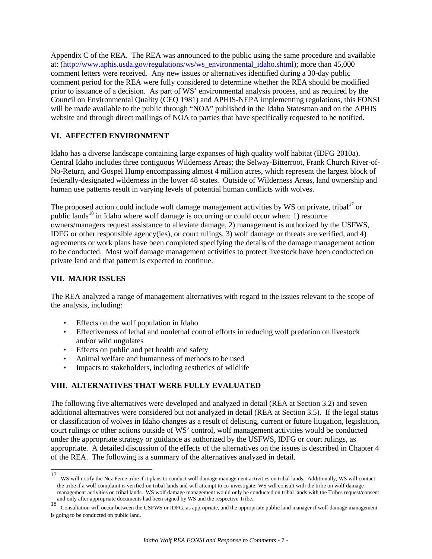Appendix C of the REA. The REA was announced to the public using the same procedure and available at: [\(http://www.aphis.usda.gov/regulations/ws/ws\\_environmental\\_idaho.shtml\)](http://www.aphis.usda.gov/regulations/ws/ws_environmental_idaho.shtml); more than 45,000 comment letters were received. Any new issues or alternatives identified during a 30-day public comment period for the REA were fully considered to determine whether the REA should be modified prior to issuance of a decision. As part of WS' environmental analysis process, and as required by the Council on Environmental Quality (CEQ 1981) and APHIS-NEPA implementing regulations, this FONSI will be made available to the public through "NOA" published in the Idaho Statesman and on the APHIS website and through direct mailings of NOA to parties that have specifically requested to be notified.

# **VI. AFFECTED ENVIRONMENT**

Idaho has a diverse landscape containing large expanses of high quality wolf habitat (IDFG 2010a). Central Idaho includes three contiguous Wilderness Areas; the Selway-Bitterroot, Frank Church River-of-No-Return, and Gospel Hump encompassing almost 4 million acres, which represent the largest block of federally-designated wilderness in the lower 48 states. Outside of Wilderness Areas, land ownership and human use patterns result in varying levels of potential human conflicts with wolves.

The proposed action could include wolf damage management activities by WS on private, tribal<sup>[17](#page-6-0)</sup> or public lands<sup>[18](#page-6-1)</sup> in Idaho where wolf damage is occurring or could occur when: 1) resource owners/managers request assistance to alleviate damage, 2) management is authorized by the USFWS, IDFG or other responsible agency(ies), or court rulings, 3) wolf damage or threats are verified, and 4) agreements or work plans have been completed specifying the details of the damage management action to be conducted. Most wolf damage management activities to protect livestock have been conducted on private land and that pattern is expected to continue.

### **VII. MAJOR ISSUES**

The REA analyzed a range of management alternatives with regard to the issues relevant to the scope of the analysis, including:

- Effects on the wolf population in Idaho
- Effectiveness of lethal and nonlethal control efforts in reducing wolf predation on livestock and/or wild ungulates
- Effects on public and pet health and safety
- Animal welfare and humanness of methods to be used
- Impacts to stakeholders, including aesthetics of wildlife

# **VIII. ALTERNATIVES THAT WERE FULLY EVALUATED**

The following five alternatives were developed and analyzed in detail (REA at Section 3.2) and seven additional alternatives were considered but not analyzed in detail (REA at Section 3.5). If the legal status or classification of wolves in Idaho changes as a result of delisting, current or future litigation, legislation, court rulings or other actions outside of WS' control, wolf management activities would be conducted under the appropriate strategy or guidance as authorized by the USFWS, IDFG or court rulings, as appropriate. A detailed discussion of the effects of the alternatives on the issues is described in Chapter 4 of the REA. The following is a summary of the alternatives analyzed in detail.

<span id="page-6-0"></span><sup>17</sup> 17 WS will notify the Nez Perce tribe if it plans to conduct wolf damage management activities on tribal lands. Additionally, WS will contact the tribe if a wolf complaint is verified on tribal lands and will attempt to co-investigate; WS will consult with the tribe on wolf damage management activities on tribal lands. WS wolf damage management would only be conducted on tribal lands with the Tribes request/consent and only after appropriate documents had been signed by WS and the respective Tribe.

<span id="page-6-1"></span>and only after appropriate and between the USFWS or IDFG, as appropriate, and the appropriate public land manager if wolf damage management Consultation will occur between the USFWS or IDFG, as appropriate, and the appropr is going to be conducted on public land.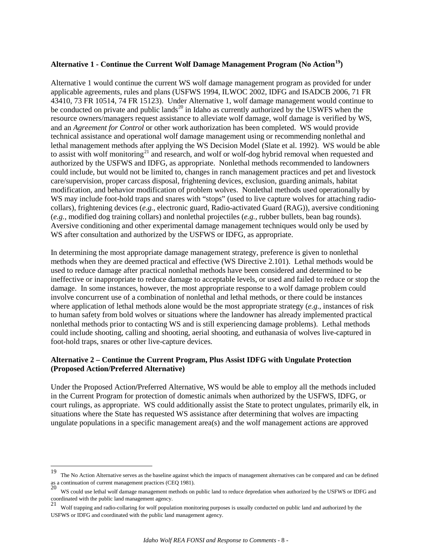#### **Alternative 1 - Continue the Current Wolf Damage Management Program (No Action[19](#page-7-0))**

Alternative 1 would continue the current WS wolf damage management program as provided for under applicable agreements, rules and plans (USFWS 1994, ILWOC 2002, IDFG and ISADCB 2006, 71 FR 43410, 73 FR 10514, 74 FR 15123). Under Alternative 1, wolf damage management would continue to be conducted on private and public lands<sup>[20](#page-7-1)</sup> in Idaho as currently authorized by the USWFS when the resource owners/managers request assistance to alleviate wolf damage, wolf damage is verified by WS, and an *Agreement for Control* or other work authorization has been completed. WS would provide technical assistance and operational wolf damage management using or recommending nonlethal and lethal management methods after applying the WS Decision Model (Slate et al. 1992). WS would be able to assist with wolf monitoring<sup>[21](#page-7-2)</sup> and research, and wolf or wolf-dog hybrid removal when requested and authorized by the USFWS and IDFG, as appropriate. Nonlethal methods recommended to landowners could include, but would not be limited to, changes in ranch management practices and pet and livestock care/supervision, proper carcass disposal, frightening devices, exclusion, guarding animals, habitat modification, and behavior modification of problem wolves. Nonlethal methods used operationally by WS may include foot-hold traps and snares with "stops" (used to live capture wolves for attaching radiocollars), frightening devices (*e.g.,* electronic guard, Radio-activated Guard (RAG)), aversive conditioning (*e.g.,* modified dog training collars) and nonlethal projectiles (*e.g.,* rubber bullets, bean bag rounds). Aversive conditioning and other experimental damage management techniques would only be used by WS after consultation and authorized by the USFWS or IDFG, as appropriate.

In determining the most appropriate damage management strategy, preference is given to nonlethal methods when they are deemed practical and effective (WS Directive 2.101). Lethal methods would be used to reduce damage after practical nonlethal methods have been considered and determined to be ineffective or inappropriate to reduce damage to acceptable levels, or used and failed to reduce or stop the damage. In some instances, however, the most appropriate response to a wolf damage problem could involve concurrent use of a combination of nonlethal and lethal methods, or there could be instances where application of lethal methods alone would be the most appropriate strategy (*e.g*., instances of risk to human safety from bold wolves or situations where the landowner has already implemented practical nonlethal methods prior to contacting WS and is still experiencing damage problems). Lethal methods could include shooting, calling and shooting, aerial shooting, and euthanasia of wolves live-captured in foot-hold traps, snares or other live-capture devices.

#### **Alternative 2 – Continue the Current Program, Plus Assist IDFG with Ungulate Protection (Proposed Action/Preferred Alternative)**

Under the Proposed Action**/**Preferred Alternative, WS would be able to employ all the methods included in the Current Program for protection of domestic animals when authorized by the USFWS, IDFG, or court rulings, as appropriate. WS could additionally assist the State to protect ungulates, primarily elk, in situations where the State has requested WS assistance after determining that wolves are impacting ungulate populations in a specific management area(s) and the wolf management actions are approved

<span id="page-7-0"></span><sup>19</sup> 19 The No Action Alternative serves as the baseline against which the impacts of management alternatives can be compared and can be defined as a continuation of current management practices (CEQ 1981).

<span id="page-7-1"></span><sup>20</sup> WS could use lethal wolf damage management methods on public land to reduce depredation when authorized by the USFWS or IDFG and coordinated with the public land management agency.<br>  $21 \frac{W_{L} + W_{L}}{W_{L} + W_{L}}$ 

<span id="page-7-2"></span><sup>21</sup> Wolf trapping and radio-collaring for wolf population monitoring purposes is usually conducted on public land and authorized by the USFWS or IDFG and coordinated with the public land management agency.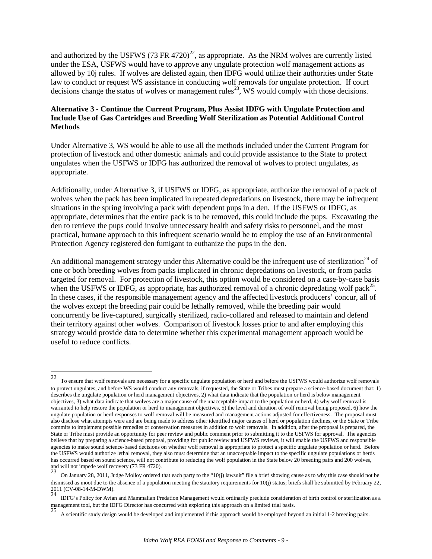and authorized by the USFWS (73 FR 4720)<sup>[22](#page-8-0)</sup>, as appropriate. As the NRM wolves are currently listed under the ESA, USFWS would have to approve any ungulate protection wolf management actions as allowed by 10j rules. If wolves are delisted again, then IDFG would utilize their authorities under State law to conduct or request WS assistance in conducting wolf removals for ungulate protection. If court decisions change the status of wolves or management rules<sup>[23](#page-8-1)</sup>, WS would comply with those decisions.

### **Alternative 3 - Continue the Current Program, Plus Assist IDFG with Ungulate Protection and Include Use of Gas Cartridges and Breeding Wolf Sterilization as Potential Additional Control Methods**

Under Alternative 3, WS would be able to use all the methods included under the Current Program for protection of livestock and other domestic animals and could provide assistance to the State to protect ungulates when the USFWS or IDFG has authorized the removal of wolves to protect ungulates, as appropriate.

Additionally, under Alternative 3, if USFWS or IDFG, as appropriate, authorize the removal of a pack of wolves when the pack has been implicated in repeated depredations on livestock, there may be infrequent situations in the spring involving a pack with dependent pups in a den. If the USFWS or IDFG, as appropriate, determines that the entire pack is to be removed, this could include the pups. Excavating the den to retrieve the pups could involve unnecessary health and safety risks to personnel, and the most practical, humane approach to this infrequent scenario would be to employ the use of an Environmental Protection Agency registered den fumigant to euthanize the pups in the den.

An additional management strategy under this Alternative could be the infrequent use of sterilization<sup>[24](#page-8-2)</sup> of one or both breeding wolves from packs implicated in chronic depredations on livestock, or from packs targeted for removal. For protection of livestock, this option would be considered on a case-by-case basis when the USFWS or IDFG, as appropriate, has authorized removal of a chronic depredating wolf pack<sup>[25](#page-8-3)</sup>. In these cases, if the responsible management agency and the affected livestock producers' concur, all of the wolves except the breeding pair could be lethally removed, while the breeding pair would concurrently be live-captured, surgically sterilized, radio-collared and released to maintain and defend their territory against other wolves. Comparison of livestock losses prior to and after employing this strategy would provide data to determine whether this experimental management approach would be useful to reduce conflicts.

<span id="page-8-0"></span> $22\,$ 22 To ensure that wolf removals are necessary for a specific ungulate population or herd and before the USFWS would authorize wolf removals to protect ungulates, and before WS would conduct any removals, if requested, the State or Tribes must prepare a science-based document that: 1) describes the ungulate population or herd management objectives, 2) what data indicate that the population or herd is below management objectives, 3) what data indicate that wolves are a major cause of the unacceptable impact to the population or herd, 4) why wolf removal is warranted to help restore the population or herd to management objectives, 5) the level and duration of wolf removal being proposed, 6) how the ungulate population or herd responses to wolf removal will be measured and management actions adjusted for effectiveness. The proposal must also disclose what attempts were and are being made to address other identified major causes of herd or population declines, or the State or Tribe commits to implement possible remedies or conservation measures in addition to wolf removals. In addition, after the proposal is prepared, the State or Tribe must provide an opportunity for peer review and public comment prior to submitting it to the USFWS for approval. The agencies believe that by preparing a science-based proposal, providing for public review and USFWS reviews, it will enable the USFWS and responsible agencies to make sound science-based decisions on whether wolf removal is appropriate to protect a specific ungulate population or herd. Before the USFWS would authorize lethal removal, they also must determine that an unacceptable impact to the specific ungulate populations or herds has occurred based on sound science, will not contribute to reducing the wolf population in the State below 20 breeding pairs and 200 wolves, and will not impede wolf recovery  $(73 \text{ FR } 4720)$ .

<span id="page-8-1"></span>On January 28, 2011, Judge Molloy ordered that each party to the "10(j) lawsuit" file a brief showing cause as to why this case should not be dismissed as moot due to the absence of a population meeting the statutory requirements for 10(j) status; briefs shall be submitted by February 22, 2011 (CV-08-14-M-DWM).<br> $^{24}$  ENG', B, E. C. C. C. C. C. C. C. C. C. C. C

<span id="page-8-3"></span><span id="page-8-2"></span><sup>&</sup>lt;sup>24</sup> IDFG's Policy for Avian and Mammalian Predation Management would ordinarily preclude consideration of birth control or sterilization as a management tool, but the IDFG Director has concurred with exploring this appro

A scientific study design would be developed and implemented if this approach would be employed beyond an initial 1-2 breeding pairs.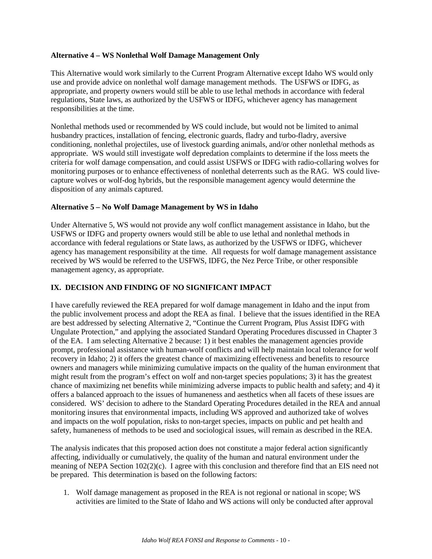#### **Alternative 4 – WS Nonlethal Wolf Damage Management Only**

This Alternative would work similarly to the Current Program Alternative except Idaho WS would only use and provide advice on nonlethal wolf damage management methods. The USFWS or IDFG, as appropriate, and property owners would still be able to use lethal methods in accordance with federal regulations, State laws, as authorized by the USFWS or IDFG, whichever agency has management responsibilities at the time.

Nonlethal methods used or recommended by WS could include, but would not be limited to animal husbandry practices, installation of fencing, electronic guards, fladry and turbo-fladry, aversive conditioning, nonlethal projectiles, use of livestock guarding animals, and/or other nonlethal methods as appropriate. WS would still investigate wolf depredation complaints to determine if the loss meets the criteria for wolf damage compensation, and could assist USFWS or IDFG with radio-collaring wolves for monitoring purposes or to enhance effectiveness of nonlethal deterrents such as the RAG. WS could livecapture wolves or wolf-dog hybrids, but the responsible management agency would determine the disposition of any animals captured.

#### **Alternative 5 – No Wolf Damage Management by WS in Idaho**

Under Alternative 5, WS would not provide any wolf conflict management assistance in Idaho, but the USFWS or IDFG and property owners would still be able to use lethal and nonlethal methods in accordance with federal regulations or State laws, as authorized by the USFWS or IDFG, whichever agency has management responsibility at the time. All requests for wolf damage management assistance received by WS would be referred to the USFWS, IDFG, the Nez Perce Tribe, or other responsible management agency, as appropriate.

# **IX. DECISION AND FINDING OF NO SIGNIFICANT IMPACT**

I have carefully reviewed the REA prepared for wolf damage management in Idaho and the input from the public involvement process and adopt the REA as final. I believe that the issues identified in the REA are best addressed by selecting Alternative 2, "Continue the Current Program, Plus Assist IDFG with Ungulate Protection," and applying the associated Standard Operating Procedures discussed in Chapter 3 of the EA. I am selecting Alternative 2 because: 1) it best enables the management agencies provide prompt, professional assistance with human-wolf conflicts and will help maintain local tolerance for wolf recovery in Idaho; 2) it offers the greatest chance of maximizing effectiveness and benefits to resource owners and managers while minimizing cumulative impacts on the quality of the human environment that might result from the program's effect on wolf and non-target species populations; 3) it has the greatest chance of maximizing net benefits while minimizing adverse impacts to public health and safety; and 4) it offers a balanced approach to the issues of humaneness and aesthetics when all facets of these issues are considered. WS' decision to adhere to the Standard Operating Procedures detailed in the REA and annual monitoring insures that environmental impacts, including WS approved and authorized take of wolves and impacts on the wolf population, risks to non-target species, impacts on public and pet health and safety, humaneness of methods to be used and sociological issues, will remain as described in the REA.

The analysis indicates that this proposed action does not constitute a major federal action significantly affecting, individually or cumulatively, the quality of the human and natural environment under the meaning of NEPA Section 102(2)(c). I agree with this conclusion and therefore find that an EIS need not be prepared. This determination is based on the following factors:

1. Wolf damage management as proposed in the REA is not regional or national in scope; WS activities are limited to the State of Idaho and WS actions will only be conducted after approval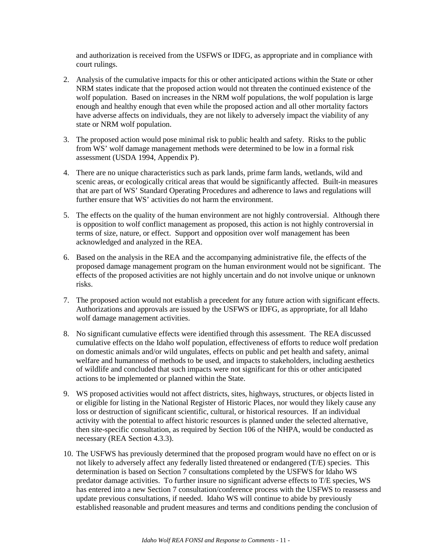and authorization is received from the USFWS or IDFG, as appropriate and in compliance with court rulings.

- 2. Analysis of the cumulative impacts for this or other anticipated actions within the State or other NRM states indicate that the proposed action would not threaten the continued existence of the wolf population. Based on increases in the NRM wolf populations, the wolf population is large enough and healthy enough that even while the proposed action and all other mortality factors have adverse affects on individuals, they are not likely to adversely impact the viability of any state or NRM wolf population.
- 3. The proposed action would pose minimal risk to public health and safety. Risks to the public from WS' wolf damage management methods were determined to be low in a formal risk assessment (USDA 1994, Appendix P).
- 4. There are no unique characteristics such as park lands, prime farm lands, wetlands, wild and scenic areas, or ecologically critical areas that would be significantly affected. Built-in measures that are part of WS' Standard Operating Procedures and adherence to laws and regulations will further ensure that WS' activities do not harm the environment.
- 5. The effects on the quality of the human environment are not highly controversial. Although there is opposition to wolf conflict management as proposed, this action is not highly controversial in terms of size, nature, or effect. Support and opposition over wolf management has been acknowledged and analyzed in the REA.
- 6. Based on the analysis in the REA and the accompanying administrative file, the effects of the proposed damage management program on the human environment would not be significant. The effects of the proposed activities are not highly uncertain and do not involve unique or unknown risks.
- 7. The proposed action would not establish a precedent for any future action with significant effects. Authorizations and approvals are issued by the USFWS or IDFG, as appropriate, for all Idaho wolf damage management activities.
- 8. No significant cumulative effects were identified through this assessment. The REA discussed cumulative effects on the Idaho wolf population, effectiveness of efforts to reduce wolf predation on domestic animals and/or wild ungulates, effects on public and pet health and safety, animal welfare and humanness of methods to be used, and impacts to stakeholders, including aesthetics of wildlife and concluded that such impacts were not significant for this or other anticipated actions to be implemented or planned within the State.
- 9. WS proposed activities would not affect districts, sites, highways, structures, or objects listed in or eligible for listing in the National Register of Historic Places, nor would they likely cause any loss or destruction of significant scientific, cultural, or historical resources. If an individual activity with the potential to affect historic resources is planned under the selected alternative, then site-specific consultation, as required by Section 106 of the NHPA, would be conducted as necessary (REA Section 4.3.3).
- 10. The USFWS has previously determined that the proposed program would have no effect on or is not likely to adversely affect any federally listed threatened or endangered (T/E) species. This determination is based on Section 7 consultations completed by the USFWS for Idaho WS predator damage activities. To further insure no significant adverse effects to T/E species, WS has entered into a new Section 7 consultation/conference process with the USFWS to reassess and update previous consultations, if needed. Idaho WS will continue to abide by previously established reasonable and prudent measures and terms and conditions pending the conclusion of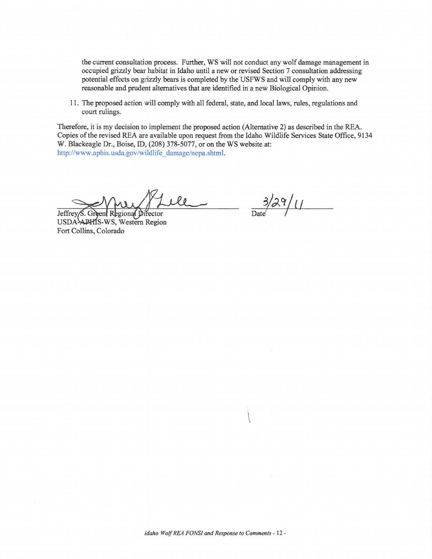the current consultation process. Further, WS will not conduct any wolf damage management in occupied grizzly bear habitat in Idaho until a new or revised Section 7 consultation addressing potential effects on grizzly bears is completed by the USFWS and will comply with any new reasonable and prudent alternatives that are identified in a new Biological Opinion.

11 . The proposed action will comply with all federal, state, and local laws, rules, regulations and court rulings.

Therefore, it is my decision to implement the proposed action (Alternative 2) as described in the REA. Copies of the revised REA are available upon request from the Idaho Wildlife Services State Office, 9134 W. Biackeagle Dr., Boise, 10, (208) 378-5077, or on the WS website at: http://www.aphis.usda.gov/wildlife damage/nepa.shtml.

ile

onal Director Jeffre USDA-APHIS-WS, Western Region Fort Collins, Colorado

 $3/29/11$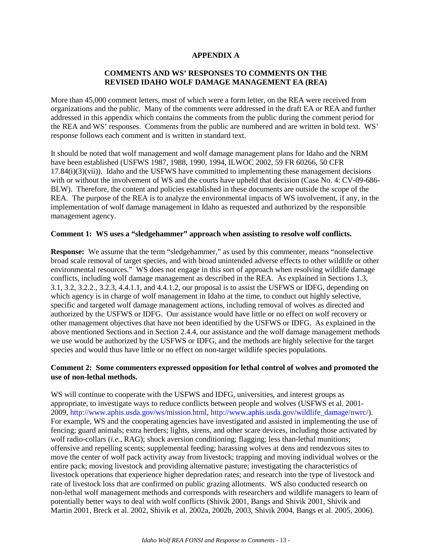#### **APPENDIX A**

### **COMMENTS AND WS' RESPONSES TO COMMENTS ON THE REVISED IDAHO WOLF DAMAGE MANAGEMENT EA (REA)**

More than 45,000 comment letters, most of which were a form letter, on the REA were received from organizations and the public. Many of the comments were addressed in the draft EA or REA and further addressed in this appendix which contains the comments from the public during the comment period for the REA and WS' responses. Comments from the public are numbered and are written in bold text. WS' response follows each comment and is written in standard text.

It should be noted that wolf management and wolf damage management plans for Idaho and the NRM have been established (USFWS 1987, 1988, 1990, 1994, ILWOC 2002, 59 FR 60266, 50 CFR  $17.84(i)(3)(vii)$ ). Idaho and the USFWS have committed to implementing these management decisions with or without the involvement of WS and the courts have upheld that decision (Case No. 4: CV-09-686-BLW). Therefore, the content and policies established in these documents are outside the scope of the REA. The purpose of the REA is to analyze the environmental impacts of WS involvement, if any, in the implementation of wolf damage management in Idaho as requested and authorized by the responsible management agency.

#### **Comment 1: WS uses a "sledgehammer" approach when assisting to resolve wolf conflicts.**

**Response:** We assume that the term "sledgehammer," as used by this commenter, means "nonselective broad scale removal of target species, and with broad unintended adverse effects to other wildlife or other environmental resources." WS does not engage in this sort of approach when resolving wildlife damage conflicts, including wolf damage management as described in the REA. As explained in Sections 1.3, 3.1, 3.2, 3.2.2., 3.2.3, 4.4.1.1, and 4.4.1.2, our proposal is to assist the USFWS or IDFG, depending on which agency is in charge of wolf management in Idaho at the time, to conduct out highly selective, specific and targeted wolf damage management actions, including removal of wolves as directed and authorized by the USFWS or IDFG. Our assistance would have little or no effect on wolf recovery or other management objectives that have not been identified by the USFWS or IDFG. As explained in the above mentioned Sections and in Section 2.4.4, our assistance and the wolf damage management methods we use would be authorized by the USFWS or IDFG, and the methods are highly selective for the target species and would thus have little or no effect on non-target wildlife species populations.

#### **Comment 2: Some commenters expressed opposition for lethal control of wolves and promoted the use of non-lethal methods.**

WS will continue to cooperate with the USFWS and IDFG, universities, and interest groups as appropriate, to investigate ways to reduce conflicts between people and wolves (USFWS et al. 2001- 2009, [http://www.aphis.usda.gov/ws/mission.html,](http://www.aphis.usda.gov/ws/mission.html) [http://www.aphis.usda.gov/wildlife\\_damage/nwrc/\)](http://www.aphis.usda.gov/wildlife_damage/nwrc/). For example, WS and the cooperating agencies have investigated and assisted in implementing the use of fencing; guard animals; extra herders; lights, sirens, and other scare devices, including those activated by wolf radio-collars (*i.e.*, RAG); shock aversion conditioning; flagging; less than-lethal munitions; offensive and repelling scents; supplemental feeding; harassing wolves at dens and rendezvous sites to move the center of wolf pack activity away from livestock; trapping and moving individual wolves or the entire pack; moving livestock and providing alternative pasture; investigating the characteristics of livestock operations that experience higher depredation rates; and research into the type of livestock and rate of livestock loss that are confirmed on public grazing allotments. WS also conducted research on non-lethal wolf management methods and corresponds with researchers and wildlife managers to learn of potentially better ways to deal with wolf conflicts (Shivik 2001, Bangs and Shivik 2001, Shivik and Martin 2001, Breck et al. 2002, Shivik et al. 2002a, 2002b, 2003, Shivik 2004, Bangs et al. 2005, 2006).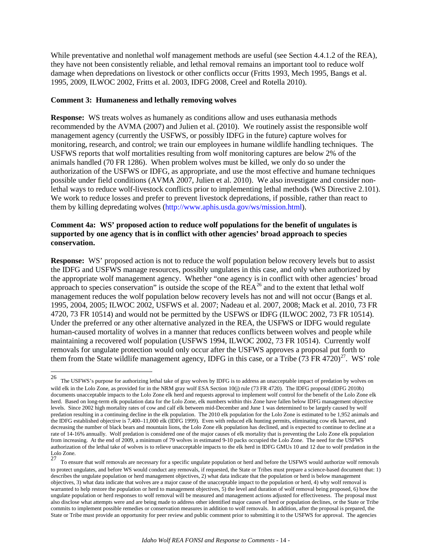While preventative and nonlethal wolf management methods are useful (see Section 4.4.1.2 of the REA), they have not been consistently reliable, and lethal removal remains an important tool to reduce wolf damage when depredations on livestock or other conflicts occur (Fritts 1993, Mech 1995, Bangs et al. 1995, 2009, ILWOC 2002, Fritts et al. 2003, IDFG 2008, Creel and Rotella 2010).

#### **Comment 3: Humaneness and lethally removing wolves**

**Response:** WS treats wolves as humanely as conditions allow and uses euthanasia methods recommended by the AVMA (2007) and Julien et al. (2010). We routinely assist the responsible wolf management agency (currently the USFWS, or possibly IDFG in the future) capture wolves for monitoring, research, and control; we train our employees in humane wildlife handling techniques. The USFWS reports that wolf mortalities resulting from wolf monitoring captures are below 2% of the animals handled (70 FR 1286). When problem wolves must be killed, we only do so under the authorization of the USFWS or IDFG, as appropriate, and use the most effective and humane techniques possible under field conditions (AVMA 2007, Julien et al. 2010). We also investigate and consider nonlethal ways to reduce wolf-livestock conflicts prior to implementing lethal methods (WS Directive 2.101). We work to reduce losses and prefer to prevent livestock depredations, if possible, rather than react to them by killing depredating wolves [\(http://www.aphis.usda.gov/ws/mission.html\)](http://www.aphis.usda.gov/ws/mission.html).

#### **Comment 4a: WS' proposed action to reduce wolf populations for the benefit of ungulates is supported by one agency that is in conflict with other agencies' broad approach to species conservation.**

**Response:** WS' proposed action is not to reduce the wolf population below recovery levels but to assist the IDFG and USFWS manage resources, possibly ungulates in this case, and only when authorized by the appropriate wolf management agency. Whether "one agency is in conflict with other agencies' broad approach to species conservation" is outside the scope of the  $REA^{26}$  $REA^{26}$  $REA^{26}$  and to the extent that lethal wolf management reduces the wolf population below recovery levels has not and will not occur (Bangs et al. 1995, 2004, 2005; ILWOC 2002, USFWS et al. 2007; Nadeau et al. 2007, 2008; Mack et al. 2010, 73 FR 4720, 73 FR 10514) and would not be permitted by the USFWS or IDFG (ILWOC 2002, 73 FR 10514). Under the preferred or any other alternative analyzed in the REA, the USFWS or IDFG would regulate human-caused mortality of wolves in a manner that reduces conflicts between wolves and people while maintaining a recovered wolf population (USFWS 1994, ILWOC 2002, 73 FR 10514). Currently wolf removals for ungulate protection would only occur after the USFWS approves a proposal put forth to them from the State wildlife management agency, IDFG in this case, or a Tribe  $(73 \text{ FR } 4720)^{27}$  $(73 \text{ FR } 4720)^{27}$  $(73 \text{ FR } 4720)^{27}$ . WS' role

<span id="page-13-0"></span><sup>26</sup> 26 The USFWS's purpose for authorizing lethal take of gray wolves by IDFG is to address an unacceptable impact of predation by wolves on wild elk in the Lolo Zone, as provided for in the NRM gray wolf ESA Section 10(j) rule (73 FR 4720). The IDFG proposal (IDFG 2010b) documents unacceptable impacts to the Lolo Zone elk herd and requests approval to implement wolf control for the benefit of the Lolo Zone elk herd. Based on long-term elk population data for the Lolo Zone, elk numbers within this Zone have fallen below IDFG management objective levels. Since 2002 high mortality rates of cow and calf elk between mid-December and June 1 was determined to be largely caused by wolf predation resulting in a continuing decline in the elk population. The 2010 elk population for the Lolo Zone is estimated to be 1,952 animals and the IDFG established objective is 7,400–11,000 elk (IDFG 1999). Even with reduced elk hunting permits, eliminating cow elk harvest, and decreasing the number of black bears and mountain lions, the Lolo Zone elk population has declined, and is expected to continue to decline at a rate of 14-16% annually. Wolf predation is considered one of the major causes of elk mortality that is preventing the Lolo Zone elk population from increasing. At the end of 2009, a minimum of 79 wolves in estimated 9-10 packs occupied the Lolo Zone. The need for the USFWS authorization of the lethal take of wolves is to relieve unacceptable impacts to the elk herd in IDFG GMUs 10 and 12 due to wolf predation in the Lolo Zone.<br>27

<span id="page-13-1"></span><sup>27</sup> To ensure that wolf removals are necessary for a specific ungulate population or herd and before the USFWS would authorize wolf removals to protect ungulates, and before WS would conduct any removals, if requested, the State or Tribes must prepare a science-based document that: 1) describes the ungulate population or herd management objectives, 2) what data indicate that the population or herd is below management objectives, 3) what data indicate that wolves are a major cause of the unacceptable impact to the population or herd, 4) why wolf removal is warranted to help restore the population or herd to management objectives, 5) the level and duration of wolf removal being proposed, 6) how the ungulate population or herd responses to wolf removal will be measured and management actions adjusted for effectiveness. The proposal must also disclose what attempts were and are being made to address other identified major causes of herd or population declines, or the State or Tribe commits to implement possible remedies or conservation measures in addition to wolf removals. In addition, after the proposal is prepared, the State or Tribe must provide an opportunity for peer review and public comment prior to submitting it to the USFWS for approval. The agencies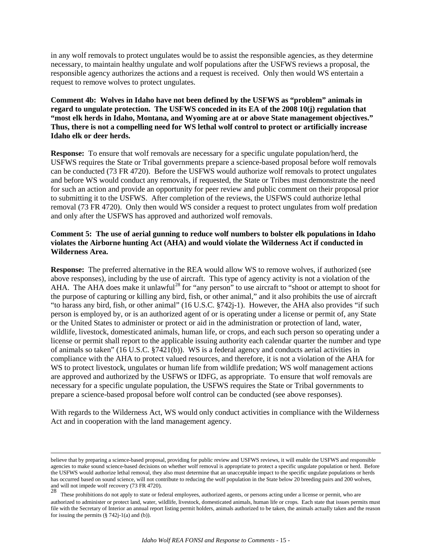in any wolf removals to protect ungulates would be to assist the responsible agencies, as they determine necessary, to maintain healthy ungulate and wolf populations after the USFWS reviews a proposal, the responsible agency authorizes the actions and a request is received. Only then would WS entertain a request to remove wolves to protect ungulates.

**Comment 4b: Wolves in Idaho have not been defined by the USFWS as "problem" animals in regard to ungulate protection. The USFWS conceded in its EA of the 2008 10(j) regulation that "most elk herds in Idaho, Montana, and Wyoming are at or above State management objectives." Thus, there is not a compelling need for WS lethal wolf control to protect or artificially increase Idaho elk or deer herds.** 

**Response:** To ensure that wolf removals are necessary for a specific ungulate population/herd, the USFWS requires the State or Tribal governments prepare a science-based proposal before wolf removals can be conducted (73 FR 4720). Before the USFWS would authorize wolf removals to protect ungulates and before WS would conduct any removals, if requested, the State or Tribes must demonstrate the need for such an action and provide an opportunity for peer review and public comment on their proposal prior to submitting it to the USFWS. After completion of the reviews, the USFWS could authorize lethal removal (73 FR 4720). Only then would WS consider a request to protect ungulates from wolf predation and only after the USFWS has approved and authorized wolf removals.

#### **Comment 5: The use of aerial gunning to reduce wolf numbers to bolster elk populations in Idaho violates the Airborne hunting Act (AHA) and would violate the Wilderness Act if conducted in Wilderness Area.**

**Response:** The preferred alternative in the REA would allow WS to remove wolves, if authorized (see above responses), including by the use of aircraft. This type of agency activity is not a violation of the AHA. The AHA does make it unlawful<sup>[28](#page-14-0)</sup> for "any person" to use aircraft to "shoot or attempt to shoot for the purpose of capturing or killing any bird, fish, or other animal," and it also prohibits the use of aircraft "to harass any bird, fish, or other animal" (16 U.S.C. §742j-1). However, the AHA also provides "if such person is employed by, or is an authorized agent of or is operating under a license or permit of, any State or the United States to administer or protect or aid in the administration or protection of land, water, wildlife, livestock, domesticated animals, human life, or crops, and each such person so operating under a license or permit shall report to the applicable issuing authority each calendar quarter the number and type of animals so taken" (16 U.S.C. §7421(b)). WS is a federal agency and conducts aerial activities in compliance with the AHA to protect valued resources, and therefore, it is not a violation of the AHA for WS to protect livestock, ungulates or human life from wildlife predation; WS wolf management actions are approved and authorized by the USFWS or IDFG, as appropriate. To ensure that wolf removals are necessary for a specific ungulate population, the USFWS requires the State or Tribal governments to prepare a science-based proposal before wolf control can be conducted (see above responses).

With regards to the Wilderness Act, WS would only conduct activities in compliance with the Wilderness Act and in cooperation with the land management agency.

 believe that by preparing a science-based proposal, providing for public review and USFWS reviews, it will enable the USFWS and responsible agencies to make sound science-based decisions on whether wolf removal is appropriate to protect a specific ungulate population or herd. Before the USFWS would authorize lethal removal, they also must determine that an unacceptable impact to the specific ungulate populations or herds has occurred based on sound science, will not contribute to reducing the wolf population in the State below 20 breeding pairs and 200 wolves, and will not impede wolf recovery (73 FR 4720).

<span id="page-14-0"></span> $\frac{28}{28}$  These prohibitions do not apply to state or federal employees, authorized agents, or persons acting under a license or permit, who are authorized to administer or protect land, water, wildlife, livestock, domesticated animals, human life or crops. Each state that issues permits must file with the Secretary of Interior an annual report listing permit holders, animals authorized to be taken, the animals actually taken and the reason for issuing the permits (§ 742j-1(a) and (b)).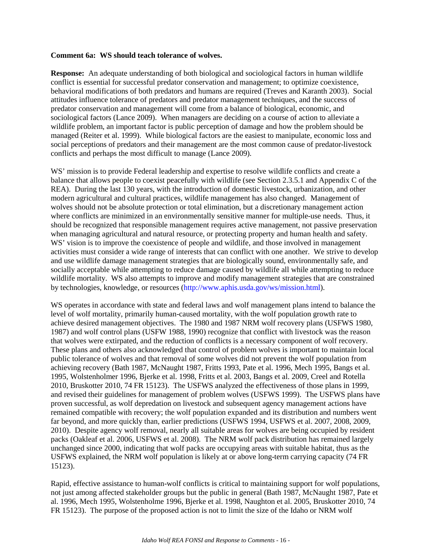#### **Comment 6a: WS should teach tolerance of wolves.**

**Response:** An adequate understanding of both biological and sociological factors in human wildlife conflict is essential for successful predator conservation and management; to optimize coexistence, behavioral modifications of both predators and humans are required (Treves and Karanth 2003). Social attitudes influence tolerance of predators and predator management techniques, and the success of predator conservation and management will come from a balance of biological, economic, and sociological factors (Lance 2009). When managers are deciding on a course of action to alleviate a wildlife problem, an important factor is public perception of damage and how the problem should be managed (Reiter et al. 1999). While biological factors are the easiest to manipulate, economic loss and social perceptions of predators and their management are the most common cause of predator-livestock conflicts and perhaps the most difficult to manage (Lance 2009).

WS' mission is to provide Federal leadership and expertise to resolve wildlife conflicts and create a balance that allows people to coexist peacefully with wildlife (see Section 2.3.5.1 and Appendix C of the REA). During the last 130 years, with the introduction of domestic livestock, urbanization, and other modern agricultural and cultural practices, wildlife management has also changed. Management of wolves should not be absolute protection or total elimination, but a discretionary management action where conflicts are minimized in an environmentally sensitive manner for multiple-use needs. Thus, it should be recognized that responsible management requires active management, not passive preservation when managing agricultural and natural resource, or protecting property and human health and safety. WS' vision is to improve the coexistence of people and wildlife, and those involved in management activities must consider a wide range of interests that can conflict with one another. We strive to develop and use wildlife damage management strategies that are biologically sound, environmentally safe, and socially acceptable while attempting to reduce damage caused by wildlife all while attempting to reduce wildlife mortality. WS also attempts to improve and modify management strategies that are constrained by technologies, knowledge, or resources [\(http://www.aphis.usda.gov/ws/mission.html\)](http://www.aphis.usda.gov/ws/mission.html).

WS operates in accordance with state and federal laws and wolf management plans intend to balance the level of wolf mortality, primarily human-caused mortality, with the wolf population growth rate to achieve desired management objectives. The 1980 and 1987 NRM wolf recovery plans (USFWS 1980, 1987) and wolf control plans (USFW 1988, 1990) recognize that conflict with livestock was the reason that wolves were extirpated, and the reduction of conflicts is a necessary component of wolf recovery. These plans and others also acknowledged that control of problem wolves is important to maintain local public tolerance of wolves and that removal of some wolves did not prevent the wolf population from achieving recovery (Bath 1987, McNaught 1987, Fritts 1993, Pate et al. 1996, Mech 1995, Bangs et al. 1995, Wolstenholmer 1996, Bjerke et al. 1998, Fritts et al. 2003, Bangs et al. 2009, Creel and Rotella 2010, Bruskotter 2010, 74 FR 15123). The USFWS analyzed the effectiveness of those plans in 1999, and revised their guidelines for management of problem wolves (USFWS 1999). The USFWS plans have proven successful, as wolf depredation on livestock and subsequent agency management actions have remained compatible with recovery; the wolf population expanded and its distribution and numbers went far beyond, and more quickly than, earlier predictions (USFWS 1994, USFWS et al. 2007, 2008, 2009, 2010). Despite agency wolf removal, nearly all suitable areas for wolves are being occupied by resident packs (Oakleaf et al. 2006, USFWS et al. 2008). The NRM wolf pack distribution has remained largely unchanged since 2000, indicating that wolf packs are occupying areas with suitable habitat, thus as the USFWS explained, the NRM wolf population is likely at or above long-term carrying capacity (74 FR 15123).

Rapid, effective assistance to human-wolf conflicts is critical to maintaining support for wolf populations, not just among affected stakeholder groups but the public in general (Bath 1987, McNaught 1987, Pate et al. 1996, Mech 1995, Wolstenholme 1996, Bjerke et al. 1998, Naughton et al. 2005, Bruskotter 2010, 74 FR 15123). The purpose of the proposed action is not to limit the size of the Idaho or NRM wolf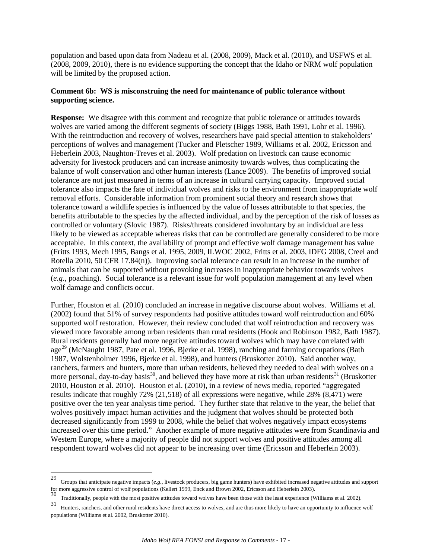population and based upon data from Nadeau et al. (2008, 2009), Mack et al. (2010), and USFWS et al. (2008, 2009, 2010), there is no evidence supporting the concept that the Idaho or NRM wolf population will be limited by the proposed action.

### **Comment 6b: WS is misconstruing the need for maintenance of public tolerance without supporting science.**

**Response:** We disagree with this comment and recognize that public tolerance or attitudes towards wolves are varied among the different segments of society (Biggs 1988, Bath 1991, Lohr et al. 1996). With the reintroduction and recovery of wolves, researchers have paid special attention to stakeholders' perceptions of wolves and management (Tucker and Pletscher 1989, Williams et al. 2002, Ericsson and Heberlein 2003, Naughton-Treves et al. 2003). Wolf predation on livestock can cause economic adversity for livestock producers and can increase animosity towards wolves, thus complicating the balance of wolf conservation and other human interests (Lance 2009). The benefits of improved social tolerance are not just measured in terms of an increase in cultural carrying capacity. Improved social tolerance also impacts the fate of individual wolves and risks to the environment from inappropriate wolf removal efforts. Considerable information from prominent social theory and research shows that tolerance toward a wildlife species is influenced by the value of losses attributable to that species, the benefits attributable to the species by the affected individual, and by the perception of the risk of losses as controlled or voluntary (Slovic 1987). Risks/threats considered involuntary by an individual are less likely to be viewed as acceptable whereas risks that can be controlled are generally considered to be more acceptable. In this context, the availability of prompt and effective wolf damage management has value (Fritts 1993, Mech 1995, Bangs et al. 1995, 2009, ILWOC 2002, Fritts et al. 2003, IDFG 2008, Creel and Rotella 2010, 50 CFR 17.84(n)). Improving social tolerance can result in an increase in the number of animals that can be supported without provoking increases in inappropriate behavior towards wolves (*e.g*., poaching). Social tolerance is a relevant issue for wolf population management at any level when wolf damage and conflicts occur.

Further, Houston et al. (2010) concluded an increase in negative discourse about wolves. Williams et al. (2002) found that 51% of survey respondents had positive attitudes toward wolf reintroduction and 60% supported wolf restoration. However, their review concluded that wolf reintroduction and recovery was viewed more favorable among urban residents than rural residents (Hook and Robinson 1982, Bath 1987). Rural residents generally had more negative attitudes toward wolves which may have correlated with age<sup>[29](#page-16-0)</sup> (McNaught 1987, Pate et al. 1996, Bjerke et al. 1998), ranching and farming occupations (Bath 1987, Wolstenholmer 1996, Bjerke et al. 1998), and hunters (Bruskotter 2010). Said another way, ranchers, farmers and hunters, more than urban residents, believed they needed to deal with wolves on a more personal, day-to-day basis<sup>[30](#page-16-1)</sup>, and believed they have more at risk than urban residents<sup>[31](#page-16-2)</sup> (Bruskotter 2010, Houston et al. 2010). Houston et al. (2010), in a review of news media, reported "aggregated results indicate that roughly 72% (21,518) of all expressions were negative, while 28% (8,471) were positive over the ten year analysis time period. They further state that relative to the year, the belief that wolves positively impact human activities and the judgment that wolves should be protected both decreased significantly from 1999 to 2008, while the belief that wolves negatively impact ecosystems increased over this time period." Another example of more negative attitudes were from Scandinavia and Western Europe, where a majority of people did not support wolves and positive attitudes among all respondent toward wolves did not appear to be increasing over time (Ericsson and Heberlein 2003).

<span id="page-16-0"></span><sup>29</sup> 29 Groups that anticipate negative impacts (*e.g*., livestock producers, big game hunters) have exhibited increased negative attitudes and support for more aggressive control of wolf populations (Kellert 1999, Enck and Brown 2002, Ericsson and Heberlein 2003).<br>30 Traditionally, people with the most positive attitudes toward wolves have been those with the least exper

<span id="page-16-1"></span>

<span id="page-16-2"></span><sup>31</sup> Hunters, ranchers, and other rural residents have direct access to wolves, and are thus more likely to have an opportunity to influence wolf populations (Williams et al. 2002, Bruskotter 2010).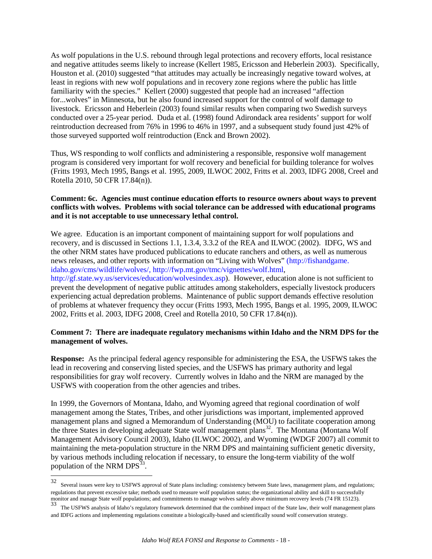As wolf populations in the U.S. rebound through legal protections and recovery efforts, local resistance and negative attitudes seems likely to increase (Kellert 1985, Ericsson and Heberlein 2003). Specifically, Houston et al. (2010) suggested "that attitudes may actually be increasingly negative toward wolves, at least in regions with new wolf populations and in recovery zone regions where the public has little familiarity with the species." Kellert (2000) suggested that people had an increased "affection for...wolves" in Minnesota, but he also found increased support for the control of wolf damage to livestock. Ericsson and Heberlein (2003) found similar results when comparing two Swedish surveys conducted over a 25-year period. Duda et al. (1998) found Adirondack area residents' support for wolf reintroduction decreased from 76% in 1996 to 46% in 1997, and a subsequent study found just 42% of those surveyed supported wolf reintroduction (Enck and Brown 2002).

Thus, WS responding to wolf conflicts and administering a responsible, responsive wolf management program is considered very important for wolf recovery and beneficial for building tolerance for wolves (Fritts 1993, Mech 1995, Bangs et al. 1995, 2009, ILWOC 2002, Fritts et al. 2003, IDFG 2008, Creel and Rotella 2010, 50 CFR 17.84(n)).

#### **Comment: 6c. Agencies must continue education efforts to resource owners about ways to prevent conflicts with wolves. Problems with social tolerance can be addressed with educational programs and it is not acceptable to use unnecessary lethal control.**

We agree. Education is an important component of maintaining support for wolf populations and recovery, and is discussed in Sections 1.1, 1.3.4, 3.3.2 of the REA and ILWOC (2002). IDFG, WS and the other NRM states have produced publications to educate ranchers and others, as well as numerous news releases, and other reports with information on "Living with Wolves" (http://fishandgame. idaho.gov/cms/wildlife/wolves/, [http://fwp.mt.gov/tmc/vignettes/wolf.html,](http://fwp.mt.gov/tmc/vignettes/wolf.html)

http://gf.state.wy.us/services/education/wolvesindex.asp). However, education alone is not sufficient to prevent the development of negative public attitudes among stakeholders, especially livestock producers experiencing actual depredation problems. Maintenance of public support demands effective resolution of problems at whatever frequency they occur (Fritts 1993, Mech 1995, Bangs et al. 1995, 2009, ILWOC 2002, Fritts et al. 2003, IDFG 2008, Creel and Rotella 2010, 50 CFR 17.84(n)).

### **Comment 7: There are inadequate regulatory mechanisms within Idaho and the NRM DPS for the management of wolves.**

**Response:** As the principal federal agency responsible for administering the ESA, the USFWS takes the lead in recovering and conserving listed species, and the USFWS has primary authority and legal responsibilities for gray wolf recovery. Currently wolves in Idaho and the NRM are managed by the USFWS with cooperation from the other agencies and tribes.

In 1999, the Governors of Montana, Idaho, and Wyoming agreed that regional coordination of wolf management among the States, Tribes, and other jurisdictions was important, implemented approved management plans and signed a Memorandum of Understanding (MOU) to facilitate cooperation among the three States in developing adequate State wolf management plans<sup>[32](#page-17-0)</sup>. The Montana (Montana Wolf Management Advisory Council 2003), Idaho (ILWOC 2002), and Wyoming (WDGF 2007) all commit to maintaining the meta-population structure in the NRM DPS and maintaining sufficient genetic diversity, by various methods including relocation if necessary, to ensure the long-term viability of the wolf population of the NRM DPS $^{33}$  $^{33}$  $^{33}$ .

<span id="page-17-0"></span><sup>32</sup> Several issues were key to USFWS approval of State plans including: consistency between State laws, management plans, and regulations; regulations that prevent excessive take; methods used to measure wolf population status; the organizational ability and skill to successfully monitor and manage State wolf populations; and commitments to manage wolves safely above minimum recovery levels (74 FR 15123).

<span id="page-17-1"></span><sup>33</sup> The USFWS analysis of Idaho's regulatory framework determined that the combined impact of the State law, their wolf management plans and IDFG actions and implementing regulations constitute a biologically-based and scientifically sound wolf conservation strategy.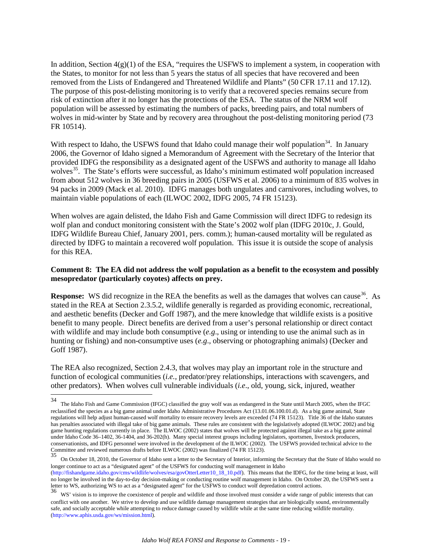In addition, Section  $4(g)(1)$  of the ESA, "requires the USFWS to implement a system, in cooperation with the States, to monitor for not less than 5 years the status of all species that have recovered and been removed from the Lists of Endangered and Threatened Wildlife and Plants" (50 CFR 17.11 and 17.12). The purpose of this post-delisting monitoring is to verify that a recovered species remains secure from risk of extinction after it no longer has the protections of the ESA. The status of the NRM wolf population will be assessed by estimating the numbers of packs, breeding pairs, and total numbers of wolves in mid-winter by State and by recovery area throughout the post-delisting monitoring period (73 FR 10514).

With respect to Idaho, the USFWS found that Idaho could manage their wolf population<sup>[34](#page-18-0)</sup>. In January 2006, the Governor of Idaho signed a Memorandum of Agreement with the Secretary of the Interior that provided IDFG the responsibility as a designated agent of the USFWS and authority to manage all Idaho wolves<sup>35</sup>. The State's efforts were successful, as Idaho's minimum estimated wolf population increased from about 512 wolves in 36 breeding pairs in 2005 (USFWS et al. 2006) to a minimum of 835 wolves in 94 packs in 2009 (Mack et al. 2010). IDFG manages both ungulates and carnivores, including wolves, to maintain viable populations of each (ILWOC 2002, IDFG 2005, 74 FR 15123).

When wolves are again delisted, the Idaho Fish and Game Commission will direct IDFG to redesign its wolf plan and conduct monitoring consistent with the State's 2002 wolf plan (IDFG 2010c, J. Gould, IDFG Wildlife Bureau Chief, January 2001, pers. comm.); human-caused mortality will be regulated as directed by IDFG to maintain a recovered wolf population. This issue it is outside the scope of analysis for this REA.

#### **Comment 8: The EA did not address the wolf population as a benefit to the ecosystem and possibly mesopredator (particularly coyotes) affects on prey.**

**Response:** WS did recognize in the REA the benefits as well as the damages that wolves can cause<sup>36</sup>. As stated in the REA at Section 2.3.5.2, wildlife generally is regarded as providing economic, recreational, and aesthetic benefits (Decker and Goff 1987), and the mere knowledge that wildlife exists is a positive benefit to many people. Direct benefits are derived from a user's personal relationship or direct contact with wildlife and may include both consumptive (*e.g*., using or intending to use the animal such as in hunting or fishing) and non-consumptive uses (*e.g*., observing or photographing animals) (Decker and Goff 1987).

The REA also recognized, Section 2.4.3, that wolves may play an important role in the structure and function of ecological communities (*i.e.,* predator/prey relationships, interactions with scavengers, and other predators). When wolves cull vulnerable individuals (*i.e*., old, young, sick, injured, weather

<span id="page-18-0"></span><sup>34</sup> 34 The Idaho Fish and Game Commission (IFGC) classified the gray wolf was as endangered in the State until March 2005, when the IFGC reclassified the species as a big game animal under Idaho Administrative Procedures Act (13.01.06.100.01.d). As a big game animal, State regulations will help adjust human-caused wolf mortality to ensure recovery levels are exceeded (74 FR 15123). Title 36 of the Idaho statutes has penalties associated with illegal take of big game animals. These rules are consistent with the legislatively adopted (ILWOC 2002) and big game hunting regulations currently in place. The ILWOC (2002) states that wolves will be protected against illegal take as a big game animal under Idaho Code 36–1402, 36-1404, and 36-202(h). Many special interest groups including legislators, sportsmen, livestock producers, conservationists, and IDFG personnel were involved in the development of the ILWOC (2002). The USFWS provided technical advice to the Committee and reviewed numerous drafts before ILWOC (2002) was finalized (74 FR 15123).

<span id="page-18-1"></span><sup>35</sup> On October 18, 2010, the Governor of Idaho sent a letter to the Secretary of Interior, informing the Secretary that the State of Idaho would no longer continue to act as a "designated agent" of the USFWS for conducting wolf management in Idaho (http://fishandgame.idaho.gov/cms/wildlife/wolves/esa/govOtterLetter10\_18\_10.pdf). This means that the IDFG, for the time being at least, will no longer be involved in the day-to-day decision-making or conducting routine wolf management in Idaho. On October 20, the USFWS sent a letter to WS, authorizing WS to act as a "designated agent" for the USFWS to conduct w

<span id="page-18-2"></span><sup>36</sup> WS' vision is to improve the coexistence of people and wildlife and those involved must consider a wide range of public interests that can conflict with one another. We strive to develop and use wildlife damage management strategies that are biologically sound, environmentally safe, and socially acceptable while attempting to reduce damage caused by wildlife while at the same time reducing wildlife mortality. [\(http://www.aphis.usda.gov/ws/mission.html\)](http://www.aphis.usda.gov/ws/mission.html).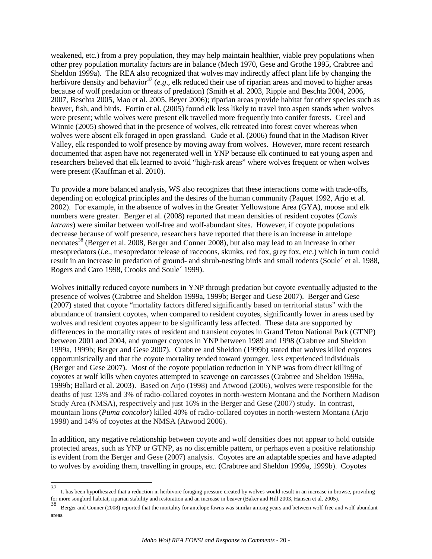weakened, etc.) from a prey population, they may help maintain healthier, viable prey populations when other prey population mortality factors are in balance (Mech 1970, Gese and Grothe 1995, Crabtree and Sheldon 1999a). The REA also recognized that wolves may indirectly affect plant life by changing the herbivore density and behavior<sup>[37](#page-19-0)</sup> (*e.g.*, elk reduced their use of riparian areas and moved to higher areas because of wolf predation or threats of predation) (Smith et al. 2003, Ripple and Beschta 2004, 2006, 2007, Beschta 2005, Mao et al. 2005, Beyer 2006); riparian areas provide habitat for other species such as beaver, fish, and birds. Fortin et al. (2005) found elk less likely to travel into aspen stands when wolves were present; while wolves were present elk travelled more frequently into conifer forests. Creel and Winnie (2005) showed that in the presence of wolves, elk retreated into forest cover whereas when wolves were absent elk foraged in open grassland. Gude et al. (2006) found that in the Madison River Valley, elk responded to wolf presence by moving away from wolves. However, more recent research documented that aspen have not regenerated well in YNP because elk continued to eat young aspen and researchers believed that elk learned to avoid "high-risk areas" where wolves frequent or when wolves were present (Kauffman et al. 2010).

To provide a more balanced analysis, WS also recognizes that these interactions come with trade-offs, depending on ecological principles and the desires of the human community (Paquet 1992, Arjo et al. 2002). For example, in the absence of wolves in the Greater Yellowstone Area (GYA), moose and elk numbers were greater. Berger et al. (2008) reported that mean densities of resident coyotes (*Canis latrans*) were similar between wolf-free and wolf-abundant sites. However, if coyote populations decrease because of wolf presence, researchers have reported that there is an increase in antelope neonates<sup>[38](#page-19-1)</sup> (Berger et al. 2008, Berger and Conner 2008), but also may lead to an increase in other mesopredators (*i.e*., mesopredator release of raccoons, skunks, red fox, grey fox, etc.) which in turn could result in an increase in predation of ground- and shrub-nesting birds and small rodents (Soule´ et al. 1988, Rogers and Caro 1998, Crooks and Soule´ 1999).

Wolves initially reduced coyote numbers in YNP through predation but coyote eventually adjusted to the presence of wolves (Crabtree and Sheldon 1999a, 1999b; Berger and Gese 2007). Berger and Gese (2007) stated that coyote "mortality factors differed significantly based on territorial status" with the abundance of transient coyotes, when compared to resident coyotes, significantly lower in areas used by wolves and resident coyotes appear to be significantly less affected. These data are supported by differences in the mortality rates of resident and transient coyotes in Grand Teton National Park (GTNP) between 2001 and 2004, and younger coyotes in YNP between 1989 and 1998 (Crabtree and Sheldon 1999a, 1999b; Berger and Gese 2007). Crabtree and Sheldon (1999b) stated that wolves killed coyotes opportunistically and that the coyote mortality tended toward younger, less experienced individuals (Berger and Gese 2007). Most of the coyote population reduction in YNP was from direct killing of coyotes at wolf kills when coyotes attempted to scavenge on carcasses (Crabtree and Sheldon 1999a, 1999b; Ballard et al. 2003). Based on Arjo (1998) and Atwood (2006), wolves were responsible for the deaths of just 13% and 3% of radio-collared coyotes in north-western Montana and the Northern Madison Study Area (NMSA), respectively and just 16% in the Berger and Gese (2007) study. In contrast, mountain lions (*Puma concolor*) killed 40% of radio-collared coyotes in north-western Montana (Arjo 1998) and 14% of coyotes at the NMSA (Atwood 2006).

In addition, any negative relationship between coyote and wolf densities does not appear to hold outside protected areas, such as YNP or GTNP, as no discernible pattern, or perhaps even a positive relationship is evident from the Berger and Gese (2007) analysis. Coyotes are an adaptable species and have adapted to wolves by avoiding them, travelling in groups, etc. (Crabtree and Sheldon 1999a, 1999b). Coyotes

<span id="page-19-0"></span> $37\,$  $37$  It has been hypothesized that a reduction in herbivore foraging pressure created by wolves would result in an increase in browse, providing for more songbird habitat, riparian stability and restoration and an increas

<span id="page-19-1"></span>Berger and Conner (2008) reported that the mortality for antelope fawns was similar among years and between wolf-free and wolf-abundant areas.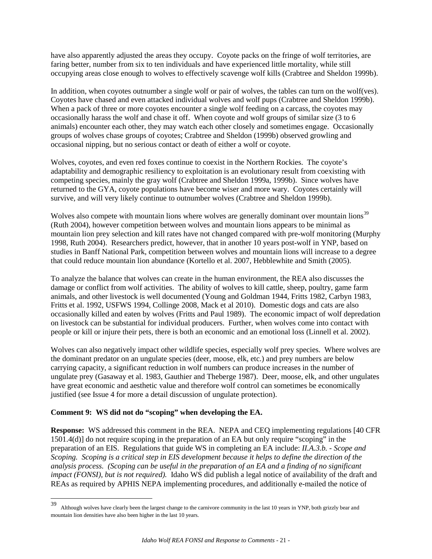have also apparently adjusted the areas they occupy. Coyote packs on the fringe of wolf territories, are faring better, number from six to ten individuals and have experienced little mortality, while still occupying areas close enough to wolves to effectively scavenge wolf kills (Crabtree and Sheldon 1999b).

In addition, when coyotes outnumber a single wolf or pair of wolves, the tables can turn on the wolf(ves). Coyotes have chased and even attacked individual wolves and wolf pups (Crabtree and Sheldon 1999b). When a pack of three or more coyotes encounter a single wolf feeding on a carcass, the coyotes may occasionally harass the wolf and chase it off. When coyote and wolf groups of similar size (3 to 6 animals) encounter each other, they may watch each other closely and sometimes engage. Occasionally groups of wolves chase groups of coyotes; Crabtree and Sheldon (1999b) observed growling and occasional nipping, but no serious contact or death of either a wolf or coyote.

Wolves, coyotes, and even red foxes continue to coexist in the Northern Rockies. The coyote's adaptability and demographic resiliency to exploitation is an evolutionary result from coexisting with competing species, mainly the gray wolf (Crabtree and Sheldon 1999a, 1999b). Since wolves have returned to the GYA, coyote populations have become wiser and more wary. Coyotes certainly will survive, and will very likely continue to outnumber wolves (Crabtree and Sheldon 1999b).

Wolves also compete with mountain lions where wolves are generally dominant over mountain lions<sup>[39](#page-20-0)</sup> (Ruth 2004), however competition between wolves and mountain lions appears to be minimal as mountain lion prey selection and kill rates have not changed compared with pre-wolf monitoring (Murphy 1998, Ruth 2004). Researchers predict, however, that in another 10 years post-wolf in YNP, based on studies in Banff National Park, competition between wolves and mountain lions will increase to a degree that could reduce mountain lion abundance (Kortello et al. 2007, Hebblewhite and Smith (2005).

To analyze the balance that wolves can create in the human environment, the REA also discusses the damage or conflict from wolf activities. The ability of wolves to kill cattle, sheep, poultry, game farm animals, and other livestock is well documented (Young and Goldman 1944, Fritts 1982, Carbyn 1983, Fritts et al. 1992, USFWS 1994, Collinge 2008, Mack et al 2010). Domestic dogs and cats are also occasionally killed and eaten by wolves (Fritts and Paul 1989). The economic impact of wolf depredation on livestock can be substantial for individual producers. Further, when wolves come into contact with people or kill or injure their pets, there is both an economic and an emotional loss (Linnell et al. 2002).

Wolves can also negatively impact other wildlife species, especially wolf prey species. Where wolves are the dominant predator on an ungulate species (deer, moose, elk, etc.) and prey numbers are below carrying capacity, a significant reduction in wolf numbers can produce increases in the number of ungulate prey (Gasaway et al. 1983, Gauthier and Theberge 1987). Deer, moose, elk, and other ungulates have great economic and aesthetic value and therefore wolf control can sometimes be economically justified (see Issue 4 for more a detail discussion of ungulate protection).

#### **Comment 9: WS did not do "scoping" when developing the EA.**

 $\overline{a}$ 

**Response:** WS addressed this comment in the REA. NEPA and CEQ implementing regulations [40 CFR 1501.4(d)] do not require scoping in the preparation of an EA but only require "scoping" in the preparation of an EIS. Regulations that guide WS in completing an EA include: *II.A.3.b. - Scope and Scoping. Scoping is a critical step in EIS development because it helps to define the direction of the analysis process. (Scoping can be useful in the preparation of an EA and a finding of no significant impact (FONSI), but is not required).* Idaho WS did publish a legal notice of availability of the draft and REAs as required by APHIS NEPA implementing procedures, and additionally e-mailed the notice of

<span id="page-20-0"></span><sup>39</sup> Although wolves have clearly been the largest change to the carnivore community in the last 10 years in YNP, both grizzly bear and mountain lion densities have also been higher in the last 10 years.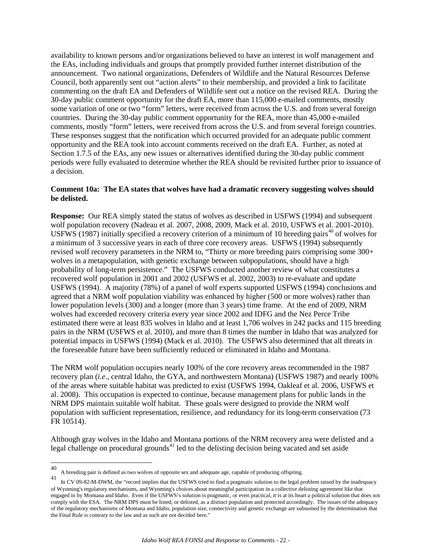availability to known persons and/or organizations believed to have an interest in wolf management and the EAs, including individuals and groups that promptly provided further internet distribution of the announcement. Two national organizations, Defenders of Wildlife and the Natural Resources Defense Council, both apparently sent out "action alerts" to their membership, and provided a link to facilitate commenting on the draft EA and Defenders of Wildlife sent out a notice on the revised REA. During the 30-day public comment opportunity for the draft EA, more than 115,000 e-mailed comments, mostly some variation of one or two "form" letters, were received from across the U.S. and from several foreign countries. During the 30-day public comment opportunity for the REA, more than 45,000 e-mailed comments, mostly "form" letters, were received from across the U.S. and from several foreign countries. These responses suggest that the notification which occurred provided for an adequate public comment opportunity and the REA took into account comments received on the draft EA. Further, as noted at Section 1.7.5 of the EAs, any new issues or alternatives identified during the 30-day public comment periods were fully evaluated to determine whether the REA should be revisited further prior to issuance of a decision.

#### **Comment 10a: The EA states that wolves have had a dramatic recovery suggesting wolves should be delisted.**

**Response:** Our REA simply stated the status of wolves as described in USFWS (1994) and subsequent wolf population recovery (Nadeau et al. 2007, 2008, 2009, Mack et al. 2010, USFWS et al. 2001-2010). USFWS (1987) initially specified a recovery criterion of a minimum of 10 breeding pairs<sup>[40](#page-21-0)</sup> of wolves for a minimum of 3 successive years in each of three core recovery areas. USFWS (1994) subsequently revised wolf recovery parameters in the NRM to, "Thirty or more breeding pairs comprising some 300+ wolves in a metapopulation, with genetic exchange between subpopulations, should have a high probability of long-term persistence." The USFWS conducted another review of what constitutes a recovered wolf population in 2001 and 2002 (USFWS et al. 2002, 2003) to re-evaluate and update USFWS (1994). A majority (78%) of a panel of wolf experts supported USFWS (1994) conclusions and agreed that a NRM wolf population viability was enhanced by higher (500 or more wolves) rather than lower population levels (300) and a longer (more than 3 years) time frame. At the end of 2009, NRM wolves had exceeded recovery criteria every year since 2002 and IDFG and the Nez Perce Tribe estimated there were at least 835 wolves in Idaho and at least 1,706 wolves in 242 packs and 115 breeding pairs in the NRM (USFWS et al. 2010), and more than 8 times the number in Idaho that was analyzed for potential impacts in USFWS (1994) (Mack et al. 2010). The USFWS also determined that all threats in the foreseeable future have been sufficiently reduced or eliminated in Idaho and Montana.

The NRM wolf population occupies nearly 100% of the core recovery areas recommended in the 1987 recovery plan (*i.e*., central Idaho, the GYA, and northwestern Montana) (USFWS 1987) and nearly 100% of the areas where suitable habitat was predicted to exist (USFWS 1994, Oakleaf et al. 2006, USFWS et al. 2008). This occupation is expected to continue, because management plans for public lands in the NRM DPS maintain suitable wolf habitat. These goals were designed to provide the NRM wolf population with sufficient representation, resilience, and redundancy for its long-term conservation (73 FR 10514).

Although gray wolves in the Idaho and Montana portions of the NRM recovery area were delisted and a legal challenge on procedural grounds<sup>[41](#page-21-1)</sup> led to the delisting decision being vacated and set aside

<span id="page-21-0"></span><sup>40</sup> <sup>40</sup> A breeding pair is defined as two wolves of opposite sex and adequate age, capable of producing offspring.<br>41 **A** CM 00.00 **M DWM** defined at the detail of the first product of the first product of the detailed

<span id="page-21-1"></span>In CV 09-82-M-DWM, the "record implies that the USFWS tried to find a pragmatic solution to the legal problem raised by the inadequacy of Wyoming's regulatory mechanisms, and Wyoming's choices about meaningful participation in a collective delisting agreement like that engaged in by Montana and Idaho. Even if the USFWS's solution is pragmatic, or even practical, it is at its heart a political solution that does not comply with the ESA. The NRM DPS must be listed, or delisted, as a distinct population and protected accordingly. The issues of the adequacy of the regulatory mechanisms of Montana and Idaho, population size, connectivity and genetic exchange are subsumed by the determination that the Final Rule is contrary to the law and as such are not decided here."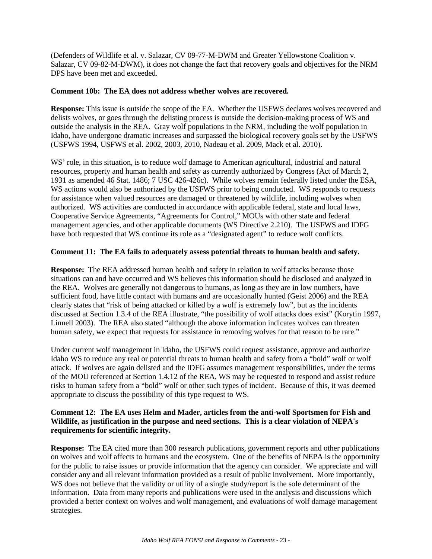(Defenders of Wildlife et al. v. Salazar, CV 09-77-M-DWM and Greater Yellowstone Coalition v. Salazar, CV 09-82-M-DWM), it does not change the fact that recovery goals and objectives for the NRM DPS have been met and exceeded.

#### **Comment 10b: The EA does not address whether wolves are recovered.**

**Response:** This issue is outside the scope of the EA. Whether the USFWS declares wolves recovered and delists wolves, or goes through the delisting process is outside the decision-making process of WS and outside the analysis in the REA. Gray wolf populations in the NRM, including the wolf population in Idaho, have undergone dramatic increases and surpassed the biological recovery goals set by the USFWS (USFWS 1994, USFWS et al. 2002, 2003, 2010, Nadeau et al. 2009, Mack et al. 2010).

WS' role, in this situation, is to reduce wolf damage to American agricultural, industrial and natural resources, property and human health and safety as currently authorized by Congress (Act of March 2, 1931 as amended 46 Stat. 1486; 7 USC 426-426c). While wolves remain federally listed under the ESA, WS actions would also be authorized by the USFWS prior to being conducted. WS responds to requests for assistance when valued resources are damaged or threatened by wildlife, including wolves when authorized. WS activities are conducted in accordance with applicable federal, state and local laws, Cooperative Service Agreements, "Agreements for Control," MOUs with other state and federal management agencies, and other applicable documents (WS Directive 2.210). The USFWS and IDFG have both requested that WS continue its role as a "designated agent" to reduce wolf conflicts.

#### **Comment 11: The EA fails to adequately assess potential threats to human health and safety.**

**Response:** The REA addressed human health and safety in relation to wolf attacks because those situations can and have occurred and WS believes this information should be disclosed and analyzed in the REA.Wolves are generally not dangerous to humans, as long as they are in low numbers, have sufficient food, have little contact with humans and are occasionally hunted (Geist 2006) and the REA clearly states that "risk of being attacked or killed by a wolf is extremely low", but as the incidents discussed at Section 1.3.4 of the REA illustrate, "the possibility of wolf attacks does exist" (Korytin 1997, Linnell 2003). The REA also stated "although the above information indicates wolves can threaten human safety, we expect that requests for assistance in removing wolves for that reason to be rare."

Under current wolf management in Idaho, the USFWS could request assistance, approve and authorize Idaho WS to reduce any real or potential threats to human health and safety from a "bold" wolf or wolf attack. If wolves are again delisted and the IDFG assumes management responsibilities, under the terms of the MOU referenced at Section 1.4.12 of the REA, WS may be requested to respond and assist reduce risks to human safety from a "bold" wolf or other such types of incident. Because of this, it was deemed appropriate to discuss the possibility of this type request to WS.

#### **Comment 12: The EA uses Helm and Mader, articles from the anti-wolf Sportsmen for Fish and Wildlife, as justification in the purpose and need sections. This is a clear violation of NEPA's requirements for scientific integrity.**

**Response:** The EA cited more than 300 research publications, government reports and other publications on wolves and wolf affects to humans and the ecosystem. One of the benefits of NEPA is the opportunity for the public to raise issues or provide information that the agency can consider. We appreciate and will consider any and all relevant information provided as a result of public involvement. More importantly, WS does not believe that the validity or utility of a single study/report is the sole determinant of the information. Data from many reports and publications were used in the analysis and discussions which provided a better context on wolves and wolf management, and evaluations of wolf damage management strategies.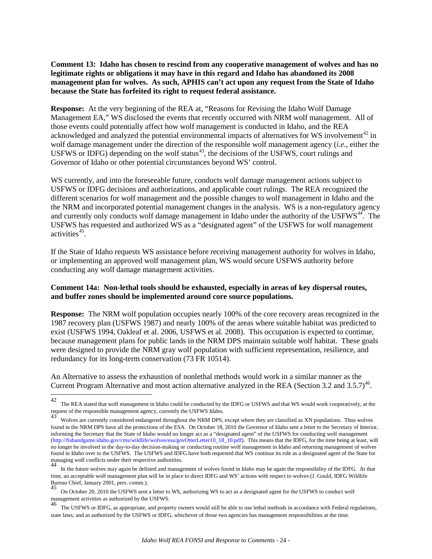**Comment 13: Idaho has chosen to rescind from any cooperative management of wolves and has no legitimate rights or obligations it may have in this regard and Idaho has abandoned its 2008 management plan for wolves. As such, APHIS can't act upon any request from the State of Idaho because the State has forfeited its right to request federal assistance.** 

**Response:** At the very beginning of the REA at, "Reasons for Revising the Idaho Wolf Damage Management EA," WS disclosed the events that recently occurred with NRM wolf management. All of those events could potentially affect how wolf management is conducted in Idaho, and the REA acknowledged and analyzed the potential environmental impacts of alternatives for WS involvement<sup>[42](#page-23-0)</sup> in wolf damage management under the direction of the responsible wolf management agency (*i.e*., either the USFWS or IDFG) depending on the wolf status $43$ , the decisions of the USFWS, court rulings and Governor of Idaho or other potential circumstances beyond WS' control.

WS currently, and into the foreseeable future, conducts wolf damage management actions subject to USFWS or IDFG decisions and authorizations, and applicable court rulings. The REA recognized the different scenarios for wolf management and the possible changes to wolf management in Idaho and the the NRM and incorporated potential management changes in the analysis. WS is a non-regulatory agency and currently only conducts wolf damage management in Idaho under the authority of the USFWS<sup>44</sup>. The USFWS has requested and authorized WS as a "designated agent" of the USFWS for wolf management activities $45$ .

If the State of Idaho requests WS assistance before receiving management authority for wolves in Idaho, or implementing an approved wolf management plan, WS would secure USFWS authority before conducting any wolf damage management activities.

### **Comment 14a: Non-lethal tools should be exhausted, especially in areas of key dispersal routes, and buffer zones should be implemented around core source populations.**

**Response:** The NRM wolf population occupies nearly 100% of the core recovery areas recognized in the 1987 recovery plan (USFWS 1987) and nearly 100% of the areas where suitable habitat was predicted to exist (USFWS 1994, Oakleaf et al. 2006, USFWS et al. 2008). This occupation is expected to continue, because management plans for public lands in the NRM DPS maintain suitable wolf habitat. These goals were designed to provide the NRM gray wolf population with sufficient representation, resilience, and redundancy for its long-term conservation (73 FR 10514).

An Alternative to assess the exhaustion of nonlethal methods would work in a similar manner as the Current Program Alternative and most action alternative analyzed in the REA (Section 3.2 and 3.5.7)<sup>[46](#page-23-4)</sup>.

<span id="page-23-0"></span><sup>42</sup> The REA stated that wolf management in Idaho could be conducted by the IDFG or USFWS and that WS would work cooperatively, at the request of the responsible management agency, currently the USFWS Idaho.

<span id="page-23-1"></span><sup>43</sup> Wolves are currently considered endangered throughout the NRM DPS, except where they are classified as XN populations. Thus wolves found in the NRM DPS have all the protections of the ESA. On October 18, 2010 the Governor of Idaho sent a letter to the Secretary of Interior, informing the Secretary that the State of Idaho would no longer act as a "designated agent" of the USFWS for conducting wolf management (http://fishandgame.idaho.gov/cms/wildlife/wolves/esa/govOtterLetter10\_18\_10.pdf). This means that the IDFG, for the time being at least, will no longer be involved in the day-to-day decision-making or conducting routine wolf management in Idaho and returning management of wolves found in Idaho over to the USFWS. The USFWS and IDFG have both requested that WS continue its role as a designated agent of the State for managing wolf conflicts under their respective authorities.<br>44 In the fitter nucleus measure in her dilited and measure

<span id="page-23-2"></span><sup>44</sup> In the future wolves may again be delisted and management of wolves found in Idaho may be again the responsibility of the IDFG. At that time, an acceptable wolf management plan will be in place to direct IDFG and WS' actions with respect to wolves (J. Gould, IDFG Wildlife Bureau Chief, January 2001, pers. comm.).

<span id="page-23-3"></span>On October 20, 2010 the USFWS sent a letter to WS, authorizing WS to act as a designated agent for the USFWS to conduct wolf management activities as authorized by the USFWS.

<span id="page-23-4"></span><sup>&</sup>lt;sup>46</sup> The USFWS or IDFG, as appropriate, and property owners would still be able to use lethal methods in accordance with Federal regulations, state laws, and as authorized by the USFWS or IDFG, whichever of those two agencies has management responsibilities at the time.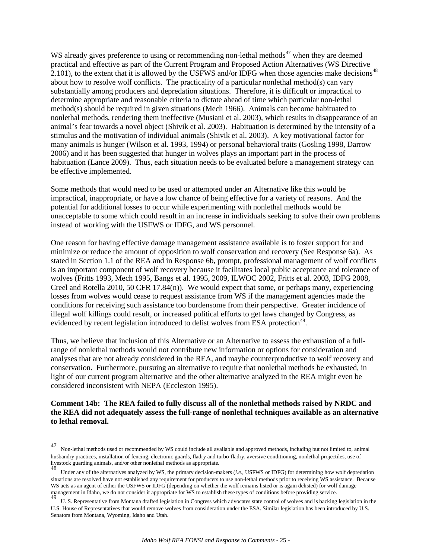WS already gives preference to using or recommending non-lethal methods $47$  when they are deemed practical and effective as part of the Current Program and Proposed Action Alternatives (WS Directive 2.101), to the extent that it is allowed by the USFWS and/or IDFG when those agencies make decisions<sup>[48](#page-24-1)</sup> about how to resolve wolf conflicts. The practicality of a particular nonlethal method(s) can vary substantially among producers and depredation situations. Therefore, it is difficult or impractical to determine appropriate and reasonable criteria to dictate ahead of time which particular non-lethal method(s) should be required in given situations (Mech 1966). Animals can become habituated to nonlethal methods, rendering them ineffective (Musiani et al. 2003), which results in disappearance of an animal's fear towards a novel object (Shivik et al. 2003). Habituation is determined by the intensity of a stimulus and the motivation of individual animals (Shivik et al. 2003). A key motivational factor for many animals is hunger (Wilson et al. 1993, 1994) or personal behavioral traits (Gosling 1998, Darrow 2006) and it has been suggested that hunger in wolves plays an important part in the process of habituation (Lance 2009). Thus, each situation needs to be evaluated before a management strategy can be effective implemented.

Some methods that would need to be used or attempted under an Alternative like this would be impractical, inappropriate, or have a low chance of being effective for a variety of reasons. And the potential for additional losses to occur while experimenting with nonlethal methods would be unacceptable to some which could result in an increase in individuals seeking to solve their own problems instead of working with the USFWS or IDFG, and WS personnel.

One reason for having effective damage management assistance available is to foster support for and minimize or reduce the amount of opposition to wolf conservation and recovery (See Response 6a). As stated in Section 1.1 of the REA and in Response 6b, prompt, professional management of wolf conflicts is an important component of wolf recovery because it facilitates local public acceptance and tolerance of wolves (Fritts 1993, Mech 1995, Bangs et al. 1995, 2009, ILWOC 2002, Fritts et al. 2003, IDFG 2008, Creel and Rotella 2010, 50 CFR 17.84(n)). We would expect that some, or perhaps many, experiencing losses from wolves would cease to request assistance from WS if the management agencies made the conditions for receiving such assistance too burdensome from their perspective. Greater incidence of illegal wolf killings could result, or increased political efforts to get laws changed by Congress, as evidenced by recent legislation introduced to delist wolves from ESA protection<sup>49</sup>.

Thus, we believe that inclusion of this Alternative or an Alternative to assess the exhaustion of a fullrange of nonlethal methods would not contribute new information or options for consideration and analyses that are not already considered in the REA, and maybe counterproductive to wolf recovery and conservation. Furthermore, pursuing an alternative to require that nonlethal methods be exhausted, in light of our current program alternative and the other alternative analyzed in the REA might even be considered inconsistent with NEPA (Eccleston 1995).

#### **Comment 14b: The REA failed to fully discuss all of the nonlethal methods raised by NRDC and the REA did not adequately assess the full-range of nonlethal techniques available as an alternative to lethal removal.**

<span id="page-24-0"></span><sup>47</sup> 47 Non-lethal methods used or recommended by WS could include all available and approved methods, including but not limited to, animal husbandry practices, installation of fencing, electronic guards, fladry and turbo-fladry, aversive conditioning, nonlethal projectiles, use of livestock guarding animals, and/or other nonlethal methods as appropriate.

<span id="page-24-1"></span><sup>48</sup> Under any of the alternatives analyzed by WS, the primary decision-makers (*i.e.,* USFWS or IDFG) for determining how wolf depredation situations are resolved have not established any requirement for producers to use non-lethal methods prior to receiving WS assistance. Because WS acts as an agent of either the USFWS or IDFG (depending on whether the wolf remains listed or is again delisted) for wolf damage management in Idaho, we do not consider it appropriate for WS to establish these types of

<span id="page-24-2"></span>U. S. Representative from Montana drafted legislation in Congress which advocates state control of wolves and is backing legislation in the<br>U. S. Representative from Montana drafted legislation in Congress which advocates U.S. House of Representatives that would remove wolves from consideration under the ESA. Similar legislation has been introduced by U.S. Senators from Montana, Wyoming, Idaho and Utah.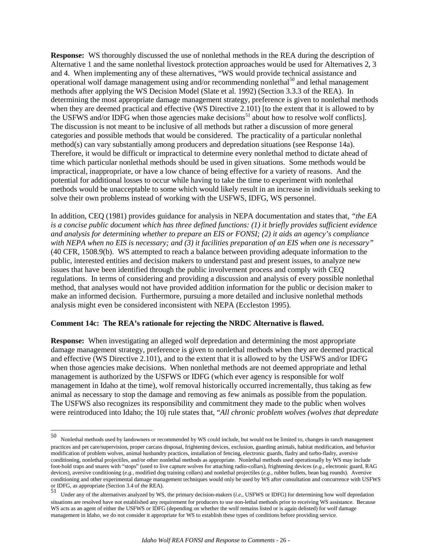**Response:** WS thoroughly discussed the use of nonlethal methods in the REA during the description of Alternative 1 and the same nonlethal livestock protection approaches would be used for Alternatives 2, 3 and 4. When implementing any of these alternatives, "WS would provide technical assistance and operational wolf damage management using and/or recommending nonlethal<sup>[50](#page-25-0)</sup> and lethal management methods after applying the WS Decision Model (Slate et al. 1992) (Section 3.3.3 of the REA). In determining the most appropriate damage management strategy, preference is given to nonlethal methods when they are deemed practical and effective (WS Directive 2.101) [to the extent that it is allowed to by the USFWS and/or IDFG when those agencies make decisions<sup>[51](#page-25-1)</sup> about how to resolve wolf conflicts]. The discussion is not meant to be inclusive of all methods but rather a discussion of more general categories and possible methods that would be considered. The practicality of a particular nonlethal method(s) can vary substantially among producers and depredation situations (see Response 14a). Therefore, it would be difficult or impractical to determine every nonlethal method to dictate ahead of time which particular nonlethal methods should be used in given situations. Some methods would be impractical, inappropriate, or have a low chance of being effective for a variety of reasons. And the potential for additional losses to occur while having to take the time to experiment with nonlethal methods would be unacceptable to some which would likely result in an increase in individuals seeking to solve their own problems instead of working with the USFWS, IDFG, WS personnel.

In addition, CEQ (1981) provides guidance for analysis in NEPA documentation and states that, *"the EA is a concise public document which has three defined functions: (1) it briefly provides sufficient evidence and analysis for determining whether to prepare an EIS or FONSI; (2) it aids an agency's compliance with NEPA when no EIS is necessary; and (3) it facilities preparation of an EIS when one is necessary"* (40 CFR, 1508.9(b). WS attempted to reach a balance between providing adequate information to the public, interested entities and decision makers to understand past and present issues, to analyze new issues that have been identified through the public involvement process and comply with CEQ regulations. In terms of considering and providing a discussion and analysis of every possible nonlethal method, that analyses would not have provided addition information for the public or decision maker to make an informed decision. Furthermore, pursuing a more detailed and inclusive nonlethal methods analysis might even be considered inconsistent with NEPA (Eccleston 1995).

#### **Comment 14c: The REA's rationale for rejecting the NRDC Alternative is flawed.**

**Response:** When investigating an alleged wolf depredation and determining the most appropriate damage management strategy, preference is given to nonlethal methods when they are deemed practical and effective (WS Directive 2.101), and to the extent that it is allowed to by the USFWS and/or IDFG when those agencies make decisions. When nonlethal methods are not deemed appropriate and lethal management is authorized by the USFWS or IDFG (which ever agency is responsible for wolf management in Idaho at the time), wolf removal historically occurred incrementally, thus taking as few animal as necessary to stop the damage and removing as few animals as possible from the population. The USFWS also recognizes its responsibility and commitment they made to the public when wolves were reintroduced into Idaho; the 10j rule states that, "*All chronic problem wolves (wolves that depredate* 

<span id="page-25-0"></span><sup>50</sup> 50 Nonlethal methods used by landowners or recommended by WS could include, but would not be limited to, changes in ranch management practices and pet care/supervision, proper carcass disposal, frightening devices, exclusion, guarding animals, habitat modification, and behavior modification of problem wolves, animal husbandry practices, installation of fencing, electronic guards, fladry and turbo-fladry, aversive conditioning, nonlethal projectiles, and/or other nonlethal methods as appropriate. Nonlethal methods used operationally by WS may include foot-hold traps and snares with "stops" (used to live capture wolves for attaching radio-collars), frightening devices (*e.g.,* electronic guard, RAG devices), aversive conditioning (*e.g.,* modified dog training collars) and nonlethal projectiles (*e.g.,* rubber bullets, bean bag rounds). Aversive conditioning and other experimental damage management techniques would only be used by WS after consultation and concurrence with USFWS or IDFG, as appropriate (Section 3.4 of the REA).

<span id="page-25-1"></span><sup>51</sup> Under any of the alternatives analyzed by WS, the primary decision-makers (*i.e.,* USFWS or IDFG) for determining how wolf depredation situations are resolved have not established any requirement for producers to use non-lethal methods prior to receiving WS assistance. Because WS acts as an agent of either the USFWS or IDFG (depending on whether the wolf remains listed or is again delisted) for wolf damage management in Idaho, we do not consider it appropriate for WS to establish these types of conditions before providing service.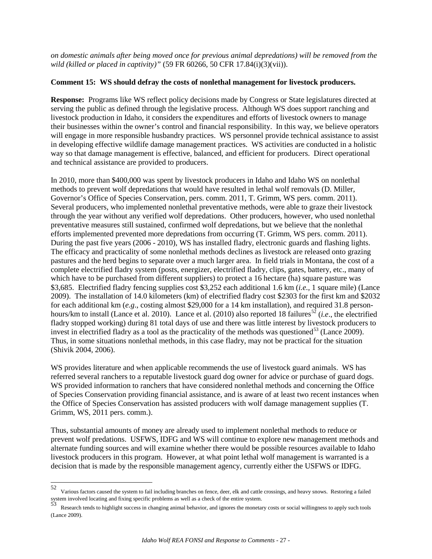*on domestic animals after being moved once for previous animal depredations) will be removed from the wild (killed or placed in captivity)"* (59 FR 60266, 50 CFR 17.84(i)(3)(vii)).

#### **Comment 15: WS should defray the costs of nonlethal management for livestock producers.**

**Response:** Programs like WS reflect policy decisions made by Congress or State legislatures directed at serving the public as defined through the legislative process. Although WS does support ranching and livestock production in Idaho, it considers the expenditures and efforts of livestock owners to manage their businesses within the owner's control and financial responsibility. In this way, we believe operators will engage in more responsible husbandry practices. WS personnel provide technical assistance to assist in developing effective wildlife damage management practices. WS activities are conducted in a holistic way so that damage management is effective, balanced, and efficient for producers. Direct operational and technical assistance are provided to producers.

In 2010, more than \$400,000 was spent by livestock producers in Idaho and Idaho WS on nonlethal methods to prevent wolf depredations that would have resulted in lethal wolf removals (D. Miller, Governor's Office of Species Conservation, pers. comm. 2011, T. Grimm, WS pers. comm. 2011). Several producers, who implemented nonlethal preventative methods, were able to graze their livestock through the year without any verified wolf depredations. Other producers, however, who used nonlethal preventative measures still sustained, confirmed wolf depredations, but we believe that the nonlethal efforts implemented prevented more depredations from occurring (T. Grimm, WS pers. comm. 2011). During the past five years (2006 - 2010), WS has installed fladry, electronic guards and flashing lights. The efficacy and practicality of some nonlethal methods declines as livestock are released onto grazing pastures and the herd begins to separate over a much larger area. In field trials in Montana, the cost of a complete electrified fladry system (posts, energizer, electrified fladry, clips, gates, battery, etc., many of which have to be purchased from different suppliers) to protect a 16 hectare (ha) square pasture was \$3,685. Electrified fladry fencing supplies cost \$3,252 each additional 1.6 km (*i.e.,* 1 square mile) (Lance 2009). The installation of 14.0 kilometers (km) of electrified fladry cost \$2303 for the first km and \$2032 for each additional km (*e.g*., costing almost \$29,000 for a 14 km installation), and required 31.8 person-hours/km to install (Lance et al. 2010). Lance et al. (2010) also reported 18 failures<sup>[52](#page-26-0)</sup> (*i.e.*, the electrified fladry stopped working) during 81 total days of use and there was little interest by livestock producers to invest in electrified fladry as a tool as the practicality of the methods was questioned<sup>[53](#page-26-1)</sup> (Lance 2009). Thus, in some situations nonlethal methods, in this case fladry, may not be practical for the situation (Shivik 2004, 2006).

WS provides literature and when applicable recommends the use of livestock guard animals. WS has referred several ranchers to a reputable livestock guard dog owner for advice or purchase of guard dogs. WS provided information to ranchers that have considered nonlethal methods and concerning the Office of Species Conservation providing financial assistance, and is aware of at least two recent instances when the Office of Species Conservation has assisted producers with wolf damage management supplies (T. Grimm, WS, 2011 pers. comm.).

Thus, substantial amounts of money are already used to implement nonlethal methods to reduce or prevent wolf predations. USFWS, IDFG and WS will continue to explore new management methods and alternate funding sources and will examine whether there would be possible resources available to Idaho livestock producers in this program. However, at what point lethal wolf management is warranted is a decision that is made by the responsible management agency, currently either the USFWS or IDFG.

<span id="page-26-0"></span><sup>52</sup> 52 Various factors caused the system to fail including branches on fence, deer, elk and cattle crossings, and heavy snows. Restoring a failed system involved locating and fixing specific problems as well as a check of the

<span id="page-26-1"></span>Research tends to highlight success in changing animal behavior, and ignores the monetary costs or social willingness to apply such tools (Lance 2009).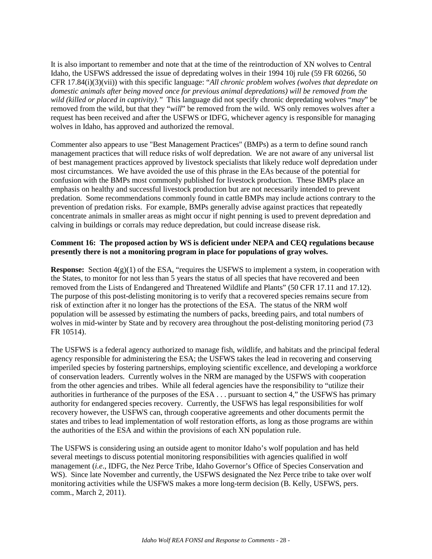It is also important to remember and note that at the time of the reintroduction of XN wolves to Central Idaho, the USFWS addressed the issue of depredating wolves in their 1994 10j rule (59 FR 60266, 50 CFR 17.84(i)(3)(vii)) with this specific language: "*All chronic problem wolves (wolves that depredate on domestic animals after being moved once for previous animal depredations) will be removed from the wild (killed or placed in captivity)."* This language did not specify chronic depredating wolves "*may*" be removed from the wild, but that they "*will*" be removed from the wild. WS only removes wolves after a request has been received and after the USFWS or IDFG, whichever agency is responsible for managing wolves in Idaho, has approved and authorized the removal.

Commenter also appears to use "Best Management Practices" (BMPs) as a term to define sound ranch management practices that will reduce risks of wolf depredation. We are not aware of any universal list of best management practices approved by livestock specialists that likely reduce wolf depredation under most circumstances. We have avoided the use of this phrase in the EAs because of the potential for confusion with the BMPs most commonly published for livestock production. These BMPs place an emphasis on healthy and successful livestock production but are not necessarily intended to prevent predation. Some recommendations commonly found in cattle BMPs may include actions contrary to the prevention of predation risks. For example, BMPs generally advise against practices that repeatedly concentrate animals in smaller areas as might occur if night penning is used to prevent depredation and calving in buildings or corrals may reduce depredation, but could increase disease risk.

#### **Comment 16: The proposed action by WS is deficient under NEPA and CEQ regulations because presently there is not a monitoring program in place for populations of gray wolves.**

**Response:** Section  $4(g)(1)$  of the ESA, "requires the USFWS to implement a system, in cooperation with the States, to monitor for not less than 5 years the status of all species that have recovered and been removed from the Lists of Endangered and Threatened Wildlife and Plants" (50 CFR 17.11 and 17.12). The purpose of this post-delisting monitoring is to verify that a recovered species remains secure from risk of extinction after it no longer has the protections of the ESA. The status of the NRM wolf population will be assessed by estimating the numbers of packs, breeding pairs, and total numbers of wolves in mid-winter by State and by recovery area throughout the post-delisting monitoring period (73) FR 10514).

The USFWS is a federal agency authorized to manage fish, wildlife, and habitats and the principal federal agency responsible for administering the ESA; the USFWS takes the lead in recovering and conserving imperiled species by fostering partnerships, employing scientific excellence, and developing a workforce of conservation leaders. Currently wolves in the NRM are managed by the USFWS with cooperation from the other agencies and tribes. While all federal agencies have the responsibility to "utilize their authorities in furtherance of the purposes of the ESA . . . pursuant to section 4," the USFWS has primary authority for endangered species recovery. Currently, the USFWS has legal responsibilities for wolf recovery however, the USFWS can, through cooperative agreements and other documents permit the states and tribes to lead implementation of wolf restoration efforts, as long as those programs are within the authorities of the ESA and within the provisions of each XN population rule.

The USFWS is considering using an outside agent to monitor Idaho's wolf population and has held several meetings to discuss potential monitoring responsibilities with agencies qualified in wolf management (*i.e*., IDFG, the Nez Perce Tribe, Idaho Governor's Office of Species Conservation and WS). Since late November and currently, the USFWS designated the Nez Perce tribe to take over wolf monitoring activities while the USFWS makes a more long-term decision (B. Kelly, USFWS, pers. comm., March 2, 2011).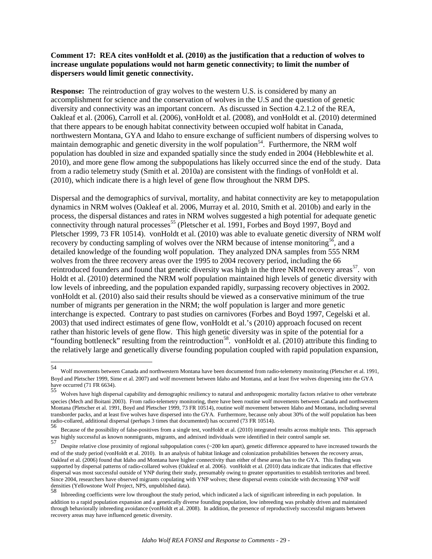#### **Comment 17: REA cites vonHoldt et al. (2010) as the justification that a reduction of wolves to increase ungulate populations would not harm genetic connectivity; to limit the number of dispersers would limit genetic connectivity.**

**Response:** The reintroduction of gray wolves to the western U.S. is considered by many an accomplishment for science and the conservation of wolves in the U.S and the question of genetic diversity and connectivity was an important concern. As discussed in Section 4.2.1.2 of the REA, Oakleaf et al. (2006), Carroll et al. (2006), vonHoldt et al. (2008), and vonHoldt et al. (2010) determined that there appears to be enough habitat connectivity between occupied wolf habitat in Canada, northwestern Montana, GYA and Idaho to ensure exchange of sufficient numbers of dispersing wolves to maintain demographic and genetic diversity in the wolf population<sup>54</sup>. Furthermore, the NRM wolf population has doubled in size and expanded spatially since the study ended in 2004 (Hebblewhite et al. 2010), and more gene flow among the subpopulations has likely occurred since the end of the study. Data from a radio telemetry study (Smith et al. 2010a) are consistent with the findings of vonHoldt et al. (2010), which indicate there is a high level of gene flow throughout the NRM DPS.

Dispersal and the demographics of survival, mortality, and habitat connectivity are key to metapopulation dynamics in NRM wolves (Oakleaf et al. 2006, Murray et al. 2010, Smith et al. 2010b) and early in the process, the dispersal distances and rates in NRM wolves suggested a high potential for adequate genetic connectivity through natural processes<sup>[55](#page-28-1)</sup> (Pletscher et al. 1991, Forbes and Boyd 1997, Boyd and Pletscher 1999, 73 FR 10514). vonHoldt et al. (2010) was able to evaluate genetic diversity of NRM wolf recovery by conducting sampling of wolves over the NRM because of intense monitoring<sup>56</sup>, and a detailed knowledge of the founding wolf population. They analyzed DNA samples from 555 NRM wolves from the three recovery areas over the 1995 to 2004 recovery period, including the 66 reintroduced founders and found that genetic diversity was high in the three NRM recovery areas<sup>[57](#page-28-3)</sup>. von Holdt et al. (2010) determined the NRM wolf population maintained high levels of genetic diversity with low levels of inbreeding, and the population expanded rapidly, surpassing recovery objectives in 2002. vonHoldt et al. (2010) also said their results should be viewed as a conservative minimum of the true number of migrants per generation in the NRM; the wolf population is larger and more genetic interchange is expected. Contrary to past studies on carnivores (Forbes and Boyd 1997, Cegelski et al. 2003) that used indirect estimates of gene flow, vonHoldt et al.'s (2010) approach focused on recent rather than historic levels of gene flow. This high genetic diversity was in spite of the potential for a "founding bottleneck" resulting from the reintroduction<sup>[58](#page-28-4)</sup>. vonHoldt et al. (2010) attribute this finding to the relatively large and genetically diverse founding population coupled with rapid population expansion,

<span id="page-28-0"></span><sup>54</sup> 54 Wolf movements between Canada and northwestern Montana have been documented from radio-telemetry monitoring (Pletscher et al. 1991, Boyd and Pletscher 1999, Sime et al. 2007) and wolf movement between Idaho and Montana, and at least five wolves dispersing into the GYA have occurred (71 FR 6634).

<span id="page-28-1"></span><sup>55</sup> Wolves have high dispersal capability and demographic resiliency to natural and anthropogenic mortality factors relative to other vertebrate species (Mech and Boitani 2003). From radio-telemetry monitoring, there have been routine wolf movements between Canada and northwestern Montana (Pletscher et al. 1991, Boyd and Pletscher 1999, 73 FR 10514), routine wolf movement between Idaho and Montana, including several transborder packs, and at least five wolves have dispersed into the GYA. Furthermore, because only about 30% of the wolf population has been radio-collared, additional dispersal (perhaps 3 times that documented) has occurred (73 FR 10514).<br>56 Because of the possibility of false-positives from a single test, vonHoldt et al. (2010) integrated results across multi

<span id="page-28-2"></span>was highly successful as known nonmigrants, migrants, and admixed individuals were identified in their control sample set.<br>57 Despite relative close proximity of regional subpopulation cores (~200 km apart), genetic differ

<span id="page-28-3"></span>end of the study period (vonHoldt et al. 2010). In an analysis of habitat linkage and colonization probabilities between the recovery areas, Oakleaf et al. (2006) found that Idaho and Montana have higher connectivity than either of these areas has to the GYA. This finding was supported by dispersal patterns of radio-collared wolves (Oakleaf et al. 2006). vonHoldt et al. (2010) data indicate that indicates that effective dispersal was most successful outside of YNP during their study, presumably owing to greater opportunities to establish territories and breed. Since 2004, researchers have observed migrants copulating with YNP wolves; these dispersal events coincide with decreasing YNP wolf densities (Yellowstone Wolf Project, NPS, unpublished data).

<span id="page-28-4"></span><sup>58</sup> Inbreeding coefficients were low throughout the study period, which indicated a lack of significant inbreeding in each population. In addition to a rapid population expansion and a genetically diverse founding population, low inbreeding was probably driven and maintained through behaviorally inbreeding avoidance (vonHoldt et al. 2008). In addition, the presence of reproductively successful migrants between recovery areas may have influenced genetic diversity.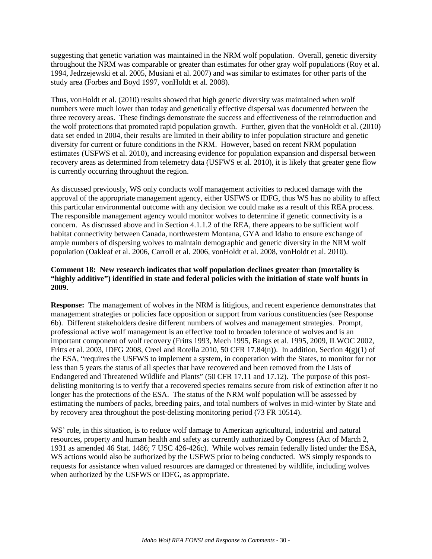suggesting that genetic variation was maintained in the NRM wolf population. Overall, genetic diversity throughout the NRM was comparable or greater than estimates for other gray wolf populations (Roy et al. 1994, Jedrzejewski et al. 2005, Musiani et al. 2007) and was similar to estimates for other parts of the study area (Forbes and Boyd 1997, vonHoldt et al. 2008).

Thus, vonHoldt et al. (2010) results showed that high genetic diversity was maintained when wolf numbers were much lower than today and genetically effective dispersal was documented between the three recovery areas. These findings demonstrate the success and effectiveness of the reintroduction and the wolf protections that promoted rapid population growth. Further, given that the vonHoldt et al. (2010) data set ended in 2004, their results are limited in their ability to infer population structure and genetic diversity for current or future conditions in the NRM. However, based on recent NRM population estimates (USFWS et al. 2010), and increasing evidence for population expansion and dispersal between recovery areas as determined from telemetry data (USFWS et al. 2010), it is likely that greater gene flow is currently occurring throughout the region.

As discussed previously, WS only conducts wolf management activities to reduced damage with the approval of the appropriate management agency, either USFWS or IDFG, thus WS has no ability to affect this particular environmental outcome with any decision we could make as a result of this REA process. The responsible management agency would monitor wolves to determine if genetic connectivity is a concern. As discussed above and in Section 4.1.1.2 of the REA, there appears to be sufficient wolf habitat connectivity between Canada, northwestern Montana, GYA and Idaho to ensure exchange of ample numbers of dispersing wolves to maintain demographic and genetic diversity in the NRM wolf population (Oakleaf et al. 2006, Carroll et al. 2006, vonHoldt et al. 2008, vonHoldt et al. 2010).

#### **Comment 18: New research indicates that wolf population declines greater than (mortality is "highly additive") identified in state and federal policies with the initiation of state wolf hunts in 2009.**

**Response:** The management of wolves in the NRM is litigious, and recent experience demonstrates that management strategies or policies face opposition or support from various constituencies (see Response 6b). Different stakeholders desire different numbers of wolves and management strategies. Prompt, professional active wolf management is an effective tool to broaden tolerance of wolves and is an important component of wolf recovery (Fritts 1993, Mech 1995, Bangs et al. 1995, 2009, ILWOC 2002, Fritts et al. 2003, IDFG 2008, Creel and Rotella 2010, 50 CFR 17.84(n)). In addition, Section  $4(g)(1)$  of the ESA, "requires the USFWS to implement a system, in cooperation with the States, to monitor for not less than 5 years the status of all species that have recovered and been removed from the Lists of Endangered and Threatened Wildlife and Plants" (50 CFR 17.11 and 17.12). The purpose of this postdelisting monitoring is to verify that a recovered species remains secure from risk of extinction after it no longer has the protections of the ESA. The status of the NRM wolf population will be assessed by estimating the numbers of packs, breeding pairs, and total numbers of wolves in mid-winter by State and by recovery area throughout the post-delisting monitoring period (73 FR 10514).

WS' role, in this situation, is to reduce wolf damage to American agricultural, industrial and natural resources, property and human health and safety as currently authorized by Congress (Act of March 2, 1931 as amended 46 Stat. 1486; 7 USC 426-426c). While wolves remain federally listed under the ESA, WS actions would also be authorized by the USFWS prior to being conducted. WS simply responds to requests for assistance when valued resources are damaged or threatened by wildlife, including wolves when authorized by the USFWS or IDFG, as appropriate.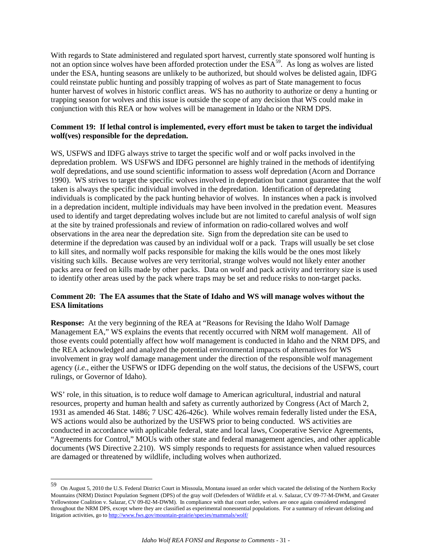With regards to State administered and regulated sport harvest, currently state sponsored wolf hunting is not an option since wolves have been afforded protection under the ESA<sup>59</sup>. As long as wolves are listed under the ESA, hunting seasons are unlikely to be authorized, but should wolves be delisted again, IDFG could reinstate public hunting and possibly trapping of wolves as part of State management to focus hunter harvest of wolves in historic conflict areas. WS has no authority to authorize or deny a hunting or trapping season for wolves and this issue is outside the scope of any decision that WS could make in conjunction with this REA or how wolves will be management in Idaho or the NRM DPS.

#### **Comment 19: If lethal control is implemented, every effort must be taken to target the individual wolf(ves) responsible for the depredation.**

WS, USFWS and IDFG always strive to target the specific wolf and or wolf packs involved in the depredation problem. WS USFWS and IDFG personnel are highly trained in the methods of identifying wolf depredations, and use sound scientific information to assess wolf depredation (Acorn and Dorrance 1990). WS strives to target the specific wolves involved in depredation but cannot guarantee that the wolf taken is always the specific individual involved in the depredation. Identification of depredating individuals is complicated by the pack hunting behavior of wolves. In instances when a pack is involved in a depredation incident, multiple individuals may have been involved in the predation event. Measures used to identify and target depredating wolves include but are not limited to careful analysis of wolf sign at the site by trained professionals and review of information on radio-collared wolves and wolf observations in the area near the depredation site. Sign from the depredation site can be used to determine if the depredation was caused by an individual wolf or a pack. Traps will usually be set close to kill sites, and normally wolf packs responsible for making the kills would be the ones most likely visiting such kills. Because wolves are very territorial, strange wolves would not likely enter another packs area or feed on kills made by other packs. Data on wolf and pack activity and territory size is used to identify other areas used by the pack where traps may be set and reduce risks to non-target packs.

### **Comment 20: The EA assumes that the State of Idaho and WS will manage wolves without the ESA limitations**

**Response:** At the very beginning of the REA at "Reasons for Revising the Idaho Wolf Damage Management EA," WS explains the events that recently occurred with NRM wolf management. All of those events could potentially affect how wolf management is conducted in Idaho and the NRM DPS, and the REA acknowledged and analyzed the potential environmental impacts of alternatives for WS involvement in gray wolf damage management under the direction of the responsible wolf management agency (*i.e*., either the USFWS or IDFG depending on the wolf status, the decisions of the USFWS, court rulings, or Governor of Idaho).

WS' role, in this situation, is to reduce wolf damage to American agricultural, industrial and natural resources, property and human health and safety as currently authorized by Congress (Act of March 2, 1931 as amended 46 Stat. 1486; 7 USC 426-426c). While wolves remain federally listed under the ESA, WS actions would also be authorized by the USFWS prior to being conducted. WS activities are conducted in accordance with applicable federal, state and local laws, Cooperative Service Agreements, "Agreements for Control," MOUs with other state and federal management agencies, and other applicable documents (WS Directive 2.210). WS simply responds to requests for assistance when valued resources are damaged or threatened by wildlife, including wolves when authorized.

<span id="page-30-0"></span><sup>59</sup> 59 On August 5, 2010 the U.S. Federal District Court in Missoula, Montana issued an order which vacated the delisting of the Northern Rocky Mountains (NRM) Distinct Population Segment (DPS) of the gray wolf (Defenders of Wildlife et al. v. Salazar, CV 09-77-M-DWM, and Greater Yellowstone Coalition v. Salazar, CV 09-82-M-DWM). In compliance with that court order, wolves are once again considered endangered throughout the NRM DPS, except where they are classified as experimental nonessential populations. For a summary of relevant delisting and litigation activities, go t[o http://www.fws.gov/mountain-prairie/species/mammals/wolf/](http://www.fws.gov/mountain-prairie/species/mammals/wolf/)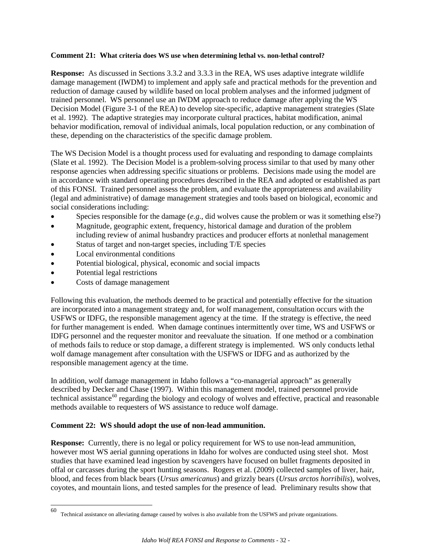#### **Comment 21: What criteria does WS use when determining lethal vs. non-lethal control?**

**Response:** As discussed in Sections 3.3.2 and 3.3.3 in the REA, WS uses adaptive integrate wildlife damage management (IWDM) to implement and apply safe and practical methods for the prevention and reduction of damage caused by wildlife based on local problem analyses and the informed judgment of trained personnel. WS personnel use an IWDM approach to reduce damage after applying the WS Decision Model (Figure 3-1 of the REA) to develop site-specific, adaptive management strategies (Slate et al. 1992). The adaptive strategies may incorporate cultural practices, habitat modification, animal behavior modification, removal of individual animals, local population reduction, or any combination of these, depending on the characteristics of the specific damage problem.

The WS Decision Model is a thought process used for evaluating and responding to damage complaints (Slate et al. 1992). The Decision Model is a problem-solving process similar to that used by many other response agencies when addressing specific situations or problems. Decisions made using the model are in accordance with standard operating procedures described in the REA and adopted or established as part of this FONSI. Trained personnel assess the problem, and evaluate the appropriateness and availability (legal and administrative) of damage management strategies and tools based on biological, economic and social considerations including:

- Species responsible for the damage (*e.g*., did wolves cause the problem or was it something else?)
- Magnitude, geographic extent, frequency, historical damage and duration of the problem including review of animal husbandry practices and producer efforts at nonlethal management
- Status of target and non-target species, including T/E species
- Local environmental conditions
- Potential biological, physical, economic and social impacts
- Potential legal restrictions
- Costs of damage management

Following this evaluation, the methods deemed to be practical and potentially effective for the situation are incorporated into a management strategy and, for wolf management, consultation occurs with the USFWS or IDFG, the responsible management agency at the time. If the strategy is effective, the need for further management is ended. When damage continues intermittently over time, WS and USFWS or IDFG personnel and the requester monitor and reevaluate the situation. If one method or a combination of methods fails to reduce or stop damage, a different strategy is implemented. WS only conducts lethal wolf damage management after consultation with the USFWS or IDFG and as authorized by the responsible management agency at the time.

In addition, wolf damage management in Idaho follows a "co-managerial approach" as generally described by Decker and Chase (1997). Within this management model, trained personnel provide technical assistance<sup>[60](#page-31-0)</sup> regarding the biology and ecology of wolves and effective, practical and reasonable methods available to requesters of WS assistance to reduce wolf damage.

#### **Comment 22: WS should adopt the use of non-lead ammunition.**

**Response:** Currently, there is no legal or policy requirement for WS to use non-lead ammunition, however most WS aerial gunning operations in Idaho for wolves are conducted using steel shot. Most studies that have examined lead ingestion by scavengers have focused on bullet fragments deposited in offal or carcasses during the sport hunting seasons. Rogers et al. (2009) collected samples of liver, hair, blood, and feces from black bears (*Ursus americanus*) and grizzly bears (*Ursus arctos horribilis*), wolves, coyotes, and mountain lions, and tested samples for the presence of lead. Preliminary results show that

<span id="page-31-0"></span><sup>60</sup> Technical assistance on alleviating damage caused by wolves is also available from the USFWS and private organizations.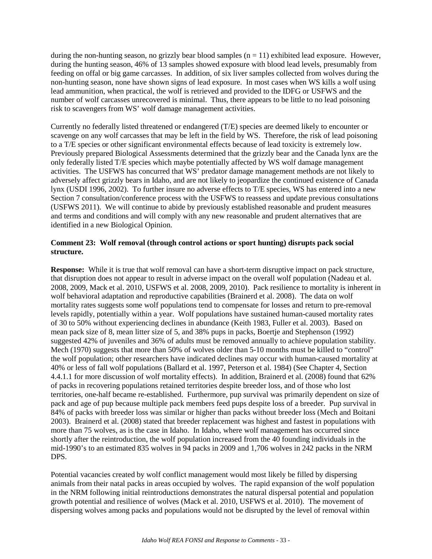during the non-hunting season, no grizzly bear blood samples  $(n = 11)$  exhibited lead exposure. However, during the hunting season, 46% of 13 samples showed exposure with blood lead levels, presumably from feeding on offal or big game carcasses. In addition, of six liver samples collected from wolves during the non-hunting season, none have shown signs of lead exposure. In most cases when WS kills a wolf using lead ammunition, when practical, the wolf is retrieved and provided to the IDFG or USFWS and the number of wolf carcasses unrecovered is minimal. Thus, there appears to be little to no lead poisoning risk to scavengers from WS' wolf damage management activities.

Currently no federally listed threatened or endangered (T/E) species are deemed likely to encounter or scavenge on any wolf carcasses that may be left in the field by WS. Therefore, the risk of lead poisoning to a T/E species or other significant environmental effects because of lead toxicity is extremely low. Previously prepared Biological Assessments determined that the grizzly bear and the Canada lynx are the only federally listed T/E species which maybe potentially affected by WS wolf damage management activities. The USFWS has concurred that WS' predator damage management methods are not likely to adversely affect grizzly bears in Idaho, and are not likely to jeopardize the continued existence of Canada lynx (USDI 1996, 2002). To further insure no adverse effects to T/E species, WS has entered into a new Section 7 consultation/conference process with the USFWS to reassess and update previous consultations (USFWS 2011). We will continue to abide by previously established reasonable and prudent measures and terms and conditions and will comply with any new reasonable and prudent alternatives that are identified in a new Biological Opinion.

### **Comment 23: Wolf removal (through control actions or sport hunting) disrupts pack social structure.**

**Response:** While it is true that wolf removal can have a short-term disruptive impact on pack structure, that disruption does not appear to result in adverse impact on the overall wolf population (Nadeau et al. 2008, 2009, Mack et al. 2010, USFWS et al. 2008, 2009, 2010). Pack resilience to mortality is inherent in wolf behavioral adaptation and reproductive capabilities (Brainerd et al. 2008). The data on wolf mortality rates suggests some wolf populations tend to compensate for losses and return to pre-removal levels rapidly, potentially within a year. Wolf populations have sustained human-caused mortality rates of 30 to 50% without experiencing declines in abundance (Keith 1983, Fuller et al. 2003). Based on mean pack size of 8, mean litter size of 5, and 38% pups in packs, Boertje and Stephenson (1992) suggested 42% of juveniles and 36% of adults must be removed annually to achieve population stability. Mech (1970) suggests that more than 50% of wolves older than 5-10 months must be killed to "control" the wolf population; other researchers have indicated declines may occur with human-caused mortality at 40% or less of fall wolf populations (Ballard et al. 1997, Peterson et al. 1984) (See Chapter 4, Section 4.4.1.1 for more discussion of wolf mortality effects). In addition, Brainerd et al. (2008) found that 62% of packs in recovering populations retained territories despite breeder loss, and of those who lost territories, one-half became re-established. Furthermore, pup survival was primarily dependent on size of pack and age of pup because multiple pack members feed pups despite loss of a breeder. Pup survival in 84% of packs with breeder loss was similar or higher than packs without breeder loss (Mech and Boitani 2003). Brainerd et al. (2008) stated that breeder replacement was highest and fastest in populations with more than 75 wolves, as is the case in Idaho. In Idaho, where wolf management has occurred since shortly after the reintroduction, the wolf population increased from the 40 founding individuals in the mid-1990's to an estimated 835 wolves in 94 packs in 2009 and 1,706 wolves in 242 packs in the NRM DPS.

Potential vacancies created by wolf conflict management would most likely be filled by dispersing animals from their natal packs in areas occupied by wolves. The rapid expansion of the wolf population in the NRM following initial reintroductions demonstrates the natural dispersal potential and population growth potential and resilience of wolves (Mack et al. 2010, USFWS et al. 2010). The movement of dispersing wolves among packs and populations would not be disrupted by the level of removal within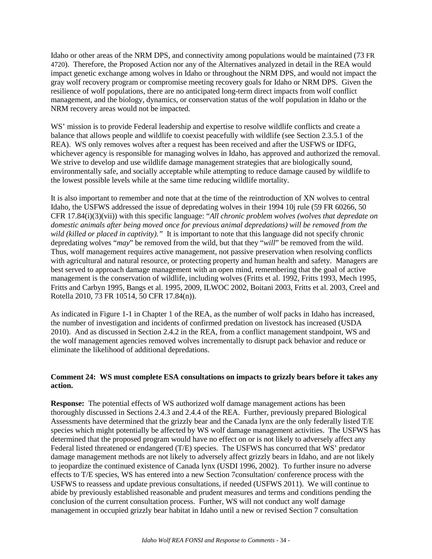Idaho or other areas of the NRM DPS, and connectivity among populations would be maintained (73 FR 4720). Therefore, the Proposed Action nor any of the Alternatives analyzed in detail in the REA would impact genetic exchange among wolves in Idaho or throughout the NRM DPS, and would not impact the gray wolf recovery program or compromise meeting recovery goals for Idaho or NRM DPS. Given the resilience of wolf populations, there are no anticipated long-term direct impacts from wolf conflict management, and the biology, dynamics, or conservation status of the wolf population in Idaho or the NRM recovery areas would not be impacted.

WS' mission is to provide Federal leadership and expertise to resolve wildlife conflicts and create a balance that allows people and wildlife to coexist peacefully with wildlife (see Section 2.3.5.1 of the REA). WS only removes wolves after a request has been received and after the USFWS or IDFG, whichever agency is responsible for managing wolves in Idaho, has approved and authorized the removal. We strive to develop and use wildlife damage management strategies that are biologically sound, environmentally safe, and socially acceptable while attempting to reduce damage caused by wildlife to the lowest possible levels while at the same time reducing wildlife mortality.

It is also important to remember and note that at the time of the reintroduction of XN wolves to central Idaho, the USFWS addressed the issue of depredating wolves in their 1994 10j rule (59 FR 60266, 50 CFR 17.84(i)(3)(vii)) with this specific language: "*All chronic problem wolves (wolves that depredate on domestic animals after being moved once for previous animal depredations) will be removed from the wild (killed or placed in captivity)."* It is important to note that this language did not specify chronic depredating wolves "*may*" be removed from the wild, but that they "*will*" be removed from the wild. Thus, wolf management requires active management, not passive preservation when resolving conflicts with agricultural and natural resource, or protecting property and human health and safety. Managers are best served to approach damage management with an open mind, remembering that the goal of active management is the conservation of wildlife, including wolves (Fritts et al. 1992, Fritts 1993, Mech 1995, Fritts and Carbyn 1995, Bangs et al. 1995, 2009, ILWOC 2002, Boitani 2003, Fritts et al. 2003, Creel and Rotella 2010, 73 FR 10514, 50 CFR 17.84(n)).

As indicated in Figure 1-1 in Chapter 1 of the REA, as the number of wolf packs in Idaho has increased, the number of investigation and incidents of confirmed predation on livestock has increased (USDA 2010). And as discussed in Section 2.4.2 in the REA, from a conflict management standpoint, WS and the wolf management agencies removed wolves incrementally to disrupt pack behavior and reduce or eliminate the likelihood of additional depredations.

#### **Comment 24: WS must complete ESA consultations on impacts to grizzly bears before it takes any action.**

**Response:** The potential effects of WS authorized wolf damage management actions has been thoroughly discussed in Sections 2.4.3 and 2.4.4 of the REA. Further, previously prepared Biological Assessments have determined that the grizzly bear and the Canada lynx are the only federally listed T/E species which might potentially be affected by WS wolf damage management activities. The USFWS has determined that the proposed program would have no effect on or is not likely to adversely affect any Federal listed threatened or endangered (T/E) species. The USFWS has concurred that WS' predator damage management methods are not likely to adversely affect grizzly bears in Idaho, and are not likely to jeopardize the continued existence of Canada lynx (USDI 1996, 2002). To further insure no adverse effects to T/E species, WS has entered into a new Section 7consultation/ conference process with the USFWS to reassess and update previous consultations, if needed (USFWS 2011). We will continue to abide by previously established reasonable and prudent measures and terms and conditions pending the conclusion of the current consultation process. Further, WS will not conduct any wolf damage management in occupied grizzly bear habitat in Idaho until a new or revised Section 7 consultation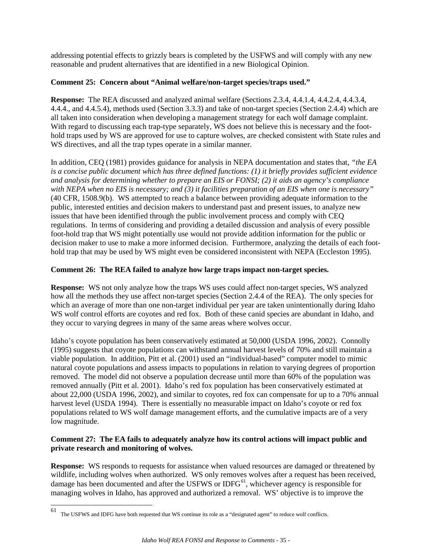addressing potential effects to grizzly bears is completed by the USFWS and will comply with any new reasonable and prudent alternatives that are identified in a new Biological Opinion.

### **Comment 25: Concern about "Animal welfare/non-target species/traps used."**

**Response:** The REA discussed and analyzed animal welfare (Sections 2.3.4, 4.4.1.4, 4.4.2.4, 4.4.3.4, 4.4.4., and 4.4.5.4), methods used (Section 3.3.3) and take of non-target species (Section 2.4.4) which are all taken into consideration when developing a management strategy for each wolf damage complaint. With regard to discussing each trap-type separately, WS does not believe this is necessary and the foothold traps used by WS are approved for use to capture wolves, are checked consistent with State rules and WS directives, and all the trap types operate in a similar manner.

In addition, CEQ (1981) provides guidance for analysis in NEPA documentation and states that, *"the EA is a concise public document which has three defined functions: (1) it briefly provides sufficient evidence and analysis for determining whether to prepare an EIS or FONSI; (2) it aids an agency's compliance with NEPA when no EIS is necessary; and (3) it facilities preparation of an EIS when one is necessary"* (40 CFR, 1508.9(b). WS attempted to reach a balance between providing adequate information to the public, interested entities and decision makers to understand past and present issues, to analyze new issues that have been identified through the public involvement process and comply with CEQ regulations. In terms of considering and providing a detailed discussion and analysis of every possible foot-hold trap that WS might potentially use would not provide addition information for the public or decision maker to use to make a more informed decision. Furthermore, analyzing the details of each foothold trap that may be used by WS might even be considered inconsistent with NEPA (Eccleston 1995).

### **Comment 26: The REA failed to analyze how large traps impact non-target species.**

**Response:** WS not only analyze how the traps WS uses could affect non-target species, WS analyzed how all the methods they use affect non-target species (Section 2.4.4 of the REA). The only species for which an average of more than one non-target individual per year are taken unintentionally during Idaho WS wolf control efforts are coyotes and red fox. Both of these canid species are abundant in Idaho, and they occur to varying degrees in many of the same areas where wolves occur.

Idaho's coyote population has been conservatively estimated at 50,000 (USDA 1996, 2002). Connolly (1995) suggests that coyote populations can withstand annual harvest levels of 70% and still maintain a viable population. In addition, Pitt et al. (2001) used an "individual-based" computer model to mimic natural coyote populations and assess impacts to populations in relation to varying degrees of proportion removed. The model did not observe a population decrease until more than 60% of the population was removed annually (Pitt et al. 2001). Idaho's red fox population has been conservatively estimated at about 22,000 (USDA 1996, 2002), and similar to coyotes, red fox can compensate for up to a 70% annual harvest level (USDA 1994). There is essentially no measurable impact on Idaho's coyote or red fox populations related to WS wolf damage management efforts, and the cumulative impacts are of a very low magnitude.

### **Comment 27: The EA fails to adequately analyze how its control actions will impact public and private research and monitoring of wolves.**

**Response:** WS responds to requests for assistance when valued resources are damaged or threatened by wildlife, including wolves when authorized. WS only removes wolves after a request has been received, damage has been documented and after the USFWS or IDFG<sup>[61](#page-34-0)</sup>, whichever agency is responsible for managing wolves in Idaho, has approved and authorized a removal. WS' objective is to improve the

<span id="page-34-0"></span><sup>61</sup> The USFWS and IDFG have both requested that WS continue its role as a "designated agent" to reduce wolf conflicts.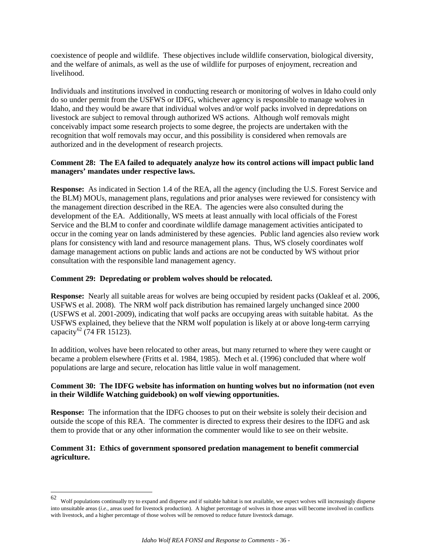coexistence of people and wildlife. These objectives include wildlife conservation, biological diversity, and the welfare of animals, as well as the use of wildlife for purposes of enjoyment, recreation and livelihood.

Individuals and institutions involved in conducting research or monitoring of wolves in Idaho could only do so under permit from the USFWS or IDFG, whichever agency is responsible to manage wolves in Idaho, and they would be aware that individual wolves and/or wolf packs involved in depredations on livestock are subject to removal through authorized WS actions. Although wolf removals might conceivably impact some research projects to some degree, the projects are undertaken with the recognition that wolf removals may occur, and this possibility is considered when removals are authorized and in the development of research projects.

### **Comment 28: The EA failed to adequately analyze how its control actions will impact public land managers' mandates under respective laws.**

**Response:** As indicated in Section 1.4 of the REA, all the agency (including the U.S. Forest Service and the BLM) MOUs, management plans, regulations and prior analyses were reviewed for consistency with the management direction described in the REA. The agencies were also consulted during the development of the EA. Additionally, WS meets at least annually with local officials of the Forest Service and the BLM to confer and coordinate wildlife damage management activities anticipated to occur in the coming year on lands administered by these agencies. Public land agencies also review work plans for consistency with land and resource management plans. Thus, WS closely coordinates wolf damage management actions on public lands and actions are not be conducted by WS without prior consultation with the responsible land management agency.

#### **Comment 29: Depredating or problem wolves should be relocated.**

**Response:** Nearly all suitable areas for wolves are being occupied by resident packs (Oakleaf et al. 2006, USFWS et al. 2008). The NRM wolf pack distribution has remained largely unchanged since 2000 (USFWS et al. 2001-2009), indicating that wolf packs are occupying areas with suitable habitat. As the USFWS explained, they believe that the NRM wolf population is likely at or above long-term carrying capacity<sup>[62](#page-35-0)</sup> (74 FR 15123).

In addition, wolves have been relocated to other areas, but many returned to where they were caught or became a problem elsewhere (Fritts et al. 1984, 1985). Mech et al. (1996) concluded that where wolf populations are large and secure, relocation has little value in wolf management.

### **Comment 30: The IDFG website has information on hunting wolves but no information (not even in their Wildlife Watching guidebook) on wolf viewing opportunities.**

**Response:** The information that the IDFG chooses to put on their website is solely their decision and outside the scope of this REA. The commenter is directed to express their desires to the IDFG and ask them to provide that or any other information the commenter would like to see on their website.

#### **Comment 31: Ethics of government sponsored predation management to benefit commercial agriculture.**

<span id="page-35-0"></span><sup>62</sup> 62 Wolf populations continually try to expand and disperse and if suitable habitat is not available, we expect wolves will increasingly disperse into unsuitable areas (*i.e*., areas used for livestock production). A higher percentage of wolves in those areas will become involved in conflicts with livestock, and a higher percentage of those wolves will be removed to reduce future livestock damage.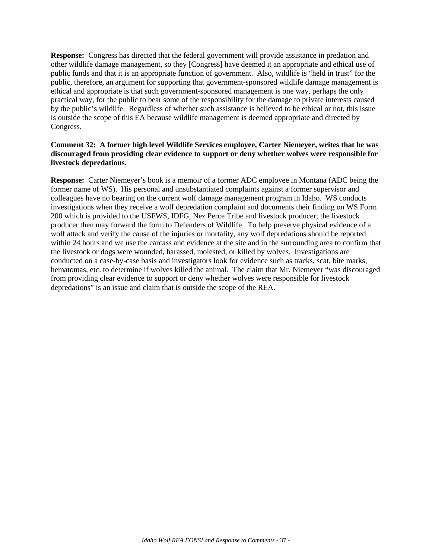**Response:** Congress has directed that the federal government will provide assistance in predation and other wildlife damage management, so they [Congress] have deemed it an appropriate and ethical use of public funds and that it is an appropriate function of government. Also, wildlife is "held in trust" for the public, therefore, an argument for supporting that government-sponsored wildlife damage management is ethical and appropriate is that such government-sponsored management is one way, perhaps the only practical way, for the public to bear some of the responsibility for the damage to private interests caused by the public's wildlife. Regardless of whether such assistance is believed to be ethical or not, this issue is outside the scope of this EA because wildlife management is deemed appropriate and directed by Congress.

### **Comment 32: A former high level Wildlife Services employee, Carter Niemeyer, writes that he was discouraged from providing clear evidence to support or deny whether wolves were responsible for livestock depredations.**

**Response:** Carter Niemeyer's book is a memoir of a former ADC employee in Montana (ADC being the former name of WS). His personal and unsubstantiated complaints against a former supervisor and colleagues have no bearing on the current wolf damage management program in Idaho. WS conducts investigations when they receive a wolf depredation complaint and documents their finding on WS Form 200 which is provided to the USFWS, IDFG, Nez Perce Tribe and livestock producer; the livestock producer then may forward the form to Defenders of Wildlife. To help preserve physical evidence of a wolf attack and verify the cause of the injuries or mortality, any wolf depredations should be reported within 24 hours and we use the carcass and evidence at the site and in the surrounding area to confirm that the livestock or dogs were wounded, harassed, molested, or killed by wolves. Investigations are conducted on a case-by-case basis and investigators look for evidence such as tracks, scat, bite marks, hematomas, etc. to determine if wolves killed the animal. The claim that Mr. Niemeyer "was discouraged from providing clear evidence to support or deny whether wolves were responsible for livestock depredations" is an issue and claim that is outside the scope of the REA.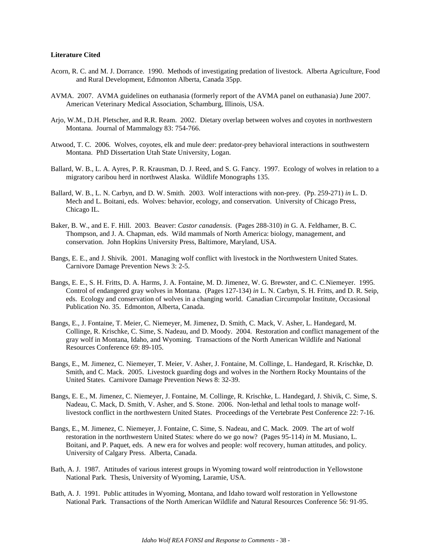#### **Literature Cited**

- Acorn, R. C. and M. J. Dorrance. 1990. Methods of investigating predation of livestock. Alberta Agriculture, Food and Rural Development, Edmonton Alberta, Canada 35pp.
- AVMA. 2007. AVMA guidelines on euthanasia (formerly report of the AVMA panel on euthanasia) June 2007. American Veterinary Medical Association, Schamburg, Illinois, USA.
- Arjo, W.M., D.H. Pletscher, and R.R. Ream. 2002. Dietary overlap between wolves and coyotes in northwestern Montana. Journal of Mammalogy 83: 754-766.
- Atwood, T. C. 2006. Wolves, coyotes, elk and mule deer: predator-prey behavioral interactions in southwestern Montana. PhD Dissertation Utah State University, Logan.
- Ballard, W. B., L. A. Ayres, P. R. Krausman, D. J. Reed, and S. G. Fancy. 1997. Ecology of wolves in relation to a migratory caribou herd in northwest Alaska. Wildlife Monographs 135.
- Ballard, W. B., L. N. Carbyn, and D. W. Smith. 2003. Wolf interactions with non-prey. (Pp. 259-271) *in* L. D. Mech and L. Boitani, eds. Wolves: behavior, ecology, and conservation. University of Chicago Press, Chicago IL.
- Baker, B. W., and E. F. Hill. 2003. Beaver: *Castor canadensis*. (Pages 288-310) *in* G. A. Feldhamer, B. C. Thompson, and J. A. Chapman, eds. Wild mammals of North America: biology, management, and conservation. John Hopkins University Press, Baltimore, Maryland, USA.
- Bangs, E. E., and J. Shivik. 2001. Managing wolf conflict with livestock in the Northwestern United States. Carnivore Damage Prevention News 3: 2-5.
- Bangs, E. E., S. H. Fritts, D. A. Harms, J. A. Fontaine, M. D. Jimenez, W. G. Brewster, and C. C.Niemeyer. 1995. Control of endangered gray wolves in Montana. (Pages 127-134) *in* L. N. Carbyn, S. H. Fritts, and D. R. Seip, eds. Ecology and conservation of wolves in a changing world. Canadian Circumpolar Institute, Occasional Publication No. 35. Edmonton, Alberta, Canada.
- Bangs, E., J. Fontaine, T. Meier, C. Niemeyer, M. Jimenez, D. Smith, C. Mack, V. Asher, L. Handegard, M. Collinge, R. Krischke, C. Sime, S. Nadeau, and D. Moody. 2004. Restoration and conflict management of the gray wolf in Montana, Idaho, and Wyoming. Transactions of the North American Wildlife and National Resources Conference 69: 89-105.
- Bangs, E., M. Jimenez, C. Niemeyer, T. Meier, V. Asher, J. Fontaine, M. Collinge, L. Handegard, R. Krischke, D. Smith, and C. Mack. 2005. Livestock guarding dogs and wolves in the Northern Rocky Mountains of the United States. Carnivore Damage Prevention News 8: 32-39.
- Bangs, E. E., M. Jimenez, C. Niemeyer, J. Fontaine, M. Collinge, R. Krischke, L. Handegard, J. Shivik, C. Sime, S. Nadeau, C. Mack, D. Smith, V. Asher, and S. Stone. 2006. Non-lethal and lethal tools to manage wolflivestock conflict in the northwestern United States. Proceedings of the Vertebrate Pest Conference 22: 7-16.
- Bangs, E., M. Jimenez, C. Niemeyer, J. Fontaine, C. Sime, S. Nadeau, and C. Mack. 2009. The art of wolf restoration in the northwestern United States: where do we go now? (Pages 95-114) *in* M. Musiano, L. Boitani, and P. Paquet, eds. A new era for wolves and people: wolf recovery, human attitudes, and policy. University of Calgary Press. Alberta, Canada.
- Bath, A. J. 1987. Attitudes of various interest groups in Wyoming toward wolf reintroduction in Yellowstone National Park. Thesis, University of Wyoming, Laramie, USA.
- Bath, A. J. 1991. Public attitudes in Wyoming, Montana, and Idaho toward wolf restoration in Yellowstone National Park. Transactions of the North American Wildlife and Natural Resources Conference 56: 91-95.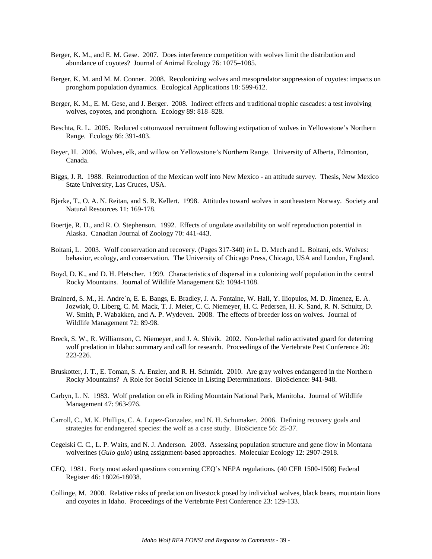- Berger, K. M., and E. M. Gese. 2007. Does interference competition with wolves limit the distribution and abundance of coyotes? Journal of Animal Ecology 76: 1075–1085.
- Berger, K. M. and M. M. Conner. 2008. Recolonizing wolves and mesopredator suppression of coyotes: impacts on pronghorn population dynamics. Ecological Applications 18: 599-612.
- Berger, K. M., E. M. Gese, and J. Berger. 2008. Indirect effects and traditional trophic cascades: a test involving wolves, coyotes, and pronghorn. Ecology 89: 818–828.
- Beschta, R. L. 2005. Reduced cottonwood recruitment following extirpation of wolves in Yellowstone's Northern Range. Ecology 86: 391-403.
- Beyer, H. 2006. Wolves, elk, and willow on Yellowstone's Northern Range. University of Alberta, Edmonton, Canada.
- Biggs, J. R. 1988. Reintroduction of the Mexican wolf into New Mexico an attitude survey. Thesis, New Mexico State University, Las Cruces, USA.
- Bjerke, T., O. A. N. Reitan, and S. R. Kellert. 1998. Attitudes toward wolves in southeastern Norway. Society and Natural Resources 11: 169-178.
- Boertje, R. D., and R. O. Stephenson. 1992. Effects of ungulate availability on wolf reproduction potential in Alaska. Canadian Journal of Zoology 70: 441-443.
- Boitani, L. 2003. Wolf conservation and recovery. (Pages 317-340) *in* L. D. Mech and L. Boitani, eds. Wolves: behavior, ecology, and conservation. The University of Chicago Press, Chicago, USA and London, England.
- Boyd, D. K., and D. H. Pletscher. 1999. Characteristics of dispersal in a colonizing wolf population in the central Rocky Mountains. Journal of Wildlife Management 63: 1094-1108.
- Brainerd, S. M., H. Andre´n, E. E. Bangs, E. Bradley, J. A. Fontaine, W. Hall, Y. Iliopulos, M. D. Jimenez, E. A. Jozwiak, O. Liberg, C. M. Mack, T. J. Meier, C. C. Niemeyer, H. C. Pedersen, H. K. Sand, R. N. Schultz, D. W. Smith, P. Wabakken, and A. P. Wydeven. 2008. The effects of breeder loss on wolves. Journal of Wildlife Management 72: 89-98.
- Breck, S. W., R. Williamson, C. Niemeyer, and J. A. Shivik. 2002. Non-lethal radio activated guard for deterring wolf predation in Idaho: summary and call for research. Proceedings of the Vertebrate Pest Conference 20: 223-226.
- Bruskotter, J. T., E. Toman, S. A. Enzler, and R. H. Schmidt. 2010. Are gray wolves endangered in the Northern Rocky Mountains? A Role for Social Science in Listing Determinations. BioScience: 941-948.
- Carbyn, L. N. 1983. Wolf predation on elk in Riding Mountain National Park, Manitoba. Journal of Wildlife Management 47: 963-976.
- Carroll, C., M. K. Phillips, C. A. Lopez-Gonzalez, and N. H. Schumaker. 2006. Defining recovery goals and strategies for endangered species: the wolf as a case study. BioScience 56: 25-37.
- Cegelski C. C., L. P. Waits, and N. J. Anderson. 2003. Assessing population structure and gene flow in Montana wolverines (*Gulo gulo*) using assignment-based approaches. Molecular Ecology 12: 2907-2918.
- CEQ. 1981. Forty most asked questions concerning CEQ's NEPA regulations. (40 CFR 1500-1508) Federal Register 46: 18026-18038.
- Collinge, M. 2008. Relative risks of predation on livestock posed by individual wolves, black bears, mountain lions and coyotes in Idaho. Proceedings of the Vertebrate Pest Conference 23: 129-133.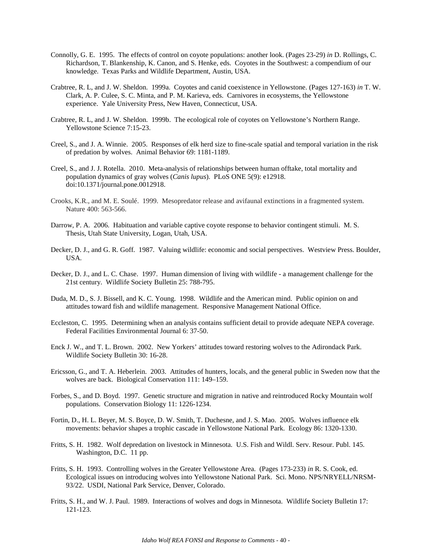- Connolly, G. E. 1995. The effects of control on coyote populations: another look. (Pages 23-29) *in* D. Rollings, C. Richardson, T. Blankenship, K. Canon, and S. Henke, eds. Coyotes in the Southwest: a compendium of our knowledge. Texas Parks and Wildlife Department, Austin, USA.
- Crabtree, R. L, and J. W. Sheldon. 1999a. Coyotes and canid coexistence in Yellowstone. (Pages 127-163) *in* T. W. Clark, A. P. Culee, S. C. Minta, and P. M. Karieva, eds. Carnivores in ecosystems, the Yellowstone experience. Yale University Press, New Haven, Connecticut, USA.
- Crabtree, R. L, and J. W. Sheldon. 1999b. The ecological role of coyotes on Yellowstone's Northern Range. Yellowstone Science 7:15-23.
- Creel, S., and J. A. Winnie. 2005. Responses of elk herd size to fine-scale spatial and temporal variation in the risk of predation by wolves. Animal Behavior 69: 1181-1189.
- Creel, S., and J. J. Rotella. 2010. Meta-analysis of relationships between human offtake, total mortality and population dynamics of gray wolves (*Canis lupus*). PLoS ONE 5(9): e12918. doi:10.1371/journal.pone.0012918.
- Crooks, K.R., and M. E. Soulé. 1999. Mesopredator release and avifaunal extinctions in a fragmented system. Nature 400: 563-566.
- Darrow, P. A. 2006. Habituation and variable captive coyote response to behavior contingent stimuli. M. S. Thesis, Utah State University, Logan, Utah, USA.
- Decker, D. J., and G. R. Goff. 1987. Valuing wildlife: economic and social perspectives. Westview Press. Boulder, USA.
- Decker, D. J., and L. C. Chase. 1997. Human dimension of living with wildlife a management challenge for the 21st century. Wildlife Society Bulletin 25: 788-795.
- Duda, M. D., S. J. Bissell, and K. C. Young. 1998. Wildlife and the American mind. Public opinion on and attitudes toward fish and wildlife management. Responsive Management National Office.
- Eccleston, C. 1995. Determining when an analysis contains sufficient detail to provide adequate NEPA coverage. Federal Facilities Environmental Journal 6: 37-50.
- Enck J. W., and T. L. Brown. 2002. New Yorkers' attitudes toward restoring wolves to the Adirondack Park. Wildlife Society Bulletin 30: 16-28.
- Ericsson, G., and T. A. Heberlein. 2003. Attitudes of hunters, locals, and the general public in Sweden now that the wolves are back. Biological Conservation 111: 149–159.
- Forbes, S., and D. Boyd. 1997. Genetic structure and migration in native and reintroduced Rocky Mountain wolf populations. Conservation Biology 11: 1226-1234.
- Fortin, D., H. L. Beyer, M. S. Boyce, D. W. Smith, T. Duchesne, and J. S. Mao. 2005. Wolves influence elk movements: behavior shapes a trophic cascade in Yellowstone National Park. Ecology 86: 1320-1330.
- Fritts, S. H. 1982. Wolf depredation on livestock in Minnesota. U.S. Fish and Wildl. Serv. Resour. Publ. 145. Washington, D.C. 11 pp.
- Fritts, S. H. 1993. Controlling wolves in the Greater Yellowstone Area. (Pages 173-233) *in* R. S. Cook, ed. Ecological issues on introducing wolves into Yellowstone National Park. Sci. Mono. NPS/NRYELL/NRSM-93/22. USDI, National Park Service, Denver, Colorado.
- Fritts, S. H., and W. J. Paul. 1989. Interactions of wolves and dogs in Minnesota. Wildlife Society Bulletin 17: 121-123.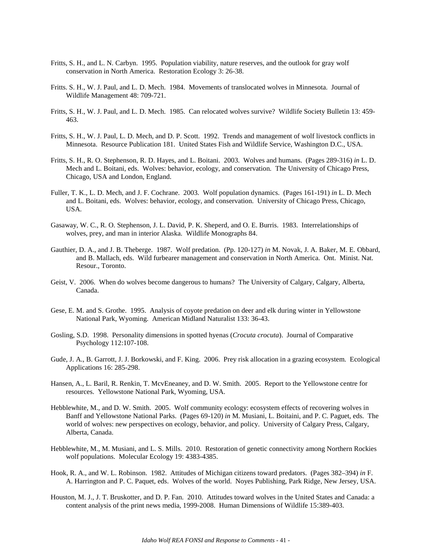- Fritts, S. H., and L. N. Carbyn. 1995. Population viability, nature reserves, and the outlook for gray wolf conservation in North America. Restoration Ecology 3: 26-38.
- Fritts. S. H., W. J. Paul, and L. D. Mech. 1984. Movements of translocated wolves in Minnesota. Journal of Wildlife Management 48: 709-721.
- Fritts, S. H., W. J. Paul, and L. D. Mech. 1985. Can relocated wolves survive? Wildlife Society Bulletin 13: 459- 463.
- Fritts, S. H., W. J. Paul, L. D. Mech, and D. P. Scott. 1992. Trends and management of wolf livestock conflicts in Minnesota. Resource Publication 181. United States Fish and Wildlife Service, Washington D.C., USA.
- Fritts, S. H., R. O. Stephenson, R. D. Hayes, and L. Boitani. 2003. Wolves and humans. (Pages 289-316) *in* L. D. Mech and L. Boitani, eds. Wolves: behavior, ecology, and conservation*.* The University of Chicago Press, Chicago, USA and London, England.
- Fuller, T. K., L. D. Mech, and J. F. Cochrane. 2003. Wolf population dynamics. (Pages 161-191) *in* L. D. Mech and L. Boitani, eds. Wolves: behavior, ecology, and conservation. University of Chicago Press, Chicago, USA.
- Gasaway, W. C., R. O. Stephenson, J. L. David, P. K. Sheperd, and O. E. Burris. 1983. Interrelationships of wolves, prey, and man in interior Alaska. Wildlife Monographs 84.
- Gauthier, D. A., and J. B. Theberge. 1987. Wolf predation. (Pp. 120-127) *in* M. Novak, J. A. Baker, M. E. Obbard, and B. Mallach, eds. Wild furbearer management and conservation in North America. Ont. Minist. Nat. Resour., Toronto.
- Geist, V. 2006. [When do wolves become dangerous to humans?](http://westinstenv.org/wp-content/Geist_when-do-wolves-become-dangerous-to-humans.pdf) The University of Calgary, Calgary, Alberta, Canada.
- Gese, E. M. and S. Grothe. 1995. Analysis of coyote predation on deer and elk during winter in Yellowstone National Park, Wyoming. American Midland Naturalist 133: 36-43.
- Gosling, S.D. 1998. Personality dimensions in spotted hyenas (*Crocuta crocuta*). Journal of Comparative Psychology 112:107-108.
- Gude, J. A., B. Garrott, J. J. Borkowski, and F. King. 2006. Prey risk allocation in a grazing ecosystem. Ecological Applications 16: 285-298.
- Hansen, A., L. Baril, R. Renkin, T. McvEneaney, and D. W. Smith. 2005. Report to the Yellowstone centre for resources. Yellowstone National Park, Wyoming, USA.
- Hebblewhite, M., and D. W. Smith. 2005. Wolf community ecology: ecosystem effects of recovering wolves in Banff and Yellowstone National Parks. (Pages 69-120) *in* M. Musiani, L. Boitaini, and P. C. Paguet, eds. The world of wolves: new perspectives on ecology, behavior, and policy. University of Calgary Press, Calgary, Alberta, Canada.
- Hebblewhite, M., M. Musiani, and L. S. Mills. 2010. Restoration of genetic connectivity among Northern Rockies wolf populations. Molecular Ecology 19: 4383-4385.
- Hook, R. A., and W. L. Robinson. 1982. Attitudes of Michigan citizens toward predators. (Pages 382–394) *in* F. A. Harrington and P. C. Paquet, eds. Wolves of the world. Noyes Publishing, Park Ridge, New Jersey, USA.
- Houston, M. J., J. T. Bruskotter, and D. P. Fan. 2010. Attitudes toward wolves in the United States and Canada: a content analysis of the print news media, 1999-2008. Human Dimensions of Wildlife 15:389-403.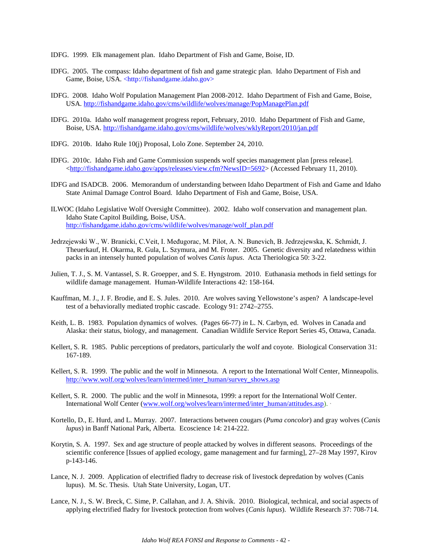- IDFG. 1999. Elk management plan. Idaho Department of Fish and Game, Boise, ID.
- IDFG. 2005. The compass: Idaho department of fish and game strategic plan. Idaho Department of Fish and Game, Boise, USA. <http://fishandgame.idaho.gov>
- IDFG. 2008. Idaho Wolf Population Management Plan 2008-2012. Idaho Department of Fish and Game, Boise, USA.<http://fishandgame.idaho.gov/cms/wildlife/wolves/manage/PopManagePlan.pdf>
- IDFG. 2010a. Idaho wolf management progress report, February, 2010. Idaho Department of Fish and Game, Boise, USA.<http://fishandgame.idaho.gov/cms/wildlife/wolves/wklyReport/2010/jan.pdf>
- IDFG. 2010b. Idaho Rule 10(j) Proposal, Lolo Zone. September 24, 2010.
- IDFG. 2010c. Idaho Fish and Game Commission suspends wolf species management plan [press release]. [<http://fishandgame.idaho.gov/apps/releases/view.cfm?NewsID=5692>](http://fishandgame.idaho.gov/apps/releases/view.cfm?NewsID=5692) (Accessed February 11, 2010).
- IDFG and ISADCB. 2006. Memorandum of understanding between Idaho Department of Fish and Game and Idaho State Animal Damage Control Board. Idaho Department of Fish and Game, Boise, USA.
- ILWOC (Idaho Legislative Wolf Oversight Committee). 2002. Idaho wolf conservation and management plan. Idaho State Capitol Building, Boise, USA. [http://fishandgame.idaho.gov/cms/wildlife/wolves/manage/wolf\\_plan.pdf](http://fishandgame.idaho.gov/cms/wildlife/wolves/manage/wolf_plan.pdf)
- Jedrzejewski W., W. Branicki, C.Veit, I. Međugorac, M. Pilot, A. N. Bunevich, B. Jedrzejewska, K. Schmidt, J. Theuerkauf, H. Okarma, R. Gula, L. Szymura, and M. Froter. 2005. Genetic diversity and relatedness within packs in an intensely hunted population of wolves *Canis lupus*. Acta Theriologica 50: 3-22.
- Julien, T. J., S. M. Vantassel, S. R. Groepper, and S. E. Hyngstrom. 2010. Euthanasia methods in field settings for wildlife damage management. Human-Wildlife Interactions 42: 158-164.
- Kauffman, M. J., J. F. Brodie, and E. S. Jules. 2010. Are wolves saving Yellowstone's aspen? A landscape-level test of a behaviorally mediated trophic cascade. Ecology 91: 2742–2755.
- Keith, L. B. 1983. Population dynamics of wolves. (Pages 66-77) *in* L. N. Carbyn, ed. Wolves in Canada and Alaska: their status, biology, and management. Canadian Wildlife Service Report Series 45, Ottawa, Canada.
- Kellert, S. R. 1985. Public perceptions of predators, particularly the wolf and coyote. Biological Conservation 31: 167-189.
- Kellert, S. R. 1999. The public and the wolf in Minnesota. A report to the International Wolf Center, Minneapolis. [http://www.wolf.org/wolves/learn/intermed/inter\\_human/survey\\_shows.asp](http://www.wolf.org/wolves/learn/intermed/inter_human/survey_shows.asp)
- Kellert, S. R. 2000. The public and the wolf in Minnesota, 1999: a report for the International Wolf Center. International Wolf Center [\(www.wolf.org/wolves/learn/intermed/inter\\_human/attitudes.asp\)](http://www.wolf.org/wolves/learn/intermed/inter_human/attitudes.asp). ·
- Kortello, D., E. Hurd, and L. Murray. 2007. Interactions between cougars (*Puma concolor*) and gray wolves (*Canis lupus*) in Banff National Park, Alberta. Ecoscience 14: 214-222.
- Korytin, S. A. 1997. Sex and age structure of people attacked by wolves in different seasons. Proceedings of the scientific conference [Issues of applied ecology, game management and fur farming], 27–28 May 1997, Kirov p-143-146.
- Lance, N. J. 2009. Application of electrified fladry to decrease risk of livestock depredation by wolves (Canis lupus). M. Sc. Thesis. Utah State University, Logan, UT.
- Lance, N. J., S. W. Breck, C. Sime, P. Callahan, and J. A. Shivik. 2010. Biological, technical, and social aspects of applying electrified fladry for livestock protection from wolves (*Canis lupus*). Wildlife Research 37: 708-714.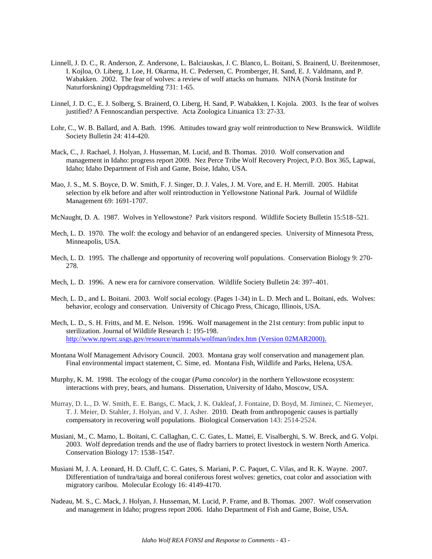- Linnell, J. D. C., R. Anderson, Z. Andersone, L. Balciauskas, J. C. Blanco, L. Boitani, S. Brainerd, U. Breitenmoser, I. Kojloa, O. Liberg, J. Loe, H. Okarma, H. C. Pedersen, C. Promberger, H. Sand, E. J. Valdmann, and P. Wabakken. 2002. The fear of wolves: a review of wolf attacks on humans. NINA (Norsk Institute for Naturforskning) Oppdragsmelding 731: 1-65.
- Linnel, J. D. C., E. J. Solberg, S. Brainerd, O. Liberg, H. Sand, P. Wabakken, I. Kojola. 2003. Is the fear of wolves justified? A Fennoscandian perspective. Acta Zoologica Lituanica 13: 27-33.
- Lohr, C., W. B. Ballard, and A. Bath. 1996. Attitudes toward gray wolf reintroduction to New Brunswick. Wildlife Society Bulletin 24: 414-420.
- Mack, C., J. Rachael, J. Holyan, J. Husseman, M. Lucid, and B. Thomas. 2010. Wolf conservation and management in Idaho: progress report 2009. Nez Perce Tribe Wolf Recovery Project, P.O. Box 365, Lapwai, Idaho; Idaho Department of Fish and Game, Boise, Idaho, USA.
- Mao, J. S., M. S. Boyce, D. W. Smith, F. J. Singer, D. J. Vales, J. M. Vore, and E. H. Merrill. 2005. Habitat selection by elk before and after wolf reintroduction in Yellowstone National Park. Journal of Wildlife Management 69: 1691-1707.
- McNaught, D. A. 1987. Wolves in Yellowstone? Park visitors respond. Wildlife Society Bulletin 15:518–521.
- Mech, L. D. 1970. The wolf: the ecology and behavior of an endangered species. University of Minnesota Press, Minneapolis, USA.
- Mech, L. D. 1995. The challenge and opportunity of recovering wolf populations. Conservation Biology 9: 270- 278.
- Mech, L. D. 1996. A new era for carnivore conservation. Wildlife Society Bulletin 24: 397–401.
- Mech, L. D., and L. Boitani. 2003. Wolf social ecology. (Pages 1-34) in L. D. Mech and L. Boitani, eds. Wolves: behavior, ecology and conservation. University of Chicago Press, Chicago, Illinois, USA.
- Mech, L. D., S. H. Fritts, and M. E. Nelson. 1996. Wolf management in the 21st century: from public input to sterilization. Journal of Wildlife Research 1: 195-198. [http://www.npwrc.usgs.gov/resource/mammals/wolfman/index.htm \(Version 02MAR2000\).](http://www.npwrc.usgs.gov/resource/mammals/wolfman/index.htm%20(Version%2002MAR2000).)
- Montana Wolf Management Advisory Council. 2003. Montana gray wolf conservation and management plan. Final environmental impact statement, C. Sime, ed. Montana Fish, Wildlife and Parks, Helena, USA.
- Murphy, K. M. 1998. The ecology of the cougar (*Puma concolor*) in the northern Yellowstone ecosystem: interactions with prey, bears, and humans. Dissertation, University of Idaho, Moscow, USA.
- Murray, D. L., D. W. Smith, E. E. Bangs, C. Mack, J. K. Oakleaf, J. Fontaine, D. Boyd, M. Jiminez, C. Niemeyer, T. J. Meier, D. Stahler, J. Holyan, and V. J. Asher. 2010. Death from anthropogenic causes is partially compensatory in recovering wolf populations. Biological Conservation 143: 2514-2524.
- Musiani, M., C. Mamo, L. Boitani, C. Callaghan, C. C. Gates, L. Mattei, E. Visalberghi, S. W. Breck, and G. Volpi. 2003. Wolf depredation trends and the use of fladry barriers to protect livestock in western North America. Conservation Biology 17: 1538–1547.
- Musiani M, J. A. Leonard, H. D. Cluff, C. C. Gates, S. Mariani, P. C. Paquet, C. Vilas, and R. K. Wayne. 2007. Differentiation of tundra/taiga and boreal coniferous forest wolves: genetics, coat color and association with migratory caribou.Molecular Ecology 16: 4149-4170.
- Nadeau, M. S., C. Mack, J. Holyan, J. Husseman, M. Lucid, P. Frame, and B. Thomas. 2007. Wolf conservation and management in Idaho; progress report 2006. Idaho Department of Fish and Game, Boise, USA.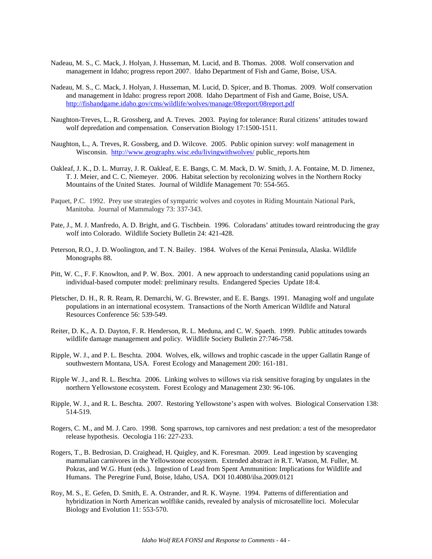- Nadeau, M. S., C. Mack, J. Holyan, J. Husseman, M. Lucid, and B. Thomas. 2008. Wolf conservation and management in Idaho; progress report 2007. Idaho Department of Fish and Game, Boise, USA.
- Nadeau, M. S., C. Mack, J. Holyan, J. Husseman, M. Lucid, D. Spicer, and B. Thomas. 2009. Wolf conservation and management in Idaho: progress report 2008. Idaho Department of Fish and Game, Boise, USA. <http://fishandgame.idaho.gov/cms/wildlife/wolves/manage/08report/08report.pdf>
- Naughton-Treves, L., R. Grossberg, and A. Treves. 2003. Paying for tolerance: Rural citizens' attitudes toward wolf depredation and compensation. Conservation Biology 17:1500-1511.
- Naughton, L., A. Treves, R. Gossberg, and D. Wilcove. 2005. Public opinion survey: wolf management in Wisconsin.<http://www.geography.wisc.edu/livingwithwolves/> public reports.htm
- Oakleaf, J. K., D. L. Murray, J. R. Oakleaf, E. E. Bangs, C. M. Mack, D. W. Smith, J. A. Fontaine, M. D. Jimenez, T. J. Meier, and C. C. Niemeyer. 2006. Habitat selection by recolonizing wolves in the Northern Rocky Mountains of the United States. Journal of Wildlife Management 70: 554-565.
- Paquet, P.C. 1992. Prey use strategies of sympatric wolves and coyotes in Riding Mountain National Park, Manitoba. Journal of Mammalogy 73: 337-343.
- Pate, J., M. J. Manfredo, A. D. Bright, and G. Tischbein. 1996. Coloradans' attitudes toward reintroducing the gray wolf into Colorado. Wildlife Society Bulletin 24: 421-428.
- Peterson, R.O., J. D. Woolington, and T. N. Bailey. 1984. Wolves of the Kenai Peninsula, Alaska. Wildlife Monographs 88.
- Pitt, W. C., F. F. Knowlton, and P. W. Box. 2001. A new approach to understanding canid populations using an individual-based computer model: preliminary results. Endangered Species Update 18:4.
- Pletscher, D. H., R. R. Ream, R. Demarchi, W. G. Brewster, and E. E. Bangs. 1991. Managing wolf and ungulate populations in an international ecosystem. Transactions of the North American Wildlife and Natural Resources Conference 56: 539-549.
- Reiter, D. K., A. D. Dayton, F. R. Henderson, R. L. Meduna, and C. W. Spaeth. 1999. Public attitudes towards wildlife damage management and policy. Wildlife Society Bulletin 27:746-758.
- Ripple, W. J., and P. L. Beschta. 2004. Wolves, elk, willows and trophic cascade in the upper Gallatin Range of southwestern Montana, USA. Forest Ecology and Management 200: 161-181.
- Ripple W. J., and R. L. Beschta. 2006. Linking wolves to willows via risk sensitive foraging by ungulates in the northern Yellowstone ecosystem. Forest Ecology and Management 230: 96-106.
- Ripple, W. J., and R. L. Beschta. 2007. Restoring Yellowstone's aspen with wolves. Biological Conservation 138: 514-519.
- Rogers, C. M., and M. J. Caro. 1998. Song sparrows, top carnivores and nest predation: a test of the mesopredator release hypothesis. Oecologia 116: 227-233.
- Rogers, T., B. Bedrosian, D. Craighead, H. Quigley, and K. Foresman. 2009. Lead ingestion by scavenging mammalian carnivores in the Yellowstone ecosystem. Extended abstract *in* R.T. Watson, M. Fuller, M. Pokras, and W.G. Hunt (eds.). Ingestion of Lead from Spent Ammunition: Implications for Wildlife and Humans. The Peregrine Fund, Boise, Idaho, USA. DOI 10.4080/ilsa.2009.0121
- Roy, M. S., E. Gefen, D. Smith, E. A. Ostrander, and R. K. Wayne. 1994. Patterns of differentiation and hybridization in North American wolflike canids, revealed by analysis of microsatellite loci. Molecular Biology and Evolution 11: 553-570.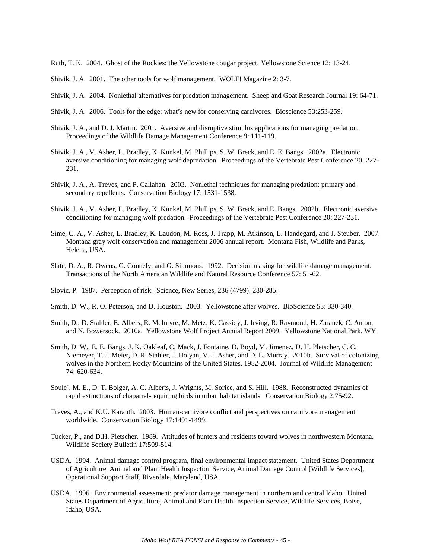Ruth, T. K. 2004. Ghost of the Rockies: the Yellowstone cougar project. Yellowstone Science 12: 13-24.

- Shivik, J. A. 2001. The other tools for wolf management. WOLF! Magazine 2: 3-7.
- Shivik, J. A. 2004. Nonlethal alternatives for predation management. Sheep and Goat Research Journal 19: 64-71.
- Shivik, J. A. 2006. Tools for the edge: what's new for conserving carnivores. Bioscience 53:253-259.
- Shivik, J. A., and D. J. Martin. 2001. Aversive and disruptive stimulus applications for managing predation. Proceedings of the Wildlife Damage Management Conference 9: 111-119.
- Shivik, J. A., V. Asher, L. Bradley, K. Kunkel, M. Phillips, S. W. Breck, and E. E. Bangs. 2002a. Electronic aversive conditioning for managing wolf depredation. Proceedings of the Vertebrate Pest Conference 20: 227- 231.
- Shivik, J. A., A. Treves, and P. Callahan. 2003. Nonlethal techniques for managing predation: primary and secondary repellents. Conservation Biology 17: 1531-1538.
- Shivik, J. A., V. Asher, L. Bradley, K. Kunkel, M. Phillips, S. W. Breck, and E. Bangs. 2002b. Electronic aversive conditioning for managing wolf predation. Proceedings of the Vertebrate Pest Conference 20: 227-231.
- Sime, C. A., V. Asher, L. Bradley, K. Laudon, M. Ross, J. Trapp, M. Atkinson, L. Handegard, and J. Steuber. 2007. Montana gray wolf conservation and management 2006 annual report. Montana Fish, Wildlife and Parks, Helena, USA.
- Slate, D. A., R. Owens, G. Connely, and G. Simmons. 1992. Decision making for wildlife damage management. Transactions of the North American Wildlife and Natural Resource Conference 57: 51-62.
- Slovic, P. 1987. Perception of risk. Science, New Series, 236 (4799): 280-285.
- Smith, D. W., R. O. Peterson, and D. Houston. 2003. Yellowstone after wolves. BioScience 53: 330-340.
- Smith, D., D. Stahler, E. Albers, R. McIntyre, M. Metz, K. Cassidy, J. Irving, R. Raymond, H. Zaranek, C. Anton, and N. Bowersock. 2010a. Yellowstone Wolf Project Annual Report 2009. Yellowstone National Park, WY.
- Smith, D. W., E. E. Bangs, J. K. Oakleaf, C. Mack, J. Fontaine, D. Boyd, M. Jimenez, D. H. Pletscher, C. C. Niemeyer, T. J. Meier, D. R. Stahler, J. Holyan, V. J. Asher, and D. L. Murray. 2010b. Survival of colonizing wolves in the Northern Rocky Mountains of the United States, 1982-2004. Journal of Wildlife Management 74: 620-634.
- Soule´, M. E., D. T. Bolger, A. C. Alberts, J. Wrights, M. Sorice, and S. Hill. 1988. Reconstructed dynamics of rapid extinctions of chaparral-requiring birds in urban habitat islands. Conservation Biology 2:75-92.
- Treves, A., and K.U. Karanth. 2003. Human-carnivore conflict and perspectives on carnivore management worldwide. Conservation Biology 17:1491-1499.
- Tucker, P., and D.H. Pletscher. 1989. Attitudes of hunters and residents toward wolves in northwestern Montana. Wildlife Society Bulletin 17:509-514.
- USDA. 1994. Animal damage control program, final environmental impact statement. United States Department of Agriculture, Animal and Plant Health Inspection Service, Animal Damage Control [Wildlife Services], Operational Support Staff, Riverdale, Maryland, USA.
- USDA. 1996. Environmental assessment: predator damage management in northern and central Idaho. United States Department of Agriculture, Animal and Plant Health Inspection Service, Wildlife Services, Boise, Idaho, USA.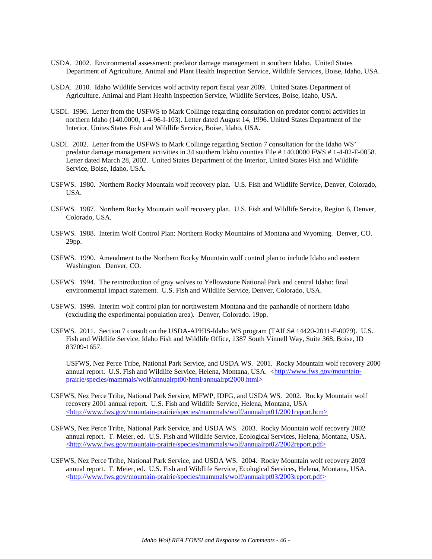- USDA. 2002. Environmental assessment: predator damage management in southern Idaho. United States Department of Agriculture, Animal and Plant Health Inspection Service, Wildlife Services, Boise, Idaho, USA.
- USDA. 2010. Idaho Wildlife Services wolf activity report fiscal year 2009. United States Department of Agriculture, Animal and Plant Health Inspection Service, Wildlife Services, Boise, Idaho, USA.
- USDI. 1996. Letter from the USFWS to Mark Collinge regarding consultation on predator control activities in northern Idaho (140.0000, 1-4-96-I-103). Letter dated August 14, 1996. United States Department of the Interior, Unites States Fish and Wildlife Service, Boise, Idaho, USA.
- USDI. 2002. Letter from the USFWS to Mark Collinge regarding Section 7 consultation for the Idaho WS' predator damage management activities in 34 southern Idaho counties File # 140.0000 FWS # 1-4-02-F-0058. Letter dated March 28, 2002. United States Department of the Interior, United States Fish and Wildlife Service, Boise, Idaho, USA.
- USFWS. 1980. Northern Rocky Mountain wolf recovery plan. U.S. Fish and Wildlife Service, Denver, Colorado, USA.
- USFWS. 1987. Northern Rocky Mountain wolf recovery plan. U.S. Fish and Wildlife Service, Region 6, Denver, Colorado, USA.
- USFWS. 1988. Interim Wolf Control Plan: Northern Rocky Mountains of Montana and Wyoming. Denver, CO. 29pp.
- USFWS. 1990. Amendment to the Northern Rocky Mountain wolf control plan to include Idaho and eastern Washington. Denver, CO.
- USFWS. 1994. The reintroduction of gray wolves to Yellowstone National Park and central Idaho: final environmental impact statement. U.S. Fish and Wildlife Service, Denver, Colorado, USA.
- USFWS. 1999. Interim wolf control plan for northwestern Montana and the panhandle of northern Idaho (excluding the experimental population area). Denver, Colorado. 19pp.
- USFWS. 2011. Section 7 consult on the USDA-APHIS-Idaho WS program (TAILS# 14420-2011-F-0079). U.S. Fish and Wildlife Service, Idaho Fish and Wildlife Office, 1387 South Vinnell Way, Suite 368, Boise, ID 83709-1657.

USFWS, Nez Perce Tribe, National Park Service, and USDA WS. 2001. Rocky Mountain wolf recovery 2000 annual report. U.S. Fish and Wildlife Service, Helena, Montana, USA. [<http://www.fws.gov/mountain](http://www.fws.gov/mountain-prairie/species/mammals/wolf/annualrpt00/html/annualrpt2000.html%3e)[prairie/species/mammals/wolf/annualrpt00/html/annualrpt2000.html>](http://www.fws.gov/mountain-prairie/species/mammals/wolf/annualrpt00/html/annualrpt2000.html%3e) 

- USFWS, Nez Perce Tribe, National Park Service, MFWP, IDFG, and USDA WS. 2002. Rocky Mountain wolf recovery 2001 annual report. U.S. Fish and Wildlife Service, Helena, Montana, USA  $\langle$ http://www.fws.gov/mountain-prairie/species/mammals/wolf/annualrpt01/2001report.htm>
- USFWS, Nez Perce Tribe, National Park Service, and USDA WS. 2003. Rocky Mountain wolf recovery 2002 annual report. T. Meier, ed. U.S. Fish and Wildlife Service, Ecological Services, Helena, Montana, USA.  $\langle$ http://www.fws.gov/mountain-prairie/species/mammals/wolf/annualrpt02/2002report.pdf>
- USFWS, Nez Perce Tribe, National Park Service, and USDA WS. 2004. Rocky Mountain wolf recovery 2003 annual report. T. Meier, ed. U.S. Fish and Wildlife Service, Ecological Services, Helena, Montana, USA. [<http://www.fws.gov/mountain-prairie/species/mammals/wolf/annualrpt03/2003report.pdf>](http://www.fws.gov/mountain-prairie/species/mammals/wolf/annualrpt03/2003report.pdf%3e)